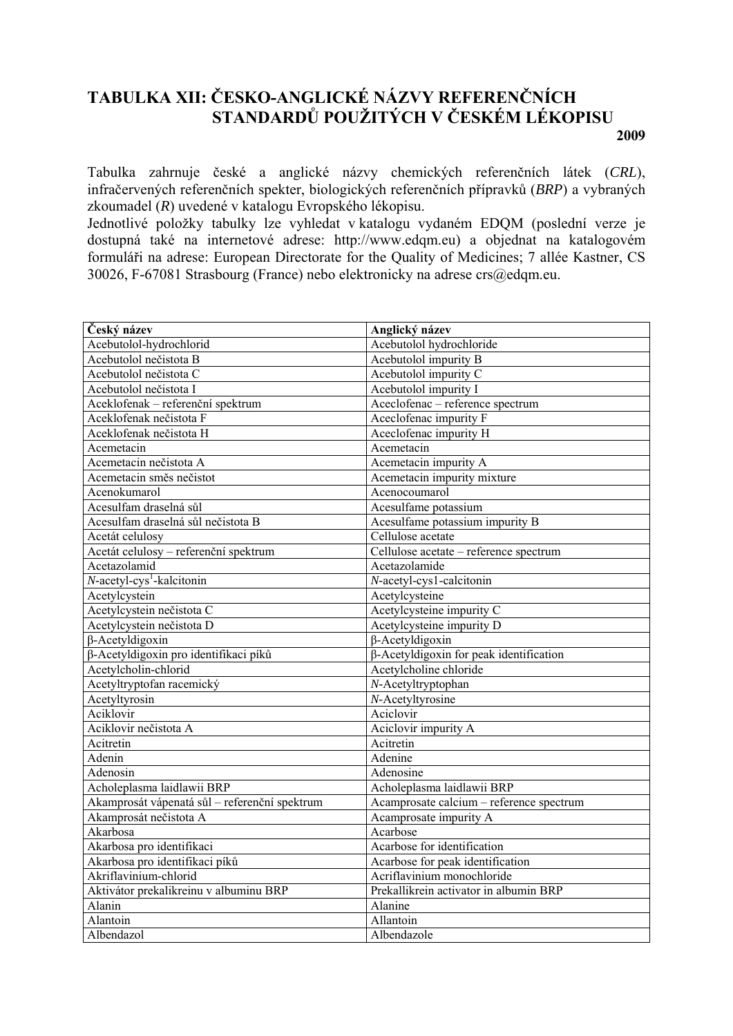## **TABULKA XII: ČESKO-ANGLICKÉ NÁZVY REFERENČNÍCH STANDARDŮ POUŽITÝCH V ČESKÉM LÉKOPISU 2009**

Tabulka zahrnuje české a anglické názvy chemických referenčních látek (*CRL*), infračervených referenčních spekter, biologických referenčních přípravků (*BRP*) a vybraných zkoumadel (*R*) uvedené v katalogu Evropského lékopisu.

Jednotlivé položky tabulky lze vyhledat v katalogu vydaném EDQM (poslední verze je dostupná také na internetové adrese: http://www.edqm.eu) a objednat na katalogovém formuláři na adrese: European Directorate for the Quality of Medicines; 7 allée Kastner, CS 30026, F-67081 Strasbourg (France) nebo elektronicky na adrese crs@edqm.eu.

| Český název                                   | Anglický název                           |
|-----------------------------------------------|------------------------------------------|
| Acebutolol-hydrochlorid                       | Acebutolol hydrochloride                 |
| Acebutolol nečistota B                        | Acebutolol impurity B                    |
| Acebutolol nečistota C                        | Acebutolol impurity C                    |
| Acebutolol nečistota I                        | Acebutolol impurity I                    |
| Aceklofenak - referenční spektrum             | Aceclofenac - reference spectrum         |
| Aceklofenak nečistota F                       | Aceclofenac impurity F                   |
| Aceklofenak nečistota H                       | Aceclofenac impurity H                   |
| Acemetacin                                    | Acemetacin                               |
| Acemetacin nečistota A                        | Acemetacin impurity A                    |
| Acemetacin směs nečistot                      | Acemetacin impurity mixture              |
| Acenokumarol                                  | Acenocoumarol                            |
| Acesulfam draselná sůl                        | Acesulfame potassium                     |
| Acesulfam draselná sůl nečistota B            | Acesulfame potassium impurity B          |
| Acetát celulosy                               | Cellulose acetate                        |
| Acetát celulosy - referenční spektrum         | Cellulose acetate - reference spectrum   |
| Acetazolamid                                  | Acetazolamide                            |
| $N$ -acetyl-cys <sup>1</sup> -kalcitonin      | N-acetyl-cys1-calcitonin                 |
| Acetylcystein                                 | Acetylcysteine                           |
| Acetylcystein nečistota C                     | Acetylcysteine impurity C                |
| Acetylcystein nečistota D                     | Acetylcysteine impurity D                |
| $\beta$ -Acetyldigoxin                        | $\beta$ -Acetyldigoxin                   |
| β-Acetyldigoxin pro identifikaci píků         | β-Acetyldigoxin for peak identification  |
| Acetylcholin-chlorid                          | Acetylcholine chloride                   |
| Acetyltryptofan racemický                     | N-Acetyltryptophan                       |
| Acetyltyrosin                                 | $N$ -Acetyltyrosine                      |
| Aciklovir                                     | Aciclovir                                |
| Aciklovir nečistota A                         | Aciclovir impurity A                     |
| Acitretin                                     | Acitretin                                |
| Adenin                                        | Adenine                                  |
| Adenosin                                      | Adenosine                                |
| Acholeplasma laidlawii BRP                    | Acholeplasma laidlawii BRP               |
| Akamprosát vápenatá sůl – referenční spektrum | Acamprosate calcium - reference spectrum |
| Akamprosát nečistota A                        | Acamprosate impurity A                   |
| Akarbosa                                      | Acarbose                                 |
| Akarbosa pro identifikaci                     | Acarbose for identification              |
| Akarbosa pro identifikaci píků                | Acarbose for peak identification         |
| Akriflavinium-chlorid                         | Acriflavinium monochloride               |
| Aktivátor prekalikreinu v albuminu BRP        | Prekallikrein activator in albumin BRP   |
| Alanin                                        | Alanine                                  |
| Alantoin                                      | Allantoin                                |
| Albendazol                                    | Albendazole                              |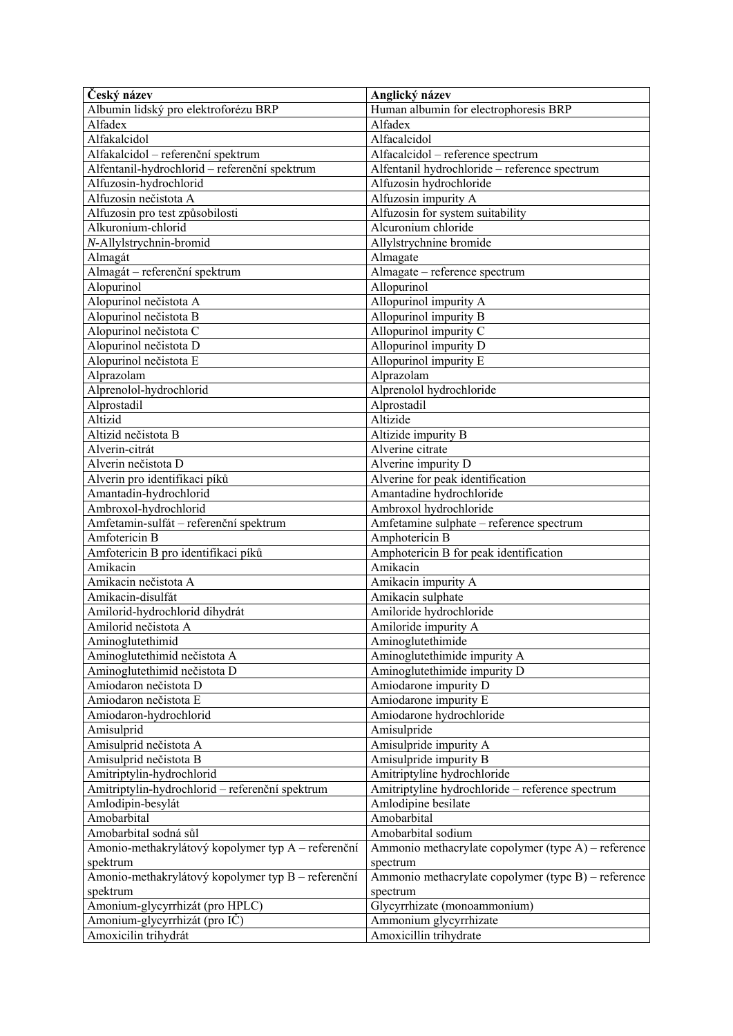| Albumin lidský pro elektroforézu BRP<br>Human albumin for electrophoresis BRP<br>Alfadex<br>Alfadex<br>Alfakalcidol<br>Alfacalcidol<br>Alfakalcidol – referenční spektrum<br>Alfacalcidol - reference spectrum<br>Alfentanil-hydrochlorid - referenční spektrum<br>Alfentanil hydrochloride - reference spectrum<br>Alfuzosin-hydrochlorid<br>Alfuzosin hydrochloride<br>Alfuzosin nečistota A<br>Alfuzosin impurity A<br>Alfuzosin pro test způsobilosti<br>Alfuzosin for system suitability<br>Alcuronium chloride<br>Alkuronium-chlorid<br>N-Allylstrychnin-bromid<br>Allylstrychnine bromide<br>Almagát<br>Almagate<br>Almagát – referenční spektrum<br>Almagate - reference spectrum<br>Alopurinol<br>Allopurinol<br>Alopurinol nečistota A<br>Allopurinol impurity A<br>Alopurinol nečistota B<br>Allopurinol impurity B<br>Allopurinol impurity $\overline{C}$<br>Alopurinol nečistota C<br>Alopurinol nečistota D<br>Allopurinol impurity D<br>Alopurinol nečistota E<br>Allopurinol impurity E<br>Alprazolam<br>Alprazolam<br>Alprenolol-hydrochlorid<br>Alprenolol hydrochloride<br>Alprostadil<br>Alprostadil<br>Altizid<br>Altizide<br>Altizid nečistota B<br>Altizide impurity B<br>Alverin-citrát<br>Alverine citrate<br>Alverin nečistota D<br>Alverine impurity D<br>Alverine for peak identification<br>Alverin pro identifikaci píků<br>Amantadine hydrochloride<br>Amantadin-hydrochlorid<br>Ambroxol hydrochloride<br>Ambroxol-hydrochlorid<br>Amfetamin-sulfát - referenční spektrum<br>Amfetamine sulphate - reference spectrum<br>Amfotericin B<br>Amphotericin B<br>Amfotericin B pro identifikaci píků<br>Amphotericin B for peak identification<br>Amikacin<br>Amikacin<br>Amikacin nečistota A<br>Amikacin impurity A<br>Amikacin-disulfát<br>Amikacin sulphate<br>Amilorid-hydrochlorid dihydrát<br>Amiloride hydrochloride<br>Amilorid nečistota A<br>Amiloride impurity A<br>Aminoglutethimid<br>Aminoglutethimide<br>Aminoglutethimid nečistota A<br>Aminoglutethimide impurity A<br>Aminoglutethimid nečistota D<br>Aminoglutethimide impurity D<br>Amiodaron nečistota D<br>Amiodarone impurity D<br>Amiodaron nečistota E<br>Amiodarone impurity E<br>Amiodaron-hydrochlorid<br>Amiodarone hydrochloride<br>Amisulprid<br>Amisulpride<br>Amisulprid nečistota A<br>Amisulpride impurity A<br>Amisulprid nečistota B<br>Amisulpride impurity B<br>Amitriptylin-hydrochlorid<br>Amitriptyline hydrochloride<br>Amitriptylin-hydrochlorid - referenční spektrum<br>Amitriptyline hydrochloride - reference spectrum<br>Amlodipin-besylát<br>Amlodipine besilate<br>Amobarbital<br>Amobarbital<br>Amobarbital sodium<br>Amobarbital sodná sůl<br>Amonio-methakrylátový kopolymer typ A – referenční<br>Ammonio methacrylate copolymer (type A) – reference<br>spektrum<br>spectrum<br>Amonio-methakrylátový kopolymer typ B – referenční<br>Ammonio methacrylate copolymer (type B) – reference<br>spektrum<br>spectrum<br>Amonium-glycyrrhizát (pro HPLC)<br>Glycyrrhizate (monoammonium)<br>Amonium-glycyrrhizát (pro IČ)<br>Ammonium glycyrrhizate | Český název          | Anglický název         |
|-------------------------------------------------------------------------------------------------------------------------------------------------------------------------------------------------------------------------------------------------------------------------------------------------------------------------------------------------------------------------------------------------------------------------------------------------------------------------------------------------------------------------------------------------------------------------------------------------------------------------------------------------------------------------------------------------------------------------------------------------------------------------------------------------------------------------------------------------------------------------------------------------------------------------------------------------------------------------------------------------------------------------------------------------------------------------------------------------------------------------------------------------------------------------------------------------------------------------------------------------------------------------------------------------------------------------------------------------------------------------------------------------------------------------------------------------------------------------------------------------------------------------------------------------------------------------------------------------------------------------------------------------------------------------------------------------------------------------------------------------------------------------------------------------------------------------------------------------------------------------------------------------------------------------------------------------------------------------------------------------------------------------------------------------------------------------------------------------------------------------------------------------------------------------------------------------------------------------------------------------------------------------------------------------------------------------------------------------------------------------------------------------------------------------------------------------------------------------------------------------------------------------------------------------------------------------------------------------------------------------------------------------------------------------------------------------------------------------------------------------------------------------------------------------------------------------------------------------------------------------------------------------------------------------------------------------------------------------------------------------------------------------------------------------------------------------------------|----------------------|------------------------|
|                                                                                                                                                                                                                                                                                                                                                                                                                                                                                                                                                                                                                                                                                                                                                                                                                                                                                                                                                                                                                                                                                                                                                                                                                                                                                                                                                                                                                                                                                                                                                                                                                                                                                                                                                                                                                                                                                                                                                                                                                                                                                                                                                                                                                                                                                                                                                                                                                                                                                                                                                                                                                                                                                                                                                                                                                                                                                                                                                                                                                                                                                     |                      |                        |
|                                                                                                                                                                                                                                                                                                                                                                                                                                                                                                                                                                                                                                                                                                                                                                                                                                                                                                                                                                                                                                                                                                                                                                                                                                                                                                                                                                                                                                                                                                                                                                                                                                                                                                                                                                                                                                                                                                                                                                                                                                                                                                                                                                                                                                                                                                                                                                                                                                                                                                                                                                                                                                                                                                                                                                                                                                                                                                                                                                                                                                                                                     |                      |                        |
|                                                                                                                                                                                                                                                                                                                                                                                                                                                                                                                                                                                                                                                                                                                                                                                                                                                                                                                                                                                                                                                                                                                                                                                                                                                                                                                                                                                                                                                                                                                                                                                                                                                                                                                                                                                                                                                                                                                                                                                                                                                                                                                                                                                                                                                                                                                                                                                                                                                                                                                                                                                                                                                                                                                                                                                                                                                                                                                                                                                                                                                                                     |                      |                        |
|                                                                                                                                                                                                                                                                                                                                                                                                                                                                                                                                                                                                                                                                                                                                                                                                                                                                                                                                                                                                                                                                                                                                                                                                                                                                                                                                                                                                                                                                                                                                                                                                                                                                                                                                                                                                                                                                                                                                                                                                                                                                                                                                                                                                                                                                                                                                                                                                                                                                                                                                                                                                                                                                                                                                                                                                                                                                                                                                                                                                                                                                                     |                      |                        |
|                                                                                                                                                                                                                                                                                                                                                                                                                                                                                                                                                                                                                                                                                                                                                                                                                                                                                                                                                                                                                                                                                                                                                                                                                                                                                                                                                                                                                                                                                                                                                                                                                                                                                                                                                                                                                                                                                                                                                                                                                                                                                                                                                                                                                                                                                                                                                                                                                                                                                                                                                                                                                                                                                                                                                                                                                                                                                                                                                                                                                                                                                     |                      |                        |
|                                                                                                                                                                                                                                                                                                                                                                                                                                                                                                                                                                                                                                                                                                                                                                                                                                                                                                                                                                                                                                                                                                                                                                                                                                                                                                                                                                                                                                                                                                                                                                                                                                                                                                                                                                                                                                                                                                                                                                                                                                                                                                                                                                                                                                                                                                                                                                                                                                                                                                                                                                                                                                                                                                                                                                                                                                                                                                                                                                                                                                                                                     |                      |                        |
|                                                                                                                                                                                                                                                                                                                                                                                                                                                                                                                                                                                                                                                                                                                                                                                                                                                                                                                                                                                                                                                                                                                                                                                                                                                                                                                                                                                                                                                                                                                                                                                                                                                                                                                                                                                                                                                                                                                                                                                                                                                                                                                                                                                                                                                                                                                                                                                                                                                                                                                                                                                                                                                                                                                                                                                                                                                                                                                                                                                                                                                                                     |                      |                        |
|                                                                                                                                                                                                                                                                                                                                                                                                                                                                                                                                                                                                                                                                                                                                                                                                                                                                                                                                                                                                                                                                                                                                                                                                                                                                                                                                                                                                                                                                                                                                                                                                                                                                                                                                                                                                                                                                                                                                                                                                                                                                                                                                                                                                                                                                                                                                                                                                                                                                                                                                                                                                                                                                                                                                                                                                                                                                                                                                                                                                                                                                                     |                      |                        |
|                                                                                                                                                                                                                                                                                                                                                                                                                                                                                                                                                                                                                                                                                                                                                                                                                                                                                                                                                                                                                                                                                                                                                                                                                                                                                                                                                                                                                                                                                                                                                                                                                                                                                                                                                                                                                                                                                                                                                                                                                                                                                                                                                                                                                                                                                                                                                                                                                                                                                                                                                                                                                                                                                                                                                                                                                                                                                                                                                                                                                                                                                     |                      |                        |
|                                                                                                                                                                                                                                                                                                                                                                                                                                                                                                                                                                                                                                                                                                                                                                                                                                                                                                                                                                                                                                                                                                                                                                                                                                                                                                                                                                                                                                                                                                                                                                                                                                                                                                                                                                                                                                                                                                                                                                                                                                                                                                                                                                                                                                                                                                                                                                                                                                                                                                                                                                                                                                                                                                                                                                                                                                                                                                                                                                                                                                                                                     |                      |                        |
|                                                                                                                                                                                                                                                                                                                                                                                                                                                                                                                                                                                                                                                                                                                                                                                                                                                                                                                                                                                                                                                                                                                                                                                                                                                                                                                                                                                                                                                                                                                                                                                                                                                                                                                                                                                                                                                                                                                                                                                                                                                                                                                                                                                                                                                                                                                                                                                                                                                                                                                                                                                                                                                                                                                                                                                                                                                                                                                                                                                                                                                                                     |                      |                        |
|                                                                                                                                                                                                                                                                                                                                                                                                                                                                                                                                                                                                                                                                                                                                                                                                                                                                                                                                                                                                                                                                                                                                                                                                                                                                                                                                                                                                                                                                                                                                                                                                                                                                                                                                                                                                                                                                                                                                                                                                                                                                                                                                                                                                                                                                                                                                                                                                                                                                                                                                                                                                                                                                                                                                                                                                                                                                                                                                                                                                                                                                                     |                      |                        |
|                                                                                                                                                                                                                                                                                                                                                                                                                                                                                                                                                                                                                                                                                                                                                                                                                                                                                                                                                                                                                                                                                                                                                                                                                                                                                                                                                                                                                                                                                                                                                                                                                                                                                                                                                                                                                                                                                                                                                                                                                                                                                                                                                                                                                                                                                                                                                                                                                                                                                                                                                                                                                                                                                                                                                                                                                                                                                                                                                                                                                                                                                     |                      |                        |
|                                                                                                                                                                                                                                                                                                                                                                                                                                                                                                                                                                                                                                                                                                                                                                                                                                                                                                                                                                                                                                                                                                                                                                                                                                                                                                                                                                                                                                                                                                                                                                                                                                                                                                                                                                                                                                                                                                                                                                                                                                                                                                                                                                                                                                                                                                                                                                                                                                                                                                                                                                                                                                                                                                                                                                                                                                                                                                                                                                                                                                                                                     |                      |                        |
|                                                                                                                                                                                                                                                                                                                                                                                                                                                                                                                                                                                                                                                                                                                                                                                                                                                                                                                                                                                                                                                                                                                                                                                                                                                                                                                                                                                                                                                                                                                                                                                                                                                                                                                                                                                                                                                                                                                                                                                                                                                                                                                                                                                                                                                                                                                                                                                                                                                                                                                                                                                                                                                                                                                                                                                                                                                                                                                                                                                                                                                                                     |                      |                        |
|                                                                                                                                                                                                                                                                                                                                                                                                                                                                                                                                                                                                                                                                                                                                                                                                                                                                                                                                                                                                                                                                                                                                                                                                                                                                                                                                                                                                                                                                                                                                                                                                                                                                                                                                                                                                                                                                                                                                                                                                                                                                                                                                                                                                                                                                                                                                                                                                                                                                                                                                                                                                                                                                                                                                                                                                                                                                                                                                                                                                                                                                                     |                      |                        |
|                                                                                                                                                                                                                                                                                                                                                                                                                                                                                                                                                                                                                                                                                                                                                                                                                                                                                                                                                                                                                                                                                                                                                                                                                                                                                                                                                                                                                                                                                                                                                                                                                                                                                                                                                                                                                                                                                                                                                                                                                                                                                                                                                                                                                                                                                                                                                                                                                                                                                                                                                                                                                                                                                                                                                                                                                                                                                                                                                                                                                                                                                     |                      |                        |
|                                                                                                                                                                                                                                                                                                                                                                                                                                                                                                                                                                                                                                                                                                                                                                                                                                                                                                                                                                                                                                                                                                                                                                                                                                                                                                                                                                                                                                                                                                                                                                                                                                                                                                                                                                                                                                                                                                                                                                                                                                                                                                                                                                                                                                                                                                                                                                                                                                                                                                                                                                                                                                                                                                                                                                                                                                                                                                                                                                                                                                                                                     |                      |                        |
|                                                                                                                                                                                                                                                                                                                                                                                                                                                                                                                                                                                                                                                                                                                                                                                                                                                                                                                                                                                                                                                                                                                                                                                                                                                                                                                                                                                                                                                                                                                                                                                                                                                                                                                                                                                                                                                                                                                                                                                                                                                                                                                                                                                                                                                                                                                                                                                                                                                                                                                                                                                                                                                                                                                                                                                                                                                                                                                                                                                                                                                                                     |                      |                        |
|                                                                                                                                                                                                                                                                                                                                                                                                                                                                                                                                                                                                                                                                                                                                                                                                                                                                                                                                                                                                                                                                                                                                                                                                                                                                                                                                                                                                                                                                                                                                                                                                                                                                                                                                                                                                                                                                                                                                                                                                                                                                                                                                                                                                                                                                                                                                                                                                                                                                                                                                                                                                                                                                                                                                                                                                                                                                                                                                                                                                                                                                                     |                      |                        |
|                                                                                                                                                                                                                                                                                                                                                                                                                                                                                                                                                                                                                                                                                                                                                                                                                                                                                                                                                                                                                                                                                                                                                                                                                                                                                                                                                                                                                                                                                                                                                                                                                                                                                                                                                                                                                                                                                                                                                                                                                                                                                                                                                                                                                                                                                                                                                                                                                                                                                                                                                                                                                                                                                                                                                                                                                                                                                                                                                                                                                                                                                     |                      |                        |
|                                                                                                                                                                                                                                                                                                                                                                                                                                                                                                                                                                                                                                                                                                                                                                                                                                                                                                                                                                                                                                                                                                                                                                                                                                                                                                                                                                                                                                                                                                                                                                                                                                                                                                                                                                                                                                                                                                                                                                                                                                                                                                                                                                                                                                                                                                                                                                                                                                                                                                                                                                                                                                                                                                                                                                                                                                                                                                                                                                                                                                                                                     |                      |                        |
|                                                                                                                                                                                                                                                                                                                                                                                                                                                                                                                                                                                                                                                                                                                                                                                                                                                                                                                                                                                                                                                                                                                                                                                                                                                                                                                                                                                                                                                                                                                                                                                                                                                                                                                                                                                                                                                                                                                                                                                                                                                                                                                                                                                                                                                                                                                                                                                                                                                                                                                                                                                                                                                                                                                                                                                                                                                                                                                                                                                                                                                                                     |                      |                        |
|                                                                                                                                                                                                                                                                                                                                                                                                                                                                                                                                                                                                                                                                                                                                                                                                                                                                                                                                                                                                                                                                                                                                                                                                                                                                                                                                                                                                                                                                                                                                                                                                                                                                                                                                                                                                                                                                                                                                                                                                                                                                                                                                                                                                                                                                                                                                                                                                                                                                                                                                                                                                                                                                                                                                                                                                                                                                                                                                                                                                                                                                                     |                      |                        |
|                                                                                                                                                                                                                                                                                                                                                                                                                                                                                                                                                                                                                                                                                                                                                                                                                                                                                                                                                                                                                                                                                                                                                                                                                                                                                                                                                                                                                                                                                                                                                                                                                                                                                                                                                                                                                                                                                                                                                                                                                                                                                                                                                                                                                                                                                                                                                                                                                                                                                                                                                                                                                                                                                                                                                                                                                                                                                                                                                                                                                                                                                     |                      |                        |
|                                                                                                                                                                                                                                                                                                                                                                                                                                                                                                                                                                                                                                                                                                                                                                                                                                                                                                                                                                                                                                                                                                                                                                                                                                                                                                                                                                                                                                                                                                                                                                                                                                                                                                                                                                                                                                                                                                                                                                                                                                                                                                                                                                                                                                                                                                                                                                                                                                                                                                                                                                                                                                                                                                                                                                                                                                                                                                                                                                                                                                                                                     |                      |                        |
|                                                                                                                                                                                                                                                                                                                                                                                                                                                                                                                                                                                                                                                                                                                                                                                                                                                                                                                                                                                                                                                                                                                                                                                                                                                                                                                                                                                                                                                                                                                                                                                                                                                                                                                                                                                                                                                                                                                                                                                                                                                                                                                                                                                                                                                                                                                                                                                                                                                                                                                                                                                                                                                                                                                                                                                                                                                                                                                                                                                                                                                                                     |                      |                        |
|                                                                                                                                                                                                                                                                                                                                                                                                                                                                                                                                                                                                                                                                                                                                                                                                                                                                                                                                                                                                                                                                                                                                                                                                                                                                                                                                                                                                                                                                                                                                                                                                                                                                                                                                                                                                                                                                                                                                                                                                                                                                                                                                                                                                                                                                                                                                                                                                                                                                                                                                                                                                                                                                                                                                                                                                                                                                                                                                                                                                                                                                                     |                      |                        |
|                                                                                                                                                                                                                                                                                                                                                                                                                                                                                                                                                                                                                                                                                                                                                                                                                                                                                                                                                                                                                                                                                                                                                                                                                                                                                                                                                                                                                                                                                                                                                                                                                                                                                                                                                                                                                                                                                                                                                                                                                                                                                                                                                                                                                                                                                                                                                                                                                                                                                                                                                                                                                                                                                                                                                                                                                                                                                                                                                                                                                                                                                     |                      |                        |
|                                                                                                                                                                                                                                                                                                                                                                                                                                                                                                                                                                                                                                                                                                                                                                                                                                                                                                                                                                                                                                                                                                                                                                                                                                                                                                                                                                                                                                                                                                                                                                                                                                                                                                                                                                                                                                                                                                                                                                                                                                                                                                                                                                                                                                                                                                                                                                                                                                                                                                                                                                                                                                                                                                                                                                                                                                                                                                                                                                                                                                                                                     |                      |                        |
|                                                                                                                                                                                                                                                                                                                                                                                                                                                                                                                                                                                                                                                                                                                                                                                                                                                                                                                                                                                                                                                                                                                                                                                                                                                                                                                                                                                                                                                                                                                                                                                                                                                                                                                                                                                                                                                                                                                                                                                                                                                                                                                                                                                                                                                                                                                                                                                                                                                                                                                                                                                                                                                                                                                                                                                                                                                                                                                                                                                                                                                                                     |                      |                        |
|                                                                                                                                                                                                                                                                                                                                                                                                                                                                                                                                                                                                                                                                                                                                                                                                                                                                                                                                                                                                                                                                                                                                                                                                                                                                                                                                                                                                                                                                                                                                                                                                                                                                                                                                                                                                                                                                                                                                                                                                                                                                                                                                                                                                                                                                                                                                                                                                                                                                                                                                                                                                                                                                                                                                                                                                                                                                                                                                                                                                                                                                                     |                      |                        |
|                                                                                                                                                                                                                                                                                                                                                                                                                                                                                                                                                                                                                                                                                                                                                                                                                                                                                                                                                                                                                                                                                                                                                                                                                                                                                                                                                                                                                                                                                                                                                                                                                                                                                                                                                                                                                                                                                                                                                                                                                                                                                                                                                                                                                                                                                                                                                                                                                                                                                                                                                                                                                                                                                                                                                                                                                                                                                                                                                                                                                                                                                     |                      |                        |
|                                                                                                                                                                                                                                                                                                                                                                                                                                                                                                                                                                                                                                                                                                                                                                                                                                                                                                                                                                                                                                                                                                                                                                                                                                                                                                                                                                                                                                                                                                                                                                                                                                                                                                                                                                                                                                                                                                                                                                                                                                                                                                                                                                                                                                                                                                                                                                                                                                                                                                                                                                                                                                                                                                                                                                                                                                                                                                                                                                                                                                                                                     |                      |                        |
|                                                                                                                                                                                                                                                                                                                                                                                                                                                                                                                                                                                                                                                                                                                                                                                                                                                                                                                                                                                                                                                                                                                                                                                                                                                                                                                                                                                                                                                                                                                                                                                                                                                                                                                                                                                                                                                                                                                                                                                                                                                                                                                                                                                                                                                                                                                                                                                                                                                                                                                                                                                                                                                                                                                                                                                                                                                                                                                                                                                                                                                                                     |                      |                        |
|                                                                                                                                                                                                                                                                                                                                                                                                                                                                                                                                                                                                                                                                                                                                                                                                                                                                                                                                                                                                                                                                                                                                                                                                                                                                                                                                                                                                                                                                                                                                                                                                                                                                                                                                                                                                                                                                                                                                                                                                                                                                                                                                                                                                                                                                                                                                                                                                                                                                                                                                                                                                                                                                                                                                                                                                                                                                                                                                                                                                                                                                                     |                      |                        |
|                                                                                                                                                                                                                                                                                                                                                                                                                                                                                                                                                                                                                                                                                                                                                                                                                                                                                                                                                                                                                                                                                                                                                                                                                                                                                                                                                                                                                                                                                                                                                                                                                                                                                                                                                                                                                                                                                                                                                                                                                                                                                                                                                                                                                                                                                                                                                                                                                                                                                                                                                                                                                                                                                                                                                                                                                                                                                                                                                                                                                                                                                     |                      |                        |
|                                                                                                                                                                                                                                                                                                                                                                                                                                                                                                                                                                                                                                                                                                                                                                                                                                                                                                                                                                                                                                                                                                                                                                                                                                                                                                                                                                                                                                                                                                                                                                                                                                                                                                                                                                                                                                                                                                                                                                                                                                                                                                                                                                                                                                                                                                                                                                                                                                                                                                                                                                                                                                                                                                                                                                                                                                                                                                                                                                                                                                                                                     |                      |                        |
|                                                                                                                                                                                                                                                                                                                                                                                                                                                                                                                                                                                                                                                                                                                                                                                                                                                                                                                                                                                                                                                                                                                                                                                                                                                                                                                                                                                                                                                                                                                                                                                                                                                                                                                                                                                                                                                                                                                                                                                                                                                                                                                                                                                                                                                                                                                                                                                                                                                                                                                                                                                                                                                                                                                                                                                                                                                                                                                                                                                                                                                                                     |                      |                        |
|                                                                                                                                                                                                                                                                                                                                                                                                                                                                                                                                                                                                                                                                                                                                                                                                                                                                                                                                                                                                                                                                                                                                                                                                                                                                                                                                                                                                                                                                                                                                                                                                                                                                                                                                                                                                                                                                                                                                                                                                                                                                                                                                                                                                                                                                                                                                                                                                                                                                                                                                                                                                                                                                                                                                                                                                                                                                                                                                                                                                                                                                                     |                      |                        |
|                                                                                                                                                                                                                                                                                                                                                                                                                                                                                                                                                                                                                                                                                                                                                                                                                                                                                                                                                                                                                                                                                                                                                                                                                                                                                                                                                                                                                                                                                                                                                                                                                                                                                                                                                                                                                                                                                                                                                                                                                                                                                                                                                                                                                                                                                                                                                                                                                                                                                                                                                                                                                                                                                                                                                                                                                                                                                                                                                                                                                                                                                     |                      |                        |
|                                                                                                                                                                                                                                                                                                                                                                                                                                                                                                                                                                                                                                                                                                                                                                                                                                                                                                                                                                                                                                                                                                                                                                                                                                                                                                                                                                                                                                                                                                                                                                                                                                                                                                                                                                                                                                                                                                                                                                                                                                                                                                                                                                                                                                                                                                                                                                                                                                                                                                                                                                                                                                                                                                                                                                                                                                                                                                                                                                                                                                                                                     |                      |                        |
|                                                                                                                                                                                                                                                                                                                                                                                                                                                                                                                                                                                                                                                                                                                                                                                                                                                                                                                                                                                                                                                                                                                                                                                                                                                                                                                                                                                                                                                                                                                                                                                                                                                                                                                                                                                                                                                                                                                                                                                                                                                                                                                                                                                                                                                                                                                                                                                                                                                                                                                                                                                                                                                                                                                                                                                                                                                                                                                                                                                                                                                                                     |                      |                        |
|                                                                                                                                                                                                                                                                                                                                                                                                                                                                                                                                                                                                                                                                                                                                                                                                                                                                                                                                                                                                                                                                                                                                                                                                                                                                                                                                                                                                                                                                                                                                                                                                                                                                                                                                                                                                                                                                                                                                                                                                                                                                                                                                                                                                                                                                                                                                                                                                                                                                                                                                                                                                                                                                                                                                                                                                                                                                                                                                                                                                                                                                                     |                      |                        |
|                                                                                                                                                                                                                                                                                                                                                                                                                                                                                                                                                                                                                                                                                                                                                                                                                                                                                                                                                                                                                                                                                                                                                                                                                                                                                                                                                                                                                                                                                                                                                                                                                                                                                                                                                                                                                                                                                                                                                                                                                                                                                                                                                                                                                                                                                                                                                                                                                                                                                                                                                                                                                                                                                                                                                                                                                                                                                                                                                                                                                                                                                     |                      |                        |
|                                                                                                                                                                                                                                                                                                                                                                                                                                                                                                                                                                                                                                                                                                                                                                                                                                                                                                                                                                                                                                                                                                                                                                                                                                                                                                                                                                                                                                                                                                                                                                                                                                                                                                                                                                                                                                                                                                                                                                                                                                                                                                                                                                                                                                                                                                                                                                                                                                                                                                                                                                                                                                                                                                                                                                                                                                                                                                                                                                                                                                                                                     |                      |                        |
|                                                                                                                                                                                                                                                                                                                                                                                                                                                                                                                                                                                                                                                                                                                                                                                                                                                                                                                                                                                                                                                                                                                                                                                                                                                                                                                                                                                                                                                                                                                                                                                                                                                                                                                                                                                                                                                                                                                                                                                                                                                                                                                                                                                                                                                                                                                                                                                                                                                                                                                                                                                                                                                                                                                                                                                                                                                                                                                                                                                                                                                                                     |                      |                        |
|                                                                                                                                                                                                                                                                                                                                                                                                                                                                                                                                                                                                                                                                                                                                                                                                                                                                                                                                                                                                                                                                                                                                                                                                                                                                                                                                                                                                                                                                                                                                                                                                                                                                                                                                                                                                                                                                                                                                                                                                                                                                                                                                                                                                                                                                                                                                                                                                                                                                                                                                                                                                                                                                                                                                                                                                                                                                                                                                                                                                                                                                                     |                      |                        |
|                                                                                                                                                                                                                                                                                                                                                                                                                                                                                                                                                                                                                                                                                                                                                                                                                                                                                                                                                                                                                                                                                                                                                                                                                                                                                                                                                                                                                                                                                                                                                                                                                                                                                                                                                                                                                                                                                                                                                                                                                                                                                                                                                                                                                                                                                                                                                                                                                                                                                                                                                                                                                                                                                                                                                                                                                                                                                                                                                                                                                                                                                     |                      |                        |
|                                                                                                                                                                                                                                                                                                                                                                                                                                                                                                                                                                                                                                                                                                                                                                                                                                                                                                                                                                                                                                                                                                                                                                                                                                                                                                                                                                                                                                                                                                                                                                                                                                                                                                                                                                                                                                                                                                                                                                                                                                                                                                                                                                                                                                                                                                                                                                                                                                                                                                                                                                                                                                                                                                                                                                                                                                                                                                                                                                                                                                                                                     |                      |                        |
|                                                                                                                                                                                                                                                                                                                                                                                                                                                                                                                                                                                                                                                                                                                                                                                                                                                                                                                                                                                                                                                                                                                                                                                                                                                                                                                                                                                                                                                                                                                                                                                                                                                                                                                                                                                                                                                                                                                                                                                                                                                                                                                                                                                                                                                                                                                                                                                                                                                                                                                                                                                                                                                                                                                                                                                                                                                                                                                                                                                                                                                                                     |                      |                        |
|                                                                                                                                                                                                                                                                                                                                                                                                                                                                                                                                                                                                                                                                                                                                                                                                                                                                                                                                                                                                                                                                                                                                                                                                                                                                                                                                                                                                                                                                                                                                                                                                                                                                                                                                                                                                                                                                                                                                                                                                                                                                                                                                                                                                                                                                                                                                                                                                                                                                                                                                                                                                                                                                                                                                                                                                                                                                                                                                                                                                                                                                                     |                      |                        |
|                                                                                                                                                                                                                                                                                                                                                                                                                                                                                                                                                                                                                                                                                                                                                                                                                                                                                                                                                                                                                                                                                                                                                                                                                                                                                                                                                                                                                                                                                                                                                                                                                                                                                                                                                                                                                                                                                                                                                                                                                                                                                                                                                                                                                                                                                                                                                                                                                                                                                                                                                                                                                                                                                                                                                                                                                                                                                                                                                                                                                                                                                     |                      |                        |
|                                                                                                                                                                                                                                                                                                                                                                                                                                                                                                                                                                                                                                                                                                                                                                                                                                                                                                                                                                                                                                                                                                                                                                                                                                                                                                                                                                                                                                                                                                                                                                                                                                                                                                                                                                                                                                                                                                                                                                                                                                                                                                                                                                                                                                                                                                                                                                                                                                                                                                                                                                                                                                                                                                                                                                                                                                                                                                                                                                                                                                                                                     |                      |                        |
|                                                                                                                                                                                                                                                                                                                                                                                                                                                                                                                                                                                                                                                                                                                                                                                                                                                                                                                                                                                                                                                                                                                                                                                                                                                                                                                                                                                                                                                                                                                                                                                                                                                                                                                                                                                                                                                                                                                                                                                                                                                                                                                                                                                                                                                                                                                                                                                                                                                                                                                                                                                                                                                                                                                                                                                                                                                                                                                                                                                                                                                                                     |                      |                        |
|                                                                                                                                                                                                                                                                                                                                                                                                                                                                                                                                                                                                                                                                                                                                                                                                                                                                                                                                                                                                                                                                                                                                                                                                                                                                                                                                                                                                                                                                                                                                                                                                                                                                                                                                                                                                                                                                                                                                                                                                                                                                                                                                                                                                                                                                                                                                                                                                                                                                                                                                                                                                                                                                                                                                                                                                                                                                                                                                                                                                                                                                                     |                      |                        |
|                                                                                                                                                                                                                                                                                                                                                                                                                                                                                                                                                                                                                                                                                                                                                                                                                                                                                                                                                                                                                                                                                                                                                                                                                                                                                                                                                                                                                                                                                                                                                                                                                                                                                                                                                                                                                                                                                                                                                                                                                                                                                                                                                                                                                                                                                                                                                                                                                                                                                                                                                                                                                                                                                                                                                                                                                                                                                                                                                                                                                                                                                     | Amoxicilin trihydrát | Amoxicillin trihydrate |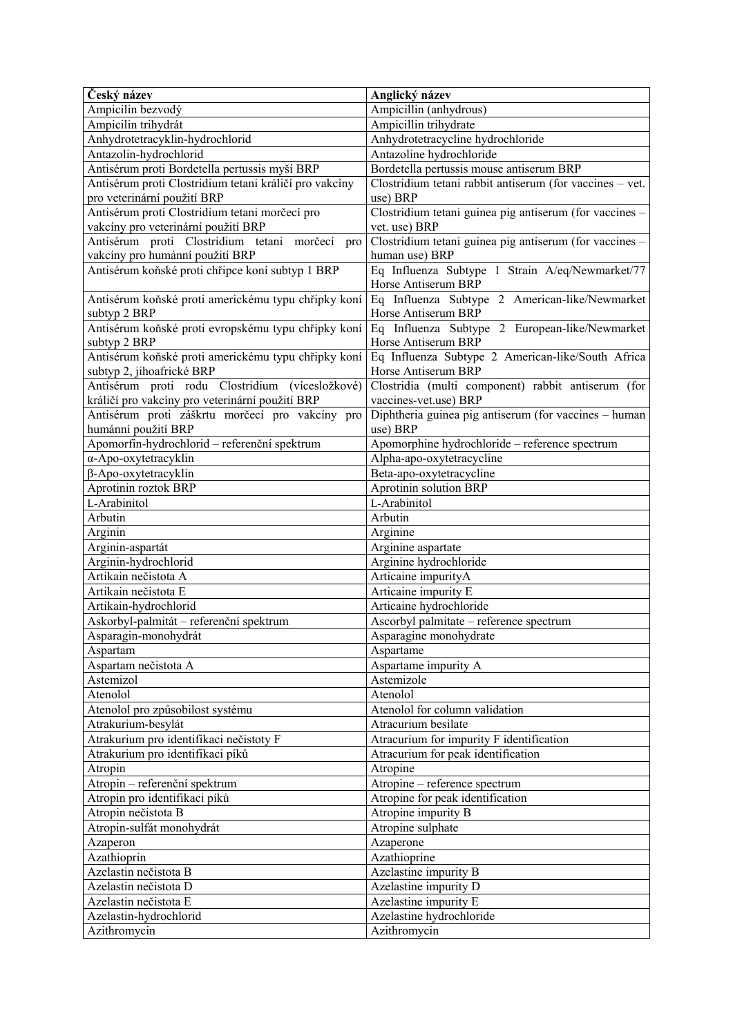| Český název                                                                          | Anglický název                                                                                                            |
|--------------------------------------------------------------------------------------|---------------------------------------------------------------------------------------------------------------------------|
| Ampicilin bezvodý                                                                    | Ampicillin (anhydrous)                                                                                                    |
| Ampicilin trihydrát                                                                  | Ampicillin trihydrate                                                                                                     |
| Anhydrotetracyklin-hydrochlorid                                                      | Anhydrotetracycline hydrochloride                                                                                         |
| Antazolin-hydrochlorid                                                               | Antazoline hydrochloride                                                                                                  |
| Antisérum proti Bordetella pertussis myší BRP                                        | Bordetella pertussis mouse antiserum BRP                                                                                  |
| Antisérum proti Clostridium tetani králičí pro vakcíny                               | Clostridium tetani rabbit antiserum (for vaccines - vet.                                                                  |
| pro veterinární použití BRP                                                          | use) BRP                                                                                                                  |
| Antisérum proti Clostridium tetani morčecí pro                                       | Clostridium tetani guinea pig antiserum (for vaccines -                                                                   |
| vakcíny pro veterinární použití BRP                                                  | vet. use) BRP                                                                                                             |
| Antisérum proti Clostridium tetani morčecí<br>pro<br>vakcíny pro humánní použití BRP | Clostridium tetani guinea pig antiserum (for vaccines -<br>human use) BRP                                                 |
| Antisérum koňské proti chřipce koní subtyp 1 BRP                                     | Eq Influenza Subtype 1 Strain A/eq/Newmarket/77                                                                           |
|                                                                                      | Horse Antiserum BRP                                                                                                       |
| Antisérum koňské proti americkému typu chřipky koní                                  | Eq Influenza Subtype 2 American-like/Newmarket                                                                            |
| subtyp 2 BRP                                                                         | Horse Antiserum BRP                                                                                                       |
| subtyp 2 BRP                                                                         | Antisérum koňské proti evropskému typu chřipky koní Eq Influenza Subtype 2 European-like/Newmarket<br>Horse Antiserum BRP |
| Antisérum koňské proti americkému typu chřipky koní                                  | Eq Influenza Subtype 2 American-like/South Africa                                                                         |
| subtyp 2, jihoafrické BRP                                                            | Horse Antiserum BRP                                                                                                       |
| Antisérum proti rodu Clostridium (vícesložkové)                                      | Clostridia (multi component) rabbit antiserum (for                                                                        |
| králičí pro vakcíny pro veterinární použití BRP                                      | vaccines-vet.use) BRP                                                                                                     |
| Antisérum proti záškrtu morčecí pro vakcíny pro                                      | Diphtheria guinea pig antiserum (for vaccines – human                                                                     |
| humánní použití BRP                                                                  | use) BRP                                                                                                                  |
| Apomorfin-hydrochlorid - referenční spektrum                                         | Apomorphine hydrochloride - reference spectrum                                                                            |
| α-Apo-oxytetracyklin                                                                 | Alpha-apo-oxytetracycline                                                                                                 |
| β-Apo-oxytetracyklin                                                                 | Beta-apo-oxytetracycline                                                                                                  |
| Aprotinin roztok BRP                                                                 | Aprotinin solution BRP                                                                                                    |
| L-Arabinitol                                                                         | L-Arabinitol                                                                                                              |
| Arbutin                                                                              | Arbutin                                                                                                                   |
| Arginin                                                                              | Arginine                                                                                                                  |
| Arginin-aspartát                                                                     | Arginine aspartate                                                                                                        |
| Arginin-hydrochlorid                                                                 | Arginine hydrochloride                                                                                                    |
| Artikain nečistota A                                                                 | Articaine impurityA                                                                                                       |
| Artikain nečistota E                                                                 | Articaine impurity E                                                                                                      |
| Artikain-hydrochlorid                                                                | Articaine hydrochloride                                                                                                   |
| Askorbyl-palmitát – referenční spektrum                                              | Ascorbyl palmitate - reference spectrum                                                                                   |
| Asparagin-monohydrát                                                                 | Asparagine monohydrate                                                                                                    |
| Aspartam                                                                             | Aspartame                                                                                                                 |
| Aspartam nečistota A                                                                 | Aspartame impurity A                                                                                                      |
| Astemizol                                                                            | Astemizole                                                                                                                |
| Atenolol                                                                             | Atenolol                                                                                                                  |
| Atenolol pro způsobilost systému                                                     | Atenolol for column validation                                                                                            |
| Atrakurium-besylát                                                                   | Atracurium besilate                                                                                                       |
| Atrakurium pro identifikaci nečistoty F                                              | Atracurium for impurity F identification                                                                                  |
| Atrakurium pro identifikaci píků                                                     | Atracurium for peak identification                                                                                        |
| Atropin                                                                              | Atropine                                                                                                                  |
| Atropin - referenční spektrum<br>Atropin pro identifikaci píků                       | Atropine - reference spectrum<br>Atropine for peak identification                                                         |
|                                                                                      |                                                                                                                           |
| Atropin nečistota B<br>Atropin-sulfát monohydrát                                     | Atropine impurity B<br>Atropine sulphate                                                                                  |
|                                                                                      |                                                                                                                           |
| Azaperon<br>Azathioprin                                                              | Azaperone<br>Azathioprine                                                                                                 |
| Azelastin nečistota B                                                                | Azelastine impurity B                                                                                                     |
| Azelastin nečistota D                                                                | Azelastine impurity D                                                                                                     |
| Azelastin nečistota E                                                                | Azelastine impurity E                                                                                                     |
| Azelastin-hydrochlorid                                                               | Azelastine hydrochloride                                                                                                  |
| Azithromycin                                                                         | Azithromycin                                                                                                              |
|                                                                                      |                                                                                                                           |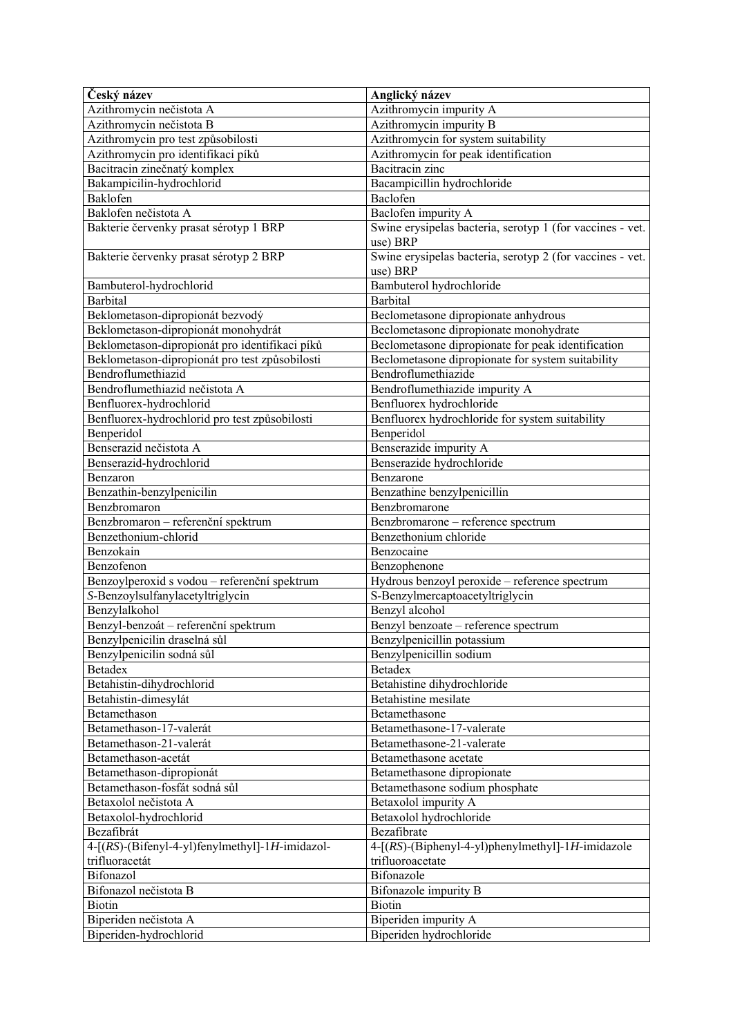| Český název                                     | Anglický název                                            |
|-------------------------------------------------|-----------------------------------------------------------|
| Azithromycin nečistota A                        | Azithromycin impurity A                                   |
| Azithromycin nečistota B                        | Azithromycin impurity B                                   |
| Azithromycin pro test způsobilosti              | Azithromycin for system suitability                       |
| Azithromycin pro identifikaci píků              | Azithromycin for peak identification                      |
| Bacitracin zinečnatý komplex                    | <b>Bacitracin</b> zinc                                    |
| Bakampicilin-hydrochlorid                       | Bacampicillin hydrochloride                               |
| Baklofen                                        | Baclofen                                                  |
| Baklofen nečistota A                            | Baclofen impurity A                                       |
| Bakterie červenky prasat sérotyp 1 BRP          | Swine erysipelas bacteria, serotyp 1 (for vaccines - vet. |
|                                                 | use) BRP                                                  |
| Bakterie červenky prasat sérotyp 2 BRP          | Swine erysipelas bacteria, serotyp 2 (for vaccines - vet. |
|                                                 | use) BRP                                                  |
| Bambuterol-hydrochlorid                         | Bambuterol hydrochloride                                  |
| <b>Barbital</b>                                 | <b>Barbital</b>                                           |
| Beklometason-dipropionát bezvodý                | Beclometasone dipropionate anhydrous                      |
| Beklometason-dipropionát monohydrát             | Beclometasone dipropionate monohydrate                    |
| Beklometason-dipropionát pro identifikaci píků  | Beclometasone dipropionate for peak identification        |
| Beklometason-dipropionát pro test způsobilosti  | Beclometasone dipropionate for system suitability         |
| Bendroflumethiazid                              | Bendroflumethiazide                                       |
| Bendroflumethiazid nečistota A                  | Bendroflumethiazide impurity A                            |
| Benfluorex-hydrochlorid                         | Benfluorex hydrochloride                                  |
| Benfluorex-hydrochlorid pro test způsobilosti   | Benfluorex hydrochloride for system suitability           |
| Benperidol                                      | Benperidol                                                |
| Benserazid nečistota A                          | Benserazide impurity A                                    |
| Benserazid-hydrochlorid                         | Benserazide hydrochloride                                 |
| Benzaron                                        | Benzarone                                                 |
| Benzathin-benzylpenicilin                       | Benzathine benzylpenicillin                               |
| Benzbromaron                                    | Benzbromarone                                             |
| Benzbromaron - referenční spektrum              | Benzbromarone - reference spectrum                        |
| Benzethonium-chlorid                            | Benzethonium chloride                                     |
| Benzokain                                       | Benzocaine                                                |
| Benzofenon                                      | Benzophenone                                              |
| Benzoylperoxid s vodou - referenční spektrum    | Hydrous benzoyl peroxide - reference spectrum             |
| S-Benzoylsulfanylacetyltriglycin                | S-Benzylmercaptoacetyltriglycin                           |
| Benzylalkohol                                   | Benzyl alcohol                                            |
| Benzyl-benzoát – referenční spektrum            | Benzyl benzoate - reference spectrum                      |
| Benzylpenicilin draselná sůl                    | Benzylpenicillin potassium                                |
| Benzylpenicilin sodná sůl                       | Benzylpenicillin sodium                                   |
| <b>Betadex</b>                                  | <b>Betadex</b>                                            |
| Betahistin-dihydrochlorid                       | Betahistine dihydrochloride                               |
| Betahistin-dimesylát                            | Betahistine mesilate                                      |
| Betamethason                                    | Betamethasone                                             |
| Betamethason-17-valerát                         | Betamethasone-17-valerate                                 |
| Betamethason-21-valerát                         | Betamethasone-21-valerate                                 |
| Betamethason-acetát                             | Betamethasone acetate                                     |
| Betamethason-dipropionát                        | Betamethasone dipropionate                                |
| Betamethason-fosfát sodná sůl                   | Betamethasone sodium phosphate                            |
| Betaxolol nečistota A                           | Betaxolol impurity A                                      |
| Betaxolol-hydrochlorid                          | Betaxolol hydrochloride                                   |
| Bezafibrát                                      | Bezafibrate                                               |
| 4-[(RS)-(Bifenyl-4-yl)fenylmethyl]-1H-imidazol- | 4-[(RS)-(Biphenyl-4-yl)phenylmethyl]-1H-imidazole         |
| trifluoracetát                                  | trifluoroacetate                                          |
| Bifonazol                                       | Bifonazole                                                |
| Bifonazol nečistota B                           | Bifonazole impurity B                                     |
| Biotin                                          | <b>Biotin</b>                                             |
| Biperiden nečistota A                           | Biperiden impurity A                                      |
| Biperiden-hydrochlorid                          | Biperiden hydrochloride                                   |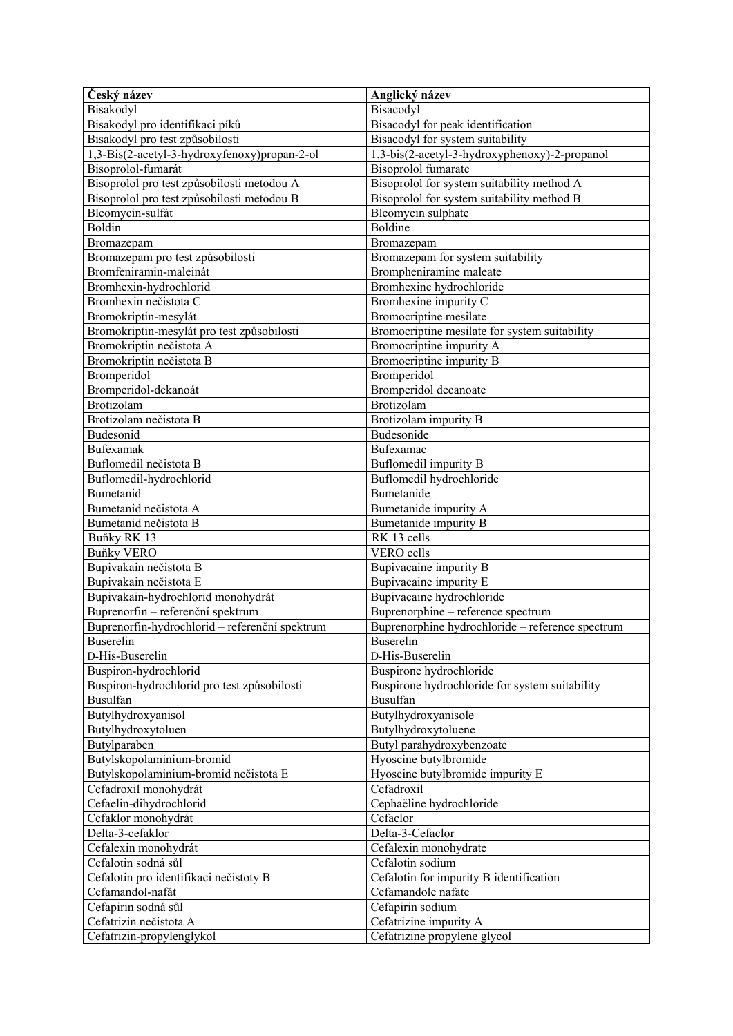| Český název                                    | Anglický název                                   |
|------------------------------------------------|--------------------------------------------------|
| Bisakodyl                                      | Bisacodyl                                        |
| Bisakodyl pro identifikaci píků                | Bisacodyl for peak identification                |
| Bisakodyl pro test způsobilosti                | Bisacodyl for system suitability                 |
| 1,3-Bis(2-acetyl-3-hydroxyfenoxy)propan-2-ol   | 1,3-bis(2-acetyl-3-hydroxyphenoxy)-2-propanol    |
| Bisoprolol-fumarát                             | <b>Bisoprolol</b> fumarate                       |
| Bisoprolol pro test způsobilosti metodou A     | Bisoprolol for system suitability method A       |
| Bisoprolol pro test způsobilosti metodou B     | Bisoprolol for system suitability method B       |
| Bleomycin-sulfát                               | Bleomycin sulphate                               |
| Boldin                                         | <b>Boldine</b>                                   |
| Bromazepam                                     | Bromazepam                                       |
| Bromazepam pro test způsobilosti               | Bromazepam for system suitability                |
| Bromfeniramin-maleinát                         | Brompheniramine maleate                          |
| Bromhexin-hydrochlorid                         | Bromhexine hydrochloride                         |
| Bromhexin nečistota C                          | Bromhexine impurity C                            |
| Bromokriptin-mesylát                           | Bromocriptine mesilate                           |
| Bromokriptin-mesylát pro test způsobilosti     | Bromocriptine mesilate for system suitability    |
| Bromokriptin nečistota A                       | Bromocriptine impurity A                         |
| Bromokriptin nečistota B                       | Bromocriptine impurity B                         |
| Bromperidol                                    | Bromperidol                                      |
| Bromperidol-dekanoát                           | Bromperidol decanoate                            |
| Brotizolam                                     | <b>Brotizolam</b>                                |
| Brotizolam nečistota B                         | Brotizolam impurity B                            |
| Budesonid                                      | Budesonide                                       |
| Bufexamak                                      | Bufexamac                                        |
| Buflomedil nečistota B                         | Buflomedil impurity B                            |
| Buflomedil-hydrochlorid                        | Buflomedil hydrochloride                         |
| Bumetanid                                      | Bumetanide                                       |
| Bumetanid nečistota A                          |                                                  |
|                                                | Bumetanide impurity A                            |
| Bumetanid nečistota B                          | Bumetanide impurity B<br>RK 13 cells             |
| Buňky RK 13                                    | VERO cells                                       |
| <b>Buňky VERO</b>                              |                                                  |
| Bupivakain nečistota B                         | Bupivacaine impurity B                           |
| Bupivakain nečistota E                         | Bupivacaine impurity E                           |
| Bupivakain-hydrochlorid monohydrát             | Bupivacaine hydrochloride                        |
| Buprenorfin – referenční spektrum              | Buprenorphine - reference spectrum               |
| Buprenorfin-hydrochlorid - referenční spektrum | Buprenorphine hydrochloride - reference spectrum |
| Buserelin                                      | <b>Buserelin</b>                                 |
| D-His-Buserelin                                | D-His-Buserelin                                  |
| Buspiron-hydrochlorid                          | Buspirone hydrochloride                          |
| Buspiron-hydrochlorid pro test způsobilosti    | Buspirone hydrochloride for system suitability   |
| <b>Busulfan</b>                                | <b>Busulfan</b>                                  |
| Butylhydroxyanisol                             | Butylhydroxyanisole                              |
| Butylhydroxytoluen                             | Butylhydroxytoluene                              |
| Butylparaben                                   | Butyl parahydroxybenzoate                        |
| Butylskopolaminium-bromid                      | Hyoscine butylbromide                            |
| Butylskopolaminium-bromid nečistota E          | Hyoscine butylbromide impurity E                 |
| Cefadroxil monohydrát                          | Cefadroxil                                       |
| Cefaelin-dihydrochlorid                        | Cephaëline hydrochloride                         |
| Cefaklor monohydrát                            | Cefaclor                                         |
| Delta-3-cefaklor                               | Delta-3-Cefaclor                                 |
| Cefalexin monohydrát                           | Cefalexin monohydrate                            |
| Cefalotin sodná sůl                            | Cefalotin sodium                                 |
| Cefalotin pro identifikaci nečistoty B         | Cefalotin for impurity B identification          |
| Cefamandol-nafát                               | Cefamandole nafate                               |
| Cefapirin sodná sůl                            | Cefapirin sodium                                 |
| Cefatrizin nečistota A                         | Cefatrizine impurity A                           |
| Cefatrizin-propylenglykol                      | Cefatrizine propylene glycol                     |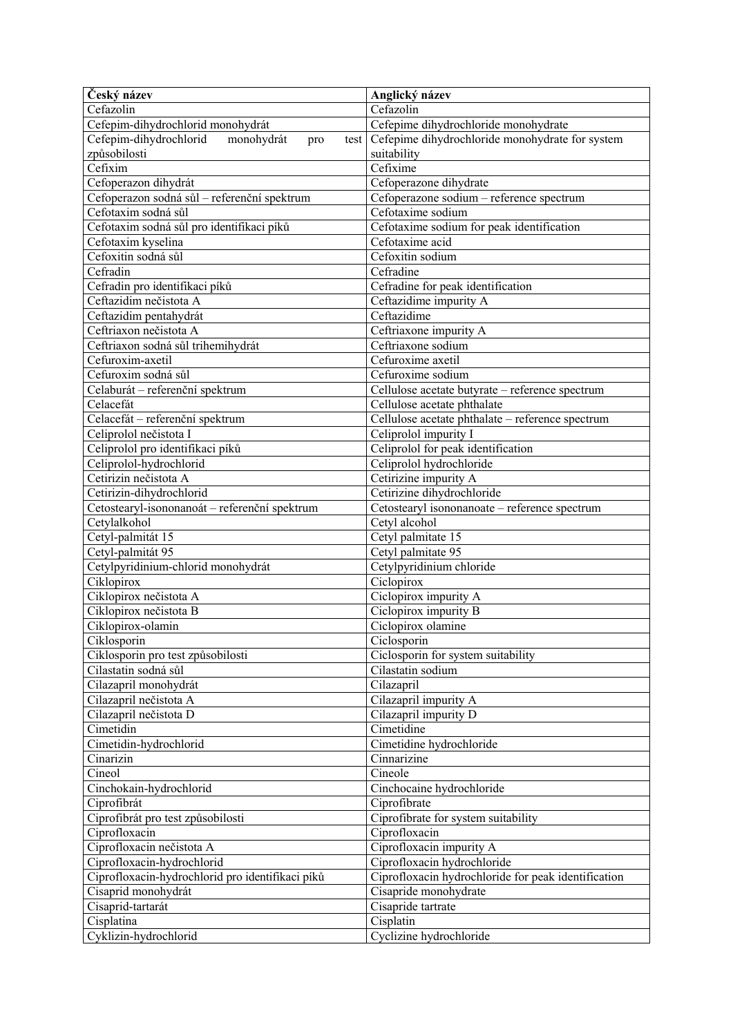| Český název                                         | Anglický název                                      |
|-----------------------------------------------------|-----------------------------------------------------|
| Cefazolin                                           | Cefazolin                                           |
| Cefepim-dihydrochlorid monohydrát                   | Cefepime dihydrochloride monohydrate                |
| Cefepim-dihydrochlorid<br>monohydrát<br>pro<br>test | Cefepime dihydrochloride monohydrate for system     |
| způsobilosti                                        | suitability                                         |
| Cefixim                                             | Cefixime                                            |
| Cefoperazon dihydrát                                | Cefoperazone dihydrate                              |
| Cefoperazon sodná sůl – referenční spektrum         | Cefoperazone sodium - reference spectrum            |
| Cefotaxim sodná sůl                                 | Cefotaxime sodium                                   |
| Cefotaxim sodná sůl pro identifikaci píků           | Cefotaxime sodium for peak identification           |
| Cefotaxim kyselina                                  | Cefotaxime acid                                     |
| Cefoxitin sodná sůl                                 | Cefoxitin sodium                                    |
| Cefradin                                            | Cefradine                                           |
| Cefradin pro identifikaci píků                      | Cefradine for peak identification                   |
| Ceftazidim nečistota A                              | Ceftazidime impurity A                              |
| Ceftazidim pentahydrát                              | Ceftazidime                                         |
| Ceftriaxon nečistota A                              | Ceftriaxone impurity A                              |
| Ceftriaxon sodná sůl trihemihydrát                  | Ceftriaxone sodium                                  |
| Cefuroxim-axetil                                    | Cefuroxime axetil                                   |
|                                                     |                                                     |
| Cefuroxim sodná sůl                                 | Cefuroxime sodium                                   |
| Celaburát - referenční spektrum                     | Cellulose acetate butyrate - reference spectrum     |
| Celacefát                                           | Cellulose acetate phthalate                         |
| Celacefát - referenční spektrum                     | Cellulose acetate phthalate - reference spectrum    |
| Celiprolol nečistota I                              | Celiprolol impurity I                               |
| Celiprolol pro identifikaci píků                    | Celiprolol for peak identification                  |
| Celiprolol-hydrochlorid                             | Celiprolol hydrochloride                            |
| Cetirizin nečistota A                               | Cetirizine impurity A                               |
| Cetirizin-dihydrochlorid                            | Cetirizine dihydrochloride                          |
| Cetostearyl-isononanoát - referenční spektrum       | Cetostearyl isononanoate - reference spectrum       |
| Cetylalkohol                                        | Cetyl alcohol                                       |
| Cetyl-palmitát 15                                   | Cetyl palmitate 15                                  |
| Cetyl-palmitát 95                                   | Cetyl palmitate 95                                  |
| Cetylpyridinium-chlorid monohydrát                  | Cetylpyridinium chloride                            |
| Ciklopirox                                          | Ciclopirox                                          |
| Ciklopirox nečistota A                              | Ciclopirox impurity A                               |
| Ciklopirox nečistota B                              | Ciclopirox impurity B                               |
| Ciklopirox-olamin                                   | Ciclopirox olamine                                  |
| Ciklosporin                                         | Ciclosporin                                         |
| Ciklosporin pro test způsobilosti                   | Ciclosporin for system suitability                  |
| Cilastatin sodná sůl                                | Cilastatin sodium                                   |
| Cilazapril monohydrát                               | Cilazapril                                          |
| Cilazapril nečistota A                              | Cilazapril impurity A                               |
| Cilazapril nečistota D                              | Cilazapril impurity D                               |
| Cimetidin                                           | Cimetidine                                          |
| Cimetidin-hydrochlorid                              | Cimetidine hydrochloride                            |
| Cinarizin                                           | Cinnarizine                                         |
| Cineol                                              | Cineole                                             |
| Cinchokain-hydrochlorid                             | Cinchocaine hydrochloride                           |
| Ciprofibrát                                         | Ciprofibrate                                        |
|                                                     |                                                     |
| Ciprofibrát pro test způsobilosti                   | Ciprofibrate for system suitability                 |
| Ciprofloxacin                                       | Ciprofloxacin                                       |
| Ciprofloxacin nečistota A                           | Ciprofloxacin impurity A                            |
| Ciprofloxacin-hydrochlorid                          | Ciprofloxacin hydrochloride                         |
| Ciprofloxacin-hydrochlorid pro identifikaci píků    | Ciprofloxacin hydrochloride for peak identification |
| Cisaprid monohydrát                                 | Cisapride monohydrate                               |
| Cisaprid-tartarát                                   | Cisapride tartrate                                  |
| Cisplatina                                          | Cisplatin                                           |
| Cyklizin-hydrochlorid                               | Cyclizine hydrochloride                             |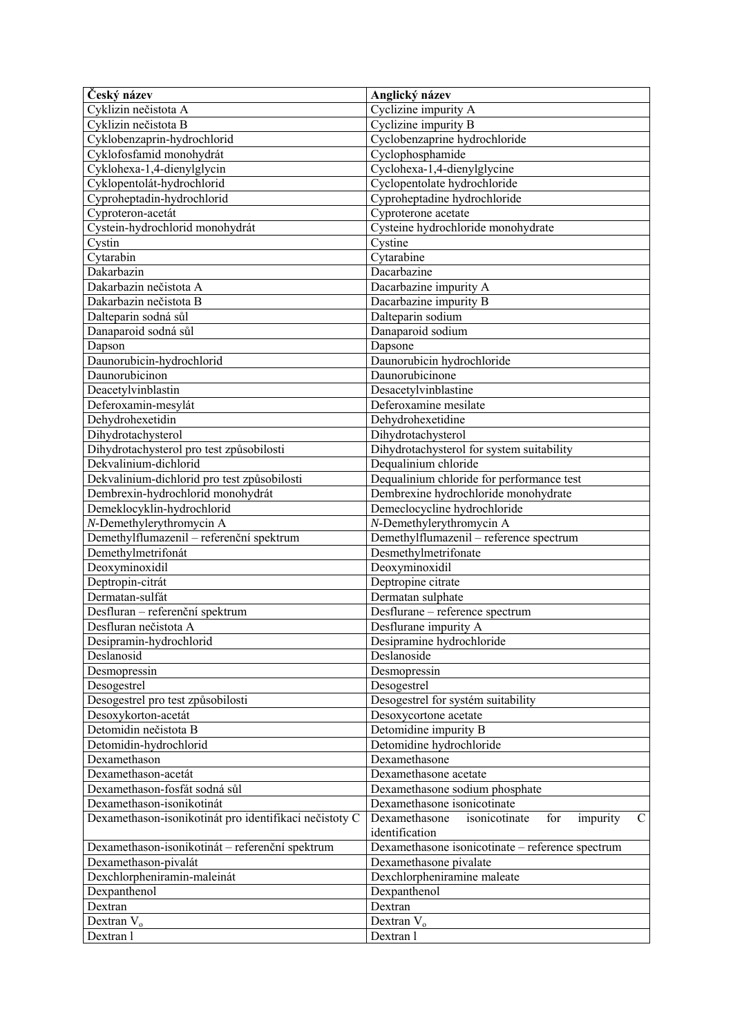| Český název                                            | Anglický název                                                     |
|--------------------------------------------------------|--------------------------------------------------------------------|
| Cyklizin nečistota A                                   | Cyclizine impurity A                                               |
| Cyklizin nečistota B                                   | Cyclizine impurity B                                               |
| Cyklobenzaprin-hydrochlorid                            | Cyclobenzaprine hydrochloride                                      |
| Cyklofosfamid monohydrát                               | Cyclophosphamide                                                   |
| Cyklohexa-1,4-dienylglycin                             | Cyclohexa-1,4-dienylglycine                                        |
| Cyklopentolát-hydrochlorid                             | Cyclopentolate hydrochloride                                       |
| Cyproheptadin-hydrochlorid                             | Cyproheptadine hydrochloride                                       |
| Cyproteron-acetát                                      | Cyproterone acetate                                                |
| Cystein-hydrochlorid monohydrát                        | Cysteine hydrochloride monohydrate                                 |
| Cystin                                                 | Cystine                                                            |
| Cytarabin                                              | Cytarabine                                                         |
| Dakarbazin                                             | Dacarbazine                                                        |
| Dakarbazin nečistota A                                 | Dacarbazine impurity A                                             |
| Dakarbazin nečistota B                                 | Dacarbazine impurity B                                             |
| Dalteparin sodná sůl                                   | Dalteparin sodium                                                  |
| Danaparoid sodná sůl                                   | Danaparoid sodium                                                  |
| Dapson                                                 | Dapsone                                                            |
| Daunorubicin-hydrochlorid                              | Daunorubicin hydrochloride                                         |
| Daunorubicinon                                         | Daunorubicinone                                                    |
| Deacetylvinblastin                                     | Desacetylvinblastine                                               |
| Deferoxamin-mesylát                                    | Deferoxamine mesilate                                              |
| Dehydrohexetidin                                       | Dehydrohexetidine                                                  |
| Dihydrotachysterol                                     | Dihydrotachysterol                                                 |
| Dihydrotachysterol pro test způsobilosti               | Dihydrotachysterol for system suitability                          |
| Dekvalinium-dichlorid                                  | Dequalinium chloride                                               |
| Dekvalinium-dichlorid pro test způsobilosti            | Dequalinium chloride for performance test                          |
| Dembrexin-hydrochlorid monohydrát                      | Dembrexine hydrochloride monohydrate                               |
| Demeklocyklin-hydrochlorid                             | Demeclocycline hydrochloride                                       |
| N-Demethylerythromycin A                               | N-Demethylerythromycin A                                           |
| Demethylflumazenil - referenční spektrum               | Demethylflumazenil - reference spectrum                            |
| Demethylmetrifonát                                     | Desmethylmetrifonate                                               |
| Deoxyminoxidil                                         | Deoxyminoxidil                                                     |
| Deptropin-citrát                                       | Deptropine citrate                                                 |
| Dermatan-sulfát                                        | Dermatan sulphate                                                  |
| Desfluran - referenční spektrum                        | Desflurane - reference spectrum                                    |
| Desfluran nečistota A                                  | Desflurane impurity A                                              |
| Desipramin-hydrochlorid                                | Desipramine hydrochloride                                          |
| Deslanosid                                             | Deslanoside                                                        |
| Desmopressin                                           | Desmopressin                                                       |
| Desogestrel                                            | Desogestrel                                                        |
| Desogestrel pro test způsobilosti                      | Desogestrel for systém suitability                                 |
| Desoxykorton-acetát                                    | Desoxycortone acetate                                              |
| Detomidin nečistota B                                  | Detomidine impurity B                                              |
| Detomidin-hydrochlorid                                 | Detomidine hydrochloride                                           |
| Dexamethason                                           | Dexamethasone                                                      |
| Dexamethason-acetát                                    | Dexamethasone acetate                                              |
| Dexamethason-fosfát sodná sůl                          | Dexamethasone sodium phosphate                                     |
| Dexamethason-isonikotinát                              | Dexamethasone isonicotinate                                        |
| Dexamethason-isonikotinát pro identifikaci nečistoty C | Dexamethasone<br>isonicotinate<br>impurity<br>$\mathcal{C}$<br>for |
|                                                        | identification                                                     |
| Dexamethason-isonikotinát - referenční spektrum        | Dexamethasone isonicotinate - reference spectrum                   |
| Dexamethason-pivalát                                   | Dexamethasone pivalate                                             |
| Dexchlorpheniramin-maleinát                            | Dexchlorpheniramine maleate                                        |
| Dexpanthenol                                           | Dexpanthenol                                                       |
| Dextran                                                | Dextran                                                            |
| Dextran $V_0$                                          | Dextran $V_0$                                                      |
| Dextran 1                                              | Dextran 1                                                          |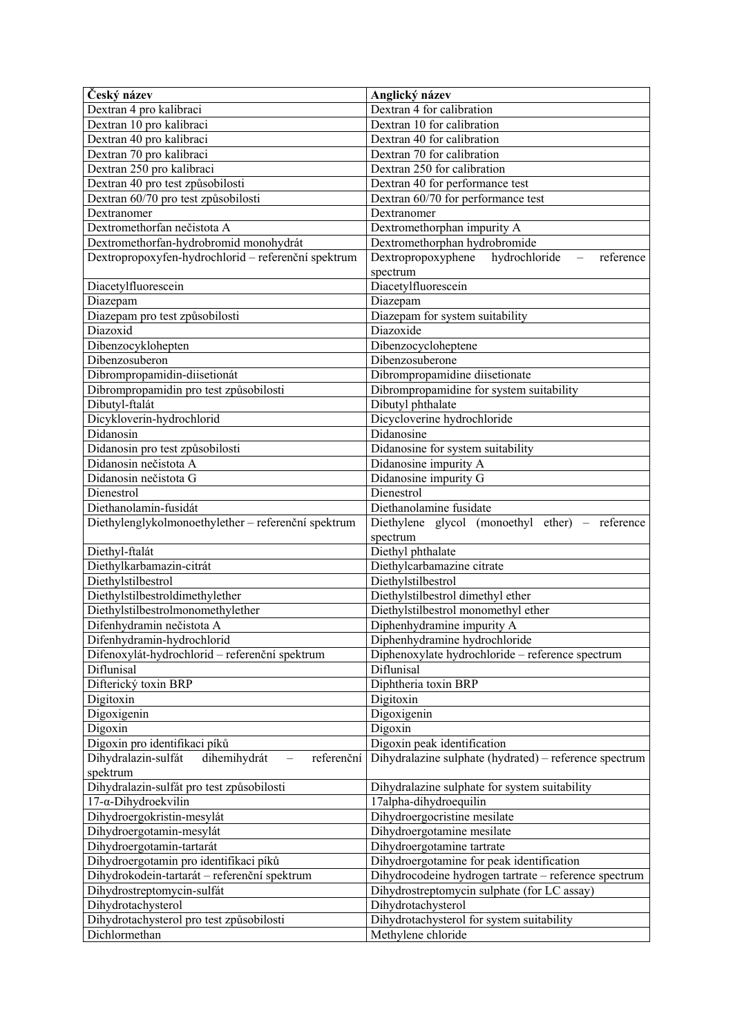| Český název                                         | Anglický název                                                            |
|-----------------------------------------------------|---------------------------------------------------------------------------|
| Dextran 4 pro kalibraci                             | Dextran 4 for calibration                                                 |
| Dextran 10 pro kalibraci                            | Dextran 10 for calibration                                                |
| Dextran 40 pro kalibraci                            | Dextran 40 for calibration                                                |
| Dextran 70 pro kalibraci                            | Dextran 70 for calibration                                                |
| Dextran 250 pro kalibraci                           | Dextran 250 for calibration                                               |
| Dextran 40 pro test způsobilosti                    | Dextran 40 for performance test                                           |
| Dextran 60/70 pro test způsobilosti                 | Dextran 60/70 for performance test                                        |
| Dextranomer                                         | Dextranomer                                                               |
| Dextromethorfan nečistota A                         | Dextromethorphan impurity A                                               |
| Dextromethorfan-hydrobromid monohydrát              | Dextromethorphan hydrobromide                                             |
| Dextropropoxyfen-hydrochlorid - referenční spektrum | Dextropropoxyphene hydrochloride<br>reference<br>$\overline{\phantom{m}}$ |
|                                                     | spectrum                                                                  |
| Diacetylfluorescein                                 | Diacetylfluorescein                                                       |
| Diazepam                                            | Diazepam                                                                  |
| Diazepam pro test způsobilosti                      | Diazepam for system suitability                                           |
| Diazoxid                                            | Diazoxide                                                                 |
| Dibenzocyklohepten                                  | Dibenzocycloheptene                                                       |
| Dibenzosuberon                                      | Dibenzosuberone                                                           |
| Dibrompropamidin-diisetionát                        | Dibrompropamidine diisetionate                                            |
| Dibrompropamidin pro test způsobilosti              | Dibrompropamidine for system suitability                                  |
| Dibutyl-ftalát                                      | Dibutyl phthalate                                                         |
| Dicykloverin-hydrochlorid                           | Dicycloverine hydrochloride                                               |
| Didanosin                                           | Didanosine                                                                |
| Didanosin pro test způsobilosti                     | Didanosine for system suitability                                         |
| Didanosin nečistota A                               | Didanosine impurity A                                                     |
| Didanosin nečistota G                               | Didanosine impurity G                                                     |
| Dienestrol                                          | Dienestrol                                                                |
| Diethanolamin-fusidát                               | Diethanolamine fusidate                                                   |
| Diethylenglykolmonoethylether - referenční spektrum | Diethylene glycol (monoethyl ether) – reference                           |
|                                                     | spectrum                                                                  |
| Diethyl-ftalát                                      | Diethyl phthalate                                                         |
| Diethylkarbamazin-citrát                            | Diethylcarbamazine citrate                                                |
| Diethylstilbestrol                                  | Diethylstilbestrol                                                        |
| Diethylstilbestroldimethylether                     | Diethylstilbestrol dimethyl ether                                         |
| Diethylstilbestrolmonomethylether                   | Diethylstilbestrol monomethyl ether                                       |
| Difenhydramin nečistota A                           | Diphenhydramine impurity A                                                |
| Difenhydramin-hydrochlorid                          | Diphenhydramine hydrochloride                                             |
| Difenoxylát-hydrochlorid – referenční spektrum      | Diphenoxylate hydrochloride - reference spectrum                          |
| Diflunisal                                          | Diflunisal                                                                |
| Difterický toxin BRP                                | Diphtheria toxin BRP                                                      |
| Digitoxin                                           | Digitoxin                                                                 |
| Digoxigenin                                         | Digoxigenin                                                               |
| Digoxin                                             | Digoxin                                                                   |
| Digoxin pro identifikaci píků                       | Digoxin peak identification                                               |
| Dihydralazin-sulfát<br>dihemihydrát<br>referenční   | Dihydralazine sulphate (hydrated) – reference spectrum                    |
| spektrum                                            |                                                                           |
| Dihydralazin-sulfát pro test způsobilosti           | Dihydralazine sulphate for system suitability                             |
| $17$ - $\alpha$ -Dihydroekvilin                     | 17alpha-dihydroequilin                                                    |
| Dihydroergokristin-mesylát                          | Dihydroergocristine mesilate                                              |
| Dihydroergotamin-mesylát                            | Dihydroergotamine mesilate                                                |
| Dihydroergotamin-tartarát                           | Dihydroergotamine tartrate                                                |
| Dihydroergotamin pro identifikaci píků              | Dihydroergotamine for peak identification                                 |
| Dihydrokodein-tartarát - referenční spektrum        | Dihydrocodeine hydrogen tartrate - reference spectrum                     |
| Dihydrostreptomycin-sulfát                          | Dihydrostreptomycin sulphate (for LC assay)                               |
| Dihydrotachysterol                                  | Dihydrotachysterol                                                        |
| Dihydrotachysterol pro test způsobilosti            | Dihydrotachysterol for system suitability                                 |
| Dichlormethan                                       | Methylene chloride                                                        |
|                                                     |                                                                           |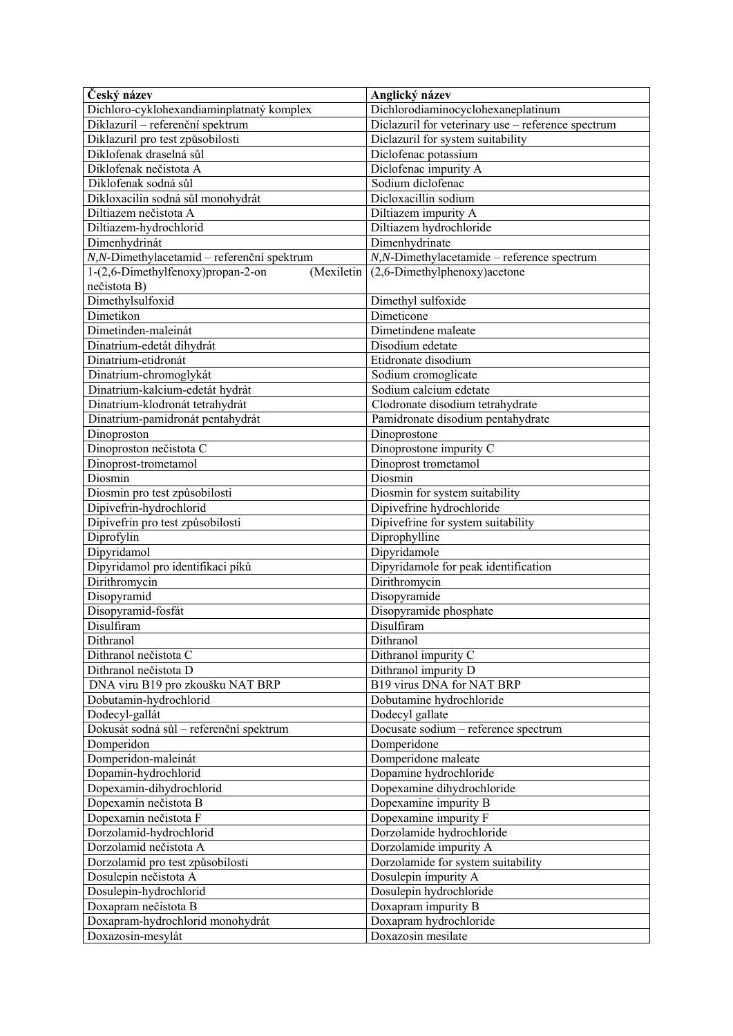| Český název                                     | Anglický název                                     |
|-------------------------------------------------|----------------------------------------------------|
| Dichloro-cyklohexandiaminplatnatý komplex       | Dichlorodiaminocyclohexaneplatinum                 |
| Diklazuril - referenční spektrum                | Diclazuril for veterinary use - reference spectrum |
| Diklazuril pro test způsobilosti                | Diclazuril for system suitability                  |
| Diklofenak draselná sůl                         | Diclofenac potassium                               |
| Diklofenak nečistota A                          | Diclofenac impurity A                              |
| Diklofenak sodná sůl                            | Sodium diclofenac                                  |
| Dikloxacilin sodná sůl monohydrát               | Dicloxacillin sodium                               |
| Diltiazem nečistota A                           | Diltiazem impurity A                               |
| Diltiazem-hydrochlorid                          | Diltiazem hydrochloride                            |
| Dimenhydrinát                                   | Dimenhydrinate                                     |
| N,N-Dimethylacetamid - referenční spektrum      | $N$ , $N$ -Dimethylacetamide – reference spectrum  |
| 1-(2,6-Dimethylfenoxy)propan-2-on<br>(Mexiletin | $(2,6$ -Dimethylphenoxy) acetone                   |
| nečistota B)                                    |                                                    |
| Dimethylsulfoxid                                | Dimethyl sulfoxide                                 |
| Dimetikon                                       | Dimeticone                                         |
| Dimetinden-maleinát                             | Dimetindene maleate                                |
| Dinatrium-edetát dihydrát                       | Disodium edetate                                   |
| Dinatrium-etidronát                             | Etidronate disodium                                |
| Dinatrium-chromoglykát                          | Sodium cromoglicate                                |
| Dinatrium-kalcium-edetát hydrát                 | Sodium calcium edetate                             |
| Dinatrium-klodronát tetrahydrát                 | Clodronate disodium tetrahydrate                   |
| Dinatrium-pamidronát pentahydrát                | Pamidronate disodium pentahydrate                  |
| Dinoproston                                     | Dinoprostone                                       |
| Dinoproston nečistota C                         | Dinoprostone impurity C                            |
| Dinoprost-trometamol                            | Dinoprost trometamol                               |
| Diosmin                                         | Diosmin                                            |
| Diosmin pro test způsobilosti                   | Diosmin for system suitability                     |
| Dipivefrin-hydrochlorid                         | Dipivefrine hydrochloride                          |
| Dipivefrin pro test způsobilosti                | Dipivefrine for system suitability                 |
| Diprofylin                                      | Diprophylline                                      |
| Dipyridamol                                     | Dipyridamole                                       |
| Dipyridamol pro identifikaci píků               | Dipyridamole for peak identification               |
| Dirithromycin                                   | Dirithromycin                                      |
| Disopyramid                                     | Disopyramide                                       |
| Disopyramid-fosfát                              | Disopyramide phosphate                             |
| Disulfiram                                      | Disulfiram                                         |
| Dithranol                                       | Dithranol                                          |
| Dithranol nečistota C                           | Dithranol impurity C                               |
| Dithranol nečistota D                           | Dithranol impurity D                               |
| DNA viru B19 pro zkoušku NAT BRP                | B19 virus DNA for NAT BRP                          |
| Dobutamin-hydrochlorid                          | Dobutamine hydrochloride                           |
| Dodecyl-gallát                                  | Dodecyl gallate                                    |
| Dokusát sodná sůl – referenční spektrum         | Docusate sodium - reference spectrum               |
| Domperidon                                      | Domperidone                                        |
| Domperidon-maleinát                             | Domperidone maleate                                |
| Dopamin-hydrochlorid                            | Dopamine hydrochloride                             |
| Dopexamin-dihydrochlorid                        | Dopexamine dihydrochloride                         |
| Dopexamin nečistota B                           | Dopexamine impurity B                              |
| Dopexamin nečistota F                           | Dopexamine impurity F                              |
| Dorzolamid-hydrochlorid                         | Dorzolamide hydrochloride                          |
| Dorzolamid nečistota A                          | Dorzolamide impurity A                             |
| Dorzolamid pro test způsobilosti                | Dorzolamide for system suitability                 |
| Dosulepin nečistota A                           | Dosulepin impurity A                               |
| Dosulepin-hydrochlorid                          | Dosulepin hydrochloride                            |
| Doxapram nečistota B                            | Doxapram impurity B                                |
| Doxapram-hydrochlorid monohydrát                | Doxapram hydrochloride                             |
| Doxazosin-mesylát                               | Doxazosin mesilate                                 |
|                                                 |                                                    |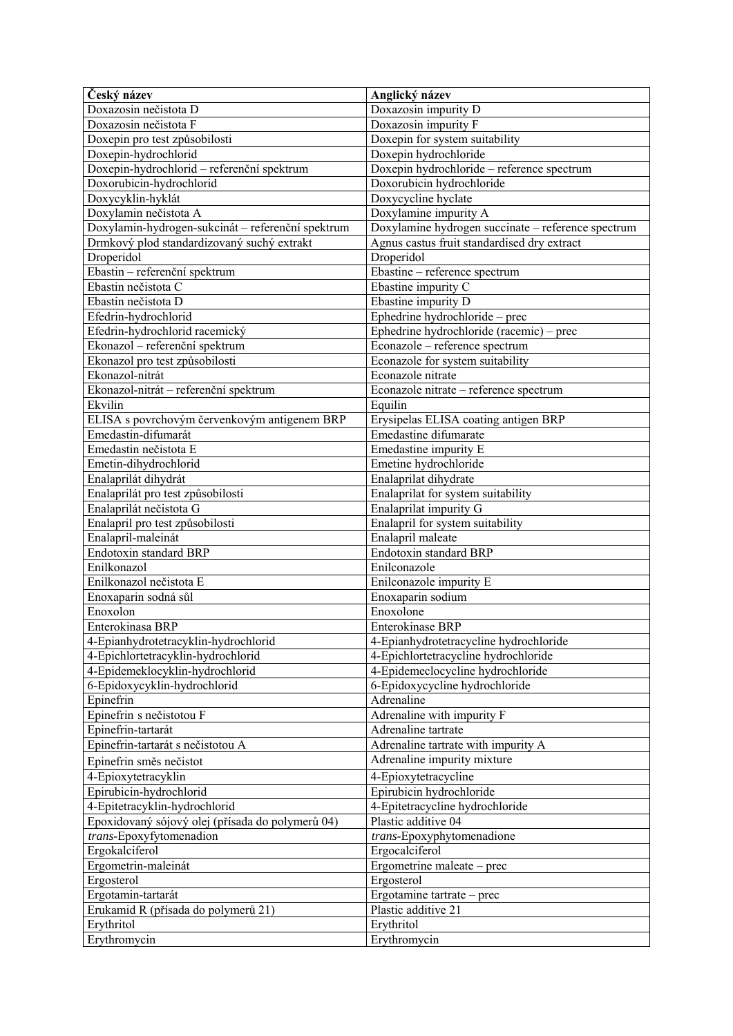| Český název                                       | Anglický název                                     |
|---------------------------------------------------|----------------------------------------------------|
| Doxazosin nečistota D                             | Doxazosin impurity D                               |
| Doxazosin nečistota F                             | Doxazosin impurity F                               |
| Doxepin pro test způsobilosti                     | Doxepin for system suitability                     |
| Doxepin-hydrochlorid                              | Doxepin hydrochloride                              |
| Doxepin-hydrochlorid – referenční spektrum        | Doxepin hydrochloride - reference spectrum         |
| Doxorubicin-hydrochlorid                          | Doxorubicin hydrochloride                          |
| Doxycyklin-hyklát                                 | Doxycycline hyclate                                |
| Doxylamin nečistota A                             | Doxylamine impurity A                              |
| Doxylamin-hydrogen-sukcinát – referenční spektrum | Doxylamine hydrogen succinate - reference spectrum |
| Drmkový plod standardizovaný suchý extrakt        | Agnus castus fruit standardised dry extract        |
| Droperidol                                        | Droperidol                                         |
| Ebastin - referenční spektrum                     | Ebastine - reference spectrum                      |
| Ebastin nečistota C                               | Ebastine impurity C                                |
| Ebastin nečistota D                               | Ebastine impurity D                                |
| Efedrin-hydrochlorid                              | Ephedrine hydrochloride – prec                     |
| Efedrin-hydrochlorid racemický                    | Ephedrine hydrochloride (racemic) – prec           |
| Ekonazol – referenční spektrum                    | Econazole - reference spectrum                     |
| Ekonazol pro test způsobilosti                    | Econazole for system suitability                   |
| Ekonazol-nitrát                                   | Econazole nitrate                                  |
| Ekonazol-nitrát – referenční spektrum             | Econazole nitrate - reference spectrum             |
| Ekvilin                                           | Equilin                                            |
| ELISA s povrchovým červenkovým antigenem BRP      | Erysipelas ELISA coating antigen BRP               |
| Emedastin-difumarát                               | Emedastine difumarate                              |
| Emedastin nečistota E                             | Emedastine impurity E                              |
| Emetin-dihydrochlorid                             | Emetine hydrochloride                              |
| Enalaprilát dihydrát                              | Enalaprilat dihydrate                              |
| Enalaprilát pro test způsobilosti                 | Enalaprilat for system suitability                 |
| Enalaprilát nečistota G                           | Enalaprilat impurity G                             |
| Enalapril pro test způsobilosti                   | Enalapril for system suitability                   |
| Enalapril-maleinát                                | Enalapril maleate                                  |
| Endotoxin standard BRP                            | Endotoxin standard BRP                             |
| Enilkonazol                                       | Enilconazole                                       |
| Enilkonazol nečistota E                           | Enilconazole impurity E                            |
| Enoxaparin sodná sůl                              | Enoxaparin sodium                                  |
| Enoxolon                                          | Enoxolone                                          |
| Enterokinasa BRP                                  | <b>Enterokinase BRP</b>                            |
| 4-Epianhydrotetracyklin-hydrochlorid              | 4-Epianhydrotetracycline hydrochloride             |
| 4-Epichlortetracyklin-hydrochlorid                | 4-Epichlortetracycline hydrochloride               |
| 4-Epidemeklocyklin-hydrochlorid                   | 4-Epidemeclocycline hydrochloride                  |
| 6-Epidoxycyklin-hydrochlorid                      | 6-Epidoxycycline hydrochloride                     |
| Epinefrin                                         | Adrenaline                                         |
| Epinefrin s nečistotou F                          | Adrenaline with impurity F                         |
| Epinefrin-tartarát                                | Adrenaline tartrate                                |
| Epinefrin-tartarát s nečistotou A                 | Adrenaline tartrate with impurity A                |
| Epinefrin směs nečistot                           | Adrenaline impurity mixture                        |
| 4-Epioxytetracyklin                               | 4-Epioxytetracycline                               |
| Epirubicin-hydrochlorid                           | Epirubicin hydrochloride                           |
| 4-Epitetracyklin-hydrochlorid                     | 4-Epitetracycline hydrochloride                    |
| Epoxidovaný sójový olej (přísada do polymerů 04)  | Plastic additive 04                                |
| trans-Epoxyfytomenadion                           | trans-Epoxyphytomenadione                          |
| Ergokalciferol                                    | Ergocalciferol                                     |
| Ergometrin-maleinát                               | Ergometrine maleate – prec                         |
| Ergosterol                                        | Ergosterol                                         |
| Ergotamin-tartarát                                | Ergotamine tartrate – prec                         |
| Erukamid R (přísada do polymerů 21)               | Plastic additive 21                                |
| Erythritol                                        | Erythritol                                         |
| Erythromycin                                      | Erythromycin                                       |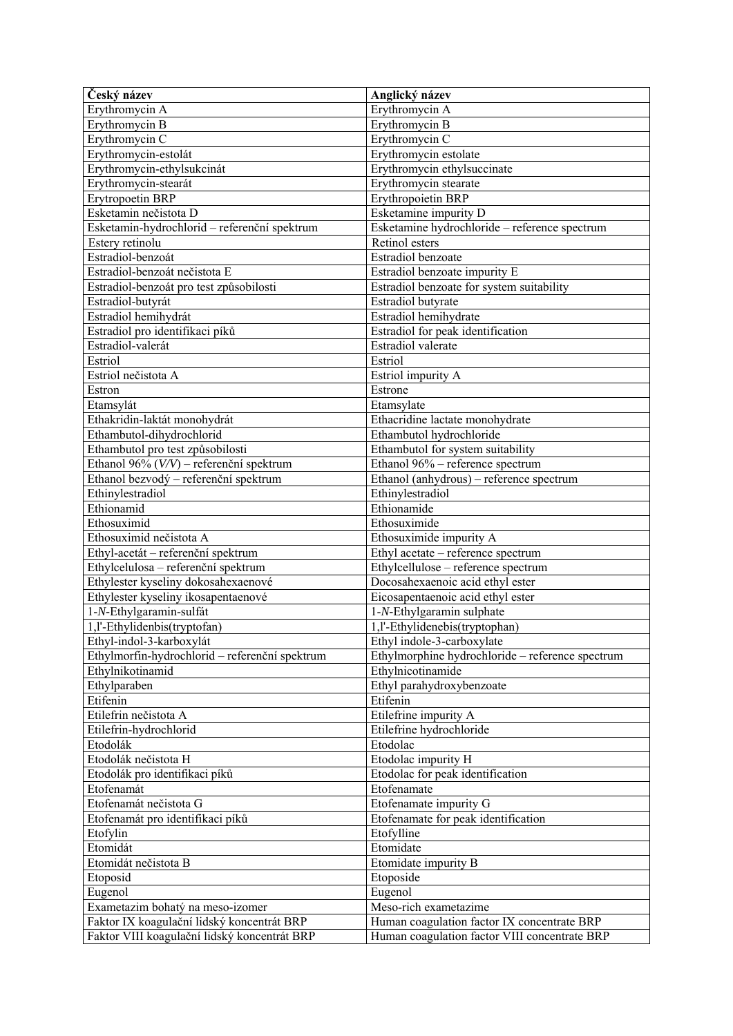| Český název                                    | Anglický název                                   |
|------------------------------------------------|--------------------------------------------------|
| Erythromycin A                                 | Erythromycin A                                   |
| Erythromycin B                                 | Erythromycin B                                   |
| Erythromycin C                                 | Erythromycin C                                   |
| Erythromycin-estolát                           | Erythromycin estolate                            |
| Erythromycin-ethylsukcinát                     | Erythromycin ethylsuccinate                      |
| Erythromycin-stearát                           | Erythromycin stearate                            |
| Erytropoetin BRP                               | Erythropoietin BRP                               |
| Esketamin nečistota D                          | Esketamine impurity D                            |
| Esketamin-hydrochlorid - referenční spektrum   | Esketamine hydrochloride - reference spectrum    |
| Estery retinolu                                | Retinol esters                                   |
| Estradiol-benzoát                              | Estradiol benzoate                               |
| Estradiol-benzoát nečistota E                  | Estradiol benzoate impurity E                    |
| Estradiol-benzoát pro test způsobilosti        | Estradiol benzoate for system suitability        |
| Estradiol-butyrát                              | Estradiol butyrate                               |
| Estradiol hemihydrát                           | Estradiol hemihydrate                            |
| Estradiol pro identifikaci píků                | Estradiol for peak identification                |
| Estradiol-valerát                              | Estradiol valerate                               |
| Estriol                                        | Estriol                                          |
| Estriol nečistota A                            | Estriol impurity A                               |
| Estron                                         | Estrone                                          |
| Etamsylát                                      | Etamsylate                                       |
| Ethakridin-laktát monohydrát                   | Ethacridine lactate monohydrate                  |
| Ethambutol-dihydrochlorid                      | Ethambutol hydrochloride                         |
| Ethambutol pro test způsobilosti               | Ethambutol for system suitability                |
| Ethanol 96% $(V/V)$ – referenční spektrum      | Ethanol 96% - reference spectrum                 |
| Ethanol bezvodý – referenční spektrum          | Ethanol (anhydrous) – reference spectrum         |
| Ethinylestradiol                               | Ethinylestradiol                                 |
| Ethionamid                                     | Ethionamide                                      |
| Ethosuximid                                    | Ethosuximide                                     |
| Ethosuximid nečistota A                        | Ethosuximide impurity A                          |
| Ethyl-acetát – referenční spektrum             | Ethyl acetate - reference spectrum               |
| Ethylcelulosa – referenční spektrum            | Ethylcellulose – reference spectrum              |
| Ethylester kyseliny dokosahexaenové            | Docosahexaenoic acid ethyl ester                 |
| Ethylester kyseliny ikosapentaenové            | Eicosapentaenoic acid ethyl ester                |
| 1-N-Ethylgaramin-sulfát                        | 1-N-Ethylgaramin sulphate                        |
| 1, l'-Ethylidenbis(tryptofan)                  | 1,l'-Ethylidenebis(tryptophan)                   |
| Ethyl-indol-3-karboxylát                       | Ethyl indole-3-carboxylate                       |
| Ethylmorfin-hydrochlorid – referenční spektrum | Ethylmorphine hydrochloride – reference spectrum |
| Ethylnikotinamid                               | Ethylnicotinamide                                |
| Ethylparaben                                   | Ethyl parahydroxybenzoate                        |
| Etifenin                                       | Etifenin                                         |
| Etilefrin nečistota A                          | Etilefrine impurity A                            |
| Etilefrin-hydrochlorid                         | Etilefrine hydrochloride                         |
| Etodolák                                       | Etodolac                                         |
| Etodolák nečistota H                           | Etodolac impurity H                              |
| Etodolák pro identifikaci píků                 | Etodolac for peak identification                 |
| Etofenamát                                     | Etofenamate                                      |
| Etofenamát nečistota G                         | Etofenamate impurity G                           |
| Etofenamát pro identifikaci píků               | Etofenamate for peak identification              |
| Etofylin                                       | Etofylline                                       |
| Etomidát                                       | Etomidate                                        |
| Etomidát nečistota B                           | Etomidate impurity B                             |
|                                                |                                                  |
| Etoposid                                       | Etoposide                                        |
| Eugenol                                        | Eugenol                                          |
| Exametazim bohatý na meso-izomer               | Meso-rich exametazime                            |
| Faktor IX koagulační lidský koncentrát BRP     | Human coagulation factor IX concentrate BRP      |
| Faktor VIII koagulační lidský koncentrát BRP   | Human coagulation factor VIII concentrate BRP    |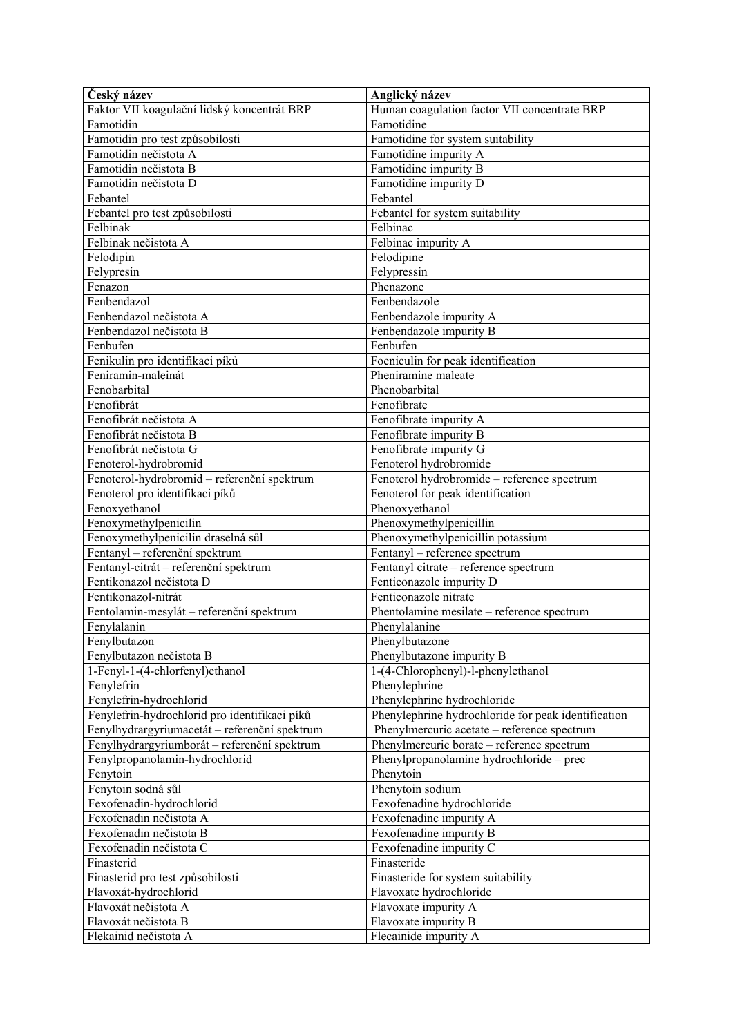| Český název                                   | Anglický název                                      |
|-----------------------------------------------|-----------------------------------------------------|
| Faktor VII koagulační lidský koncentrát BRP   | Human coagulation factor VII concentrate BRP        |
| Famotidin                                     | Famotidine                                          |
| Famotidin pro test způsobilosti               | Famotidine for system suitability                   |
| Famotidin nečistota A                         | Famotidine impurity A                               |
| Famotidin nečistota B                         | Famotidine impurity B                               |
| Famotidin nečistota D                         | Famotidine impurity D                               |
| Febantel                                      | Febantel                                            |
| Febantel pro test způsobilosti                | Febantel for system suitability                     |
| Felbinak                                      | Felbinac                                            |
| Felbinak nečistota A                          | Felbinac impurity A                                 |
| Felodipin                                     | Felodipine                                          |
| Felypresin                                    | Felypressin                                         |
| Fenazon                                       | Phenazone                                           |
| Fenbendazol                                   | Fenbendazole                                        |
| Fenbendazol nečistota A                       | Fenbendazole impurity A                             |
| Fenbendazol nečistota B                       | Fenbendazole impurity B                             |
| Fenbufen                                      | Fenbufen                                            |
| Fenikulin pro identifikaci píků               | Foeniculin for peak identification                  |
| Feniramin-maleinát                            | Pheniramine maleate                                 |
| Fenobarbital                                  | Phenobarbital                                       |
| Fenofibrát                                    | Fenofibrate                                         |
| Fenofibrát nečistota A                        | Fenofibrate impurity A                              |
| Fenofibrát nečistota B                        | Fenofibrate impurity B                              |
| Fenofibrát nečistota G                        | Fenofibrate impurity G                              |
| Fenoterol-hydrobromid                         | Fenoterol hydrobromide                              |
| Fenoterol-hydrobromid - referenční spektrum   | Fenoterol hydrobromide - reference spectrum         |
| Fenoterol pro identifikaci píků               | Fenoterol for peak identification                   |
| Fenoxyethanol                                 | Phenoxyethanol                                      |
| Fenoxymethylpenicilin                         | Phenoxymethylpenicillin                             |
| Fenoxymethylpenicilin draselná sůl            | Phenoxymethylpenicillin potassium                   |
| Fentanyl - referenční spektrum                | Fentanyl - reference spectrum                       |
| Fentanyl-citrát - referenční spektrum         | Fentanyl citrate - reference spectrum               |
| Fentikonazol nečistota D                      | Fenticonazole impurity D                            |
| Fentikonazol-nitrát                           | Fenticonazole nitrate                               |
| Fentolamin-mesylát – referenční spektrum      | Phentolamine mesilate - reference spectrum          |
| Fenylalanin                                   | Phenylalanine                                       |
| Fenylbutazon                                  | Phenylbutazone                                      |
| Fenylbutazon nečistota B                      | Phenylbutazone impurity B                           |
| 1-Fenyl-1-(4-chlorfenyl)ethanol               | 1-(4-Chlorophenyl)-l-phenylethanol                  |
| Fenylefrin                                    | Phenylephrine                                       |
| Fenylefrin-hydrochlorid                       | Phenylephrine hydrochloride                         |
| Fenylefrin-hydrochlorid pro identifikaci píků | Phenylephrine hydrochloride for peak identification |
| Fenylhydrargyriumacetát – referenční spektrum | Phenylmercuric acetate - reference spectrum         |
| Fenylhydrargyriumborát – referenční spektrum  | Phenylmercuric borate - reference spectrum          |
| Fenylpropanolamin-hydrochlorid                | Phenylpropanolamine hydrochloride – prec            |
| Fenytoin                                      | Phenytoin                                           |
| Fenytoin sodná sůl                            | Phenytoin sodium                                    |
| Fexofenadin-hydrochlorid                      | Fexofenadine hydrochloride                          |
| Fexofenadin nečistota A                       | Fexofenadine impurity A                             |
| Fexofenadin nečistota B                       | Fexofenadine impurity B                             |
| Fexofenadin nečistota C                       | Fexofenadine impurity C                             |
| Finasterid                                    | Finasteride                                         |
| Finasterid pro test způsobilosti              | Finasteride for system suitability                  |
| Flavoxát-hydrochlorid                         | Flavoxate hydrochloride                             |
| Flavoxát nečistota A                          | Flavoxate impurity A                                |
| Flavoxát nečistota B                          | Flavoxate impurity B                                |
| Flekainid nečistota A                         | Flecainide impurity A                               |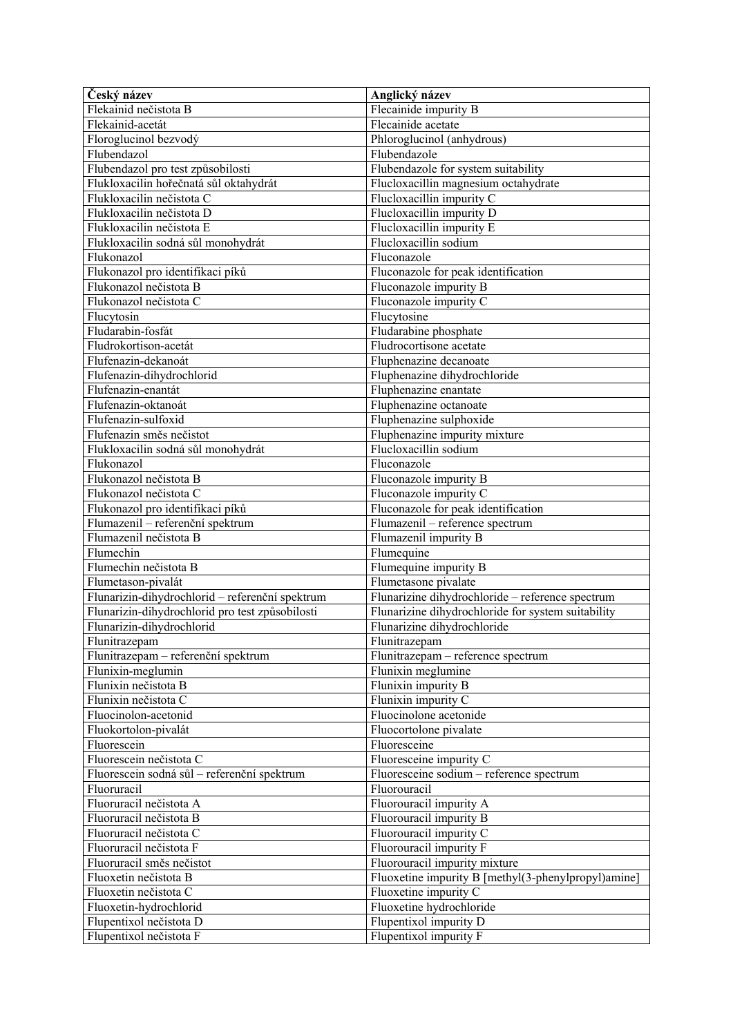| Český název                                     | Anglický název                                      |
|-------------------------------------------------|-----------------------------------------------------|
| Flekainid nečistota B                           | Flecainide impurity B                               |
| Flekainid-acetát                                | Flecainide acetate                                  |
| Floroglucinol bezvodý                           | Phloroglucinol (anhydrous)                          |
| Flubendazol                                     | Flubendazole                                        |
| Flubendazol pro test způsobilosti               | Flubendazole for system suitability                 |
| Flukloxacilin hořečnatá sůl oktahydrát          | Flucloxacillin magnesium octahydrate                |
| Flukloxacilin nečistota C                       | Flucloxacillin impurity C                           |
| Flukloxacilin nečistota D                       | Flucloxacillin impurity D                           |
| Flukloxacilin nečistota E                       | Flucloxacillin impurity E                           |
| Flukloxacilin sodná sůl monohydrát              | Flucloxacillin sodium                               |
| Flukonazol                                      | Fluconazole                                         |
| Flukonazol pro identifikaci píků                | Fluconazole for peak identification                 |
| Flukonazol nečistota B                          | Fluconazole impurity B                              |
| Flukonazol nečistota C                          | Fluconazole impurity C                              |
| Flucytosin                                      | Flucytosine                                         |
| Fludarabin-fosfát                               | Fludarabine phosphate                               |
| Fludrokortison-acetát                           | Fludrocortisone acetate                             |
| Flufenazin-dekanoát                             | Fluphenazine decanoate                              |
| Flufenazin-dihydrochlorid                       | Fluphenazine dihydrochloride                        |
| Flufenazin-enantát                              | Fluphenazine enantate                               |
| Flufenazin-oktanoát                             | Fluphenazine octanoate                              |
| Flufenazin-sulfoxid                             | Fluphenazine sulphoxide                             |
| Flufenazin směs nečistot                        | Fluphenazine impurity mixture                       |
| Flukloxacilin sodná sůl monohydrát              | Flucloxacillin sodium                               |
| Flukonazol                                      | Fluconazole                                         |
| Flukonazol nečistota B                          | Fluconazole impurity B                              |
| Flukonazol nečistota C                          | Fluconazole impurity C                              |
| Flukonazol pro identifikaci píků                | Fluconazole for peak identification                 |
| Flumazenil - referenční spektrum                | Flumazenil - reference spectrum                     |
| Flumazenil nečistota B                          | Flumazenil impurity B                               |
| Flumechin                                       | Flumequine                                          |
| Flumechin nečistota B                           | Flumequine impurity B                               |
| Flumetason-pivalát                              | Flumetasone pivalate                                |
| Flunarizin-dihydrochlorid - referenční spektrum | Flunarizine dihydrochloride - reference spectrum    |
| Flunarizin-dihydrochlorid pro test způsobilosti | Flunarizine dihydrochloride for system suitability  |
| Flunarizin-dihydrochlorid                       | Flunarizine dihydrochloride                         |
| Flunitrazepam                                   | Flunitrazepam                                       |
| Flunitrazepam – referenční spektrum             | Flunitrazepam - reference spectrum                  |
| Flunixin-meglumin                               | Flunixin meglumine                                  |
| Flunixin nečistota B                            | Flunixin impurity B                                 |
| Flunixin nečistota C                            | Flunixin impurity C                                 |
| Fluocinolon-acetonid                            | Fluocinolone acetonide                              |
| Fluokortolon-pivalát                            | Fluocortolone pivalate                              |
| Fluorescein                                     | Fluoresceine                                        |
| Fluorescein nečistota C                         | Fluoresceine impurity C                             |
| Fluorescein sodná sůl – referenční spektrum     | Fluoresceine sodium - reference spectrum            |
| Fluoruracil                                     | Fluorouracil                                        |
| Fluoruracil nečistota A                         | Fluorouracil impurity A                             |
| Fluoruracil nečistota B                         | Fluorouracil impurity B                             |
| Fluoruracil nečistota C                         | Fluorouracil impurity C                             |
| Fluoruracil nečistota F                         | Fluorouracil impurity F                             |
| Fluoruracil směs nečistot                       | Fluorouracil impurity mixture                       |
| Fluoxetin nečistota B                           | Fluoxetine impurity B [methyl(3-phenylpropyl)amine] |
| Fluoxetin nečistota C                           | Fluoxetine impurity C                               |
| Fluoxetin-hydrochlorid                          | Fluoxetine hydrochloride                            |
| Flupentixol nečistota D                         | Flupentixol impurity D                              |
| Flupentixol nečistota F                         | Flupentixol impurity F                              |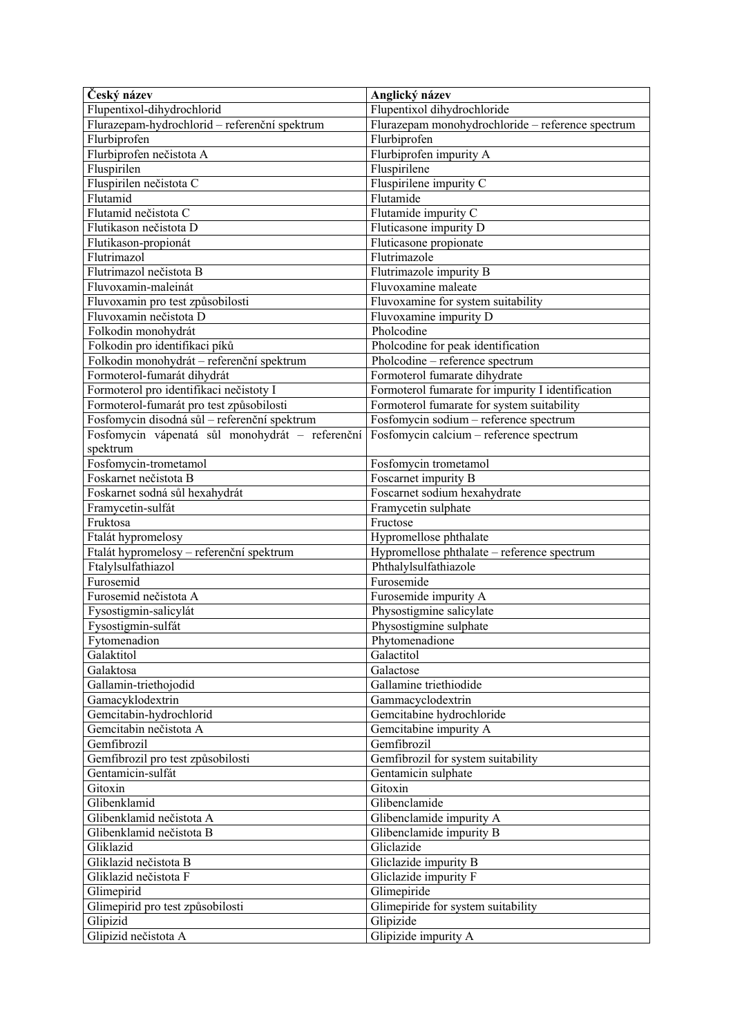| Český název                                     | Anglický název                                    |
|-------------------------------------------------|---------------------------------------------------|
| Flupentixol-dihydrochlorid                      | Flupentixol dihydrochloride                       |
| Flurazepam-hydrochlorid - referenční spektrum   | Flurazepam monohydrochloride - reference spectrum |
| Flurbiprofen                                    | Flurbiprofen                                      |
| Flurbiprofen nečistota A                        | Flurbiprofen impurity A                           |
| Fluspirilen                                     | Fluspirilene                                      |
| Fluspirilen nečistota C                         | Fluspirilene impurity C                           |
| Flutamid                                        | Flutamide                                         |
| Flutamid nečistota C                            | Flutamide impurity C                              |
| Flutikason nečistota D                          | Fluticasone impurity D                            |
| Flutikason-propionát                            | Fluticasone propionate                            |
| Flutrimazol                                     | Flutrimazole                                      |
| Flutrimazol nečistota B                         | Flutrimazole impurity B                           |
| Fluvoxamin-maleinát                             | Fluvoxamine maleate                               |
| Fluvoxamin pro test způsobilosti                | Fluvoxamine for system suitability                |
| Fluvoxamin nečistota D                          | Fluvoxamine impurity D                            |
| Folkodin monohydrát                             | Pholcodine                                        |
| Folkodin pro identifikaci píků                  | Pholcodine for peak identification                |
| Folkodin monohydrát – referenční spektrum       | Pholcodine – reference spectrum                   |
| Formoterol-fumarát dihydrát                     | Formoterol fumarate dihydrate                     |
| Formoterol pro identifikaci nečistoty I         | Formoterol fumarate for impurity I identification |
| Formoterol-fumarát pro test způsobilosti        | Formoterol fumarate for system suitability        |
| Fosfomycin disodná sůl – referenční spektrum    | Fosfomycin sodium - reference spectrum            |
| Fosfomycin vápenatá sůl monohydrát – referenční | Fosfomycin calcium – reference spectrum           |
| spektrum                                        |                                                   |
| Fosfomycin-trometamol                           | Fosfomycin trometamol                             |
| Foskarnet nečistota B                           | Foscarnet impurity B                              |
| Foskarnet sodná sůl hexahydrát                  | Foscarnet sodium hexahydrate                      |
| Framycetin-sulfát                               | Framycetin sulphate                               |
| Fruktosa                                        | Fructose                                          |
| Ftalát hypromelosy                              | Hypromellose phthalate                            |
| Ftalát hypromelosy – referenční spektrum        | Hypromellose phthalate - reference spectrum       |
| Ftalylsulfathiazol                              | Phthalylsulfathiazole                             |
| Furosemid                                       | Furosemide                                        |
| Furosemid nečistota A                           | Furosemide impurity A                             |
| Fysostigmin-salicylát                           | Physostigmine salicylate                          |
| Fysostigmin-sulfát                              | Physostigmine sulphate                            |
| Fytomenadion                                    | Phytomenadione                                    |
| Galaktitol                                      | Galactitol                                        |
| Galaktosa                                       | Galactose                                         |
| Gallamin-triethojodid                           | Gallamine triethiodide                            |
| Gamacyklodextrin                                | Gammacyclodextrin                                 |
| Gemcitabin-hydrochlorid                         | Gemcitabine hydrochloride                         |
| Gemcitabin nečistota A                          | Gemcitabine impurity A                            |
| Gemfibrozil                                     | Gemfibrozil                                       |
| Gemfibrozil pro test způsobilosti               | Gemfibrozil for system suitability                |
| Gentamicin-sulfát                               | Gentamicin sulphate                               |
| Gitoxin                                         | Gitoxin                                           |
| Glibenklamid                                    | Glibenclamide                                     |
| Glibenklamid nečistota A                        | Glibenclamide impurity A                          |
| Glibenklamid nečistota B                        | Glibenclamide impurity B                          |
| Gliklazid                                       | Gliclazide                                        |
| Gliklazid nečistota B                           | Gliclazide impurity B                             |
| Gliklazid nečistota F                           | Gliclazide impurity F                             |
| Glimepirid                                      | Glimepiride                                       |
| Glimepirid pro test způsobilosti                | Glimepiride for system suitability                |
| Glipizid                                        | Glipizide                                         |
| Glipizid nečistota A                            | Glipizide impurity A                              |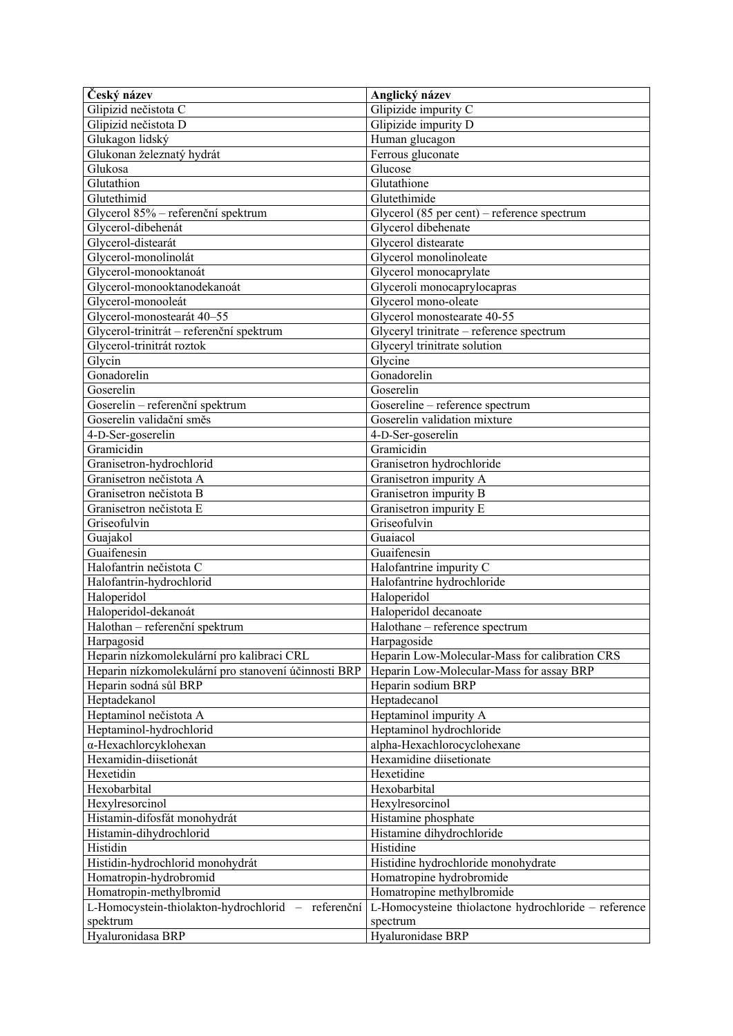| Český název                                          | Anglický název                                       |
|------------------------------------------------------|------------------------------------------------------|
| Glipizid nečistota C                                 | Glipizide impurity C                                 |
| Glipizid nečistota D                                 | Glipizide impurity D                                 |
| Glukagon lidský                                      | Human glucagon                                       |
| Glukonan železnatý hydrát                            | Ferrous gluconate                                    |
| Glukosa                                              | Glucose                                              |
| Glutathion                                           | Glutathione                                          |
| Glutethimid                                          | Glutethimide                                         |
| Glycerol 85% - referenční spektrum                   | Glycerol (85 per cent) - reference spectrum          |
| Glycerol-dibehenát                                   | Glycerol dibehenate                                  |
| Glycerol-distearát                                   | Glycerol distearate                                  |
| Glycerol-monolinolát                                 | Glycerol monolinoleate                               |
| Glycerol-monooktanoát                                | Glycerol monocaprylate                               |
| Glycerol-monooktanodekanoát                          | Glyceroli monocaprylocapras                          |
|                                                      | Glycerol mono-oleate                                 |
| Glycerol-monooleát                                   |                                                      |
| Glycerol-monostearát 40-55                           | Glycerol monostearate 40-55                          |
| Glycerol-trinitrát - referenční spektrum             | Glyceryl trinitrate - reference spectrum             |
| Glycerol-trinitrát roztok                            | Glyceryl trinitrate solution                         |
| Glycin                                               | Glycine                                              |
| Gonadorelin                                          | Gonadorelin                                          |
| Goserelin                                            | Goserelin                                            |
| Goserelin - referenční spektrum                      | Gosereline - reference spectrum                      |
| Goserelin validační směs                             | Goserelin validation mixture                         |
| 4-D-Ser-goserelin                                    | 4-D-Ser-goserelin                                    |
| Gramicidin                                           | Gramicidin                                           |
| Granisetron-hydrochlorid                             | Granisetron hydrochloride                            |
| Granisetron nečistota A                              | Granisetron impurity A                               |
| Granisetron nečistota B                              | Granisetron impurity B                               |
| Granisetron nečistota E                              | Granisetron impurity E                               |
| Griseofulvin                                         | Griseofulvin                                         |
| Guajakol                                             | Guaiacol                                             |
| Guaifenesin                                          | Guaifenesin                                          |
| Halofantrin nečistota C                              | Halofantrine impurity C                              |
| Halofantrin-hydrochlorid                             | Halofantrine hydrochloride                           |
| Haloperidol                                          | Haloperidol                                          |
| Haloperidol-dekanoát                                 | Haloperidol decanoate                                |
| Halothan - referenční spektrum                       | Halothane - reference spectrum                       |
| Harpagosid                                           | Harpagoside                                          |
| Heparin nízkomolekulární pro kalibraci CRL           | Heparin Low-Molecular-Mass for calibration CRS       |
| Heparin nízkomolekulární pro stanovení účinnosti BRP | Heparin Low-Molecular-Mass for assay BRP             |
| Heparin sodná sůl BRP                                | Heparin sodium BRP                                   |
| Heptadekanol                                         | Heptadecanol                                         |
| Heptaminol nečistota A                               | Heptaminol impurity A                                |
|                                                      |                                                      |
| Heptaminol-hydrochlorid                              | Heptaminol hydrochloride                             |
| α-Hexachlorcyklohexan                                | alpha-Hexachlorocyclohexane                          |
| Hexamidin-diisetionát                                | Hexamidine diisetionate                              |
| Hexetidin                                            | Hexetidine                                           |
| Hexobarbital                                         | Hexobarbital                                         |
| Hexylresorcinol                                      | Hexylresorcinol                                      |
| Histamin-difosfát monohydrát                         | Histamine phosphate                                  |
| Histamin-dihydrochlorid                              | Histamine dihydrochloride                            |
| Histidin                                             | Histidine                                            |
| Histidin-hydrochlorid monohydrát                     | Histidine hydrochloride monohydrate                  |
| Homatropin-hydrobromid                               | Homatropine hydrobromide                             |
| Homatropin-methylbromid                              | Homatropine methylbromide                            |
| L-Homocystein-thiolakton-hydrochlorid - referenční   | L-Homocysteine thiolactone hydrochloride - reference |
| spektrum                                             | spectrum                                             |
| Hyaluronidasa BRP                                    | Hyaluronidase BRP                                    |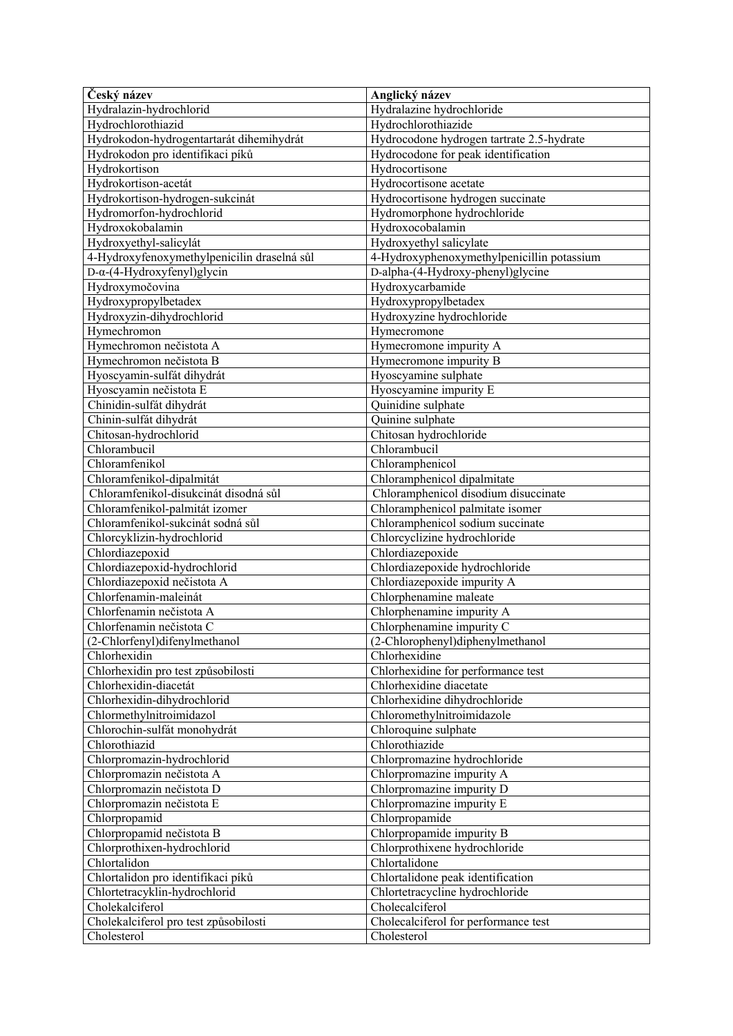| Český název                                 | Anglický název                             |
|---------------------------------------------|--------------------------------------------|
| Hydralazin-hydrochlorid                     | Hydralazine hydrochloride                  |
| Hydrochlorothiazid                          | Hydrochlorothiazide                        |
| Hydrokodon-hydrogentartarát dihemihydrát    | Hydrocodone hydrogen tartrate 2.5-hydrate  |
| Hydrokodon pro identifikaci píků            | Hydrocodone for peak identification        |
| Hydrokortison                               | Hydrocortisone                             |
| Hydrokortison-acetát                        | Hydrocortisone acetate                     |
| Hydrokortison-hydrogen-sukcinát             | Hydrocortisone hydrogen succinate          |
| Hydromorfon-hydrochlorid                    | Hydromorphone hydrochloride                |
| Hydroxokobalamin                            | Hydroxocobalamin                           |
| Hydroxyethyl-salicylát                      | Hydroxyethyl salicylate                    |
| 4-Hydroxyfenoxymethylpenicilin draselná sůl | 4-Hydroxyphenoxymethylpenicillin potassium |
| D-α-(4-Hydroxyfenyl)glycin                  | D-alpha-(4-Hydroxy-phenyl)glycine          |
| Hydroxymočovina                             | Hydroxycarbamide                           |
| Hydroxypropylbetadex                        | Hydroxypropylbetadex                       |
| Hydroxyzin-dihydrochlorid                   | Hydroxyzine hydrochloride                  |
| Hymechromon                                 | Hymecromone                                |
| Hymechromon nečistota A                     | Hymecromone impurity A                     |
| Hymechromon nečistota B                     | Hymecromone impurity B                     |
| Hyoscyamin-sulfát dihydrát                  | Hyoscyamine sulphate                       |
| Hyoscyamin nečistota E                      | Hyoscyamine impurity E                     |
| Chinidin-sulfát dihydrát                    | Quinidine sulphate                         |
| Chinin-sulfát dihydrát                      | Quinine sulphate                           |
| Chitosan-hydrochlorid                       | Chitosan hydrochloride                     |
| Chlorambucil                                | Chlorambucil                               |
| Chloramfenikol                              | Chloramphenicol                            |
| Chloramfenikol-dipalmitát                   | Chloramphenicol dipalmitate                |
| Chloramfenikol-disukcinát disodná sůl       | Chloramphenicol disodium disuccinate       |
| Chloramfenikol-palmitát izomer              | Chloramphenicol palmitate isomer           |
| Chloramfenikol-sukcinát sodná sůl           | Chloramphenicol sodium succinate           |
| Chlorcyklizin-hydrochlorid                  | Chlorcyclizine hydrochloride               |
| Chlordiazepoxid                             | Chlordiazepoxide                           |
| Chlordiazepoxid-hydrochlorid                | Chlordiazepoxide hydrochloride             |
| Chlordiazepoxid nečistota A                 | Chlordiazepoxide impurity A                |
| Chlorfenamin-maleinát                       | Chlorphenamine maleate                     |
| Chlorfenamin nečistota A                    | Chlorphenamine impurity A                  |
| Chlorfenamin nečistota C                    | Chlorphenamine impurity C                  |
| (2-Chlorfenyl)difenylmethanol               | (2-Chlorophenyl)diphenylmethanol           |
| Chlorhexidin                                | Chlorhexidine                              |
| Chlorhexidin pro test způsobilosti          | Chlorhexidine for performance test         |
| Chlorhexidin-diacetát                       | Chlorhexidine diacetate                    |
| Chlorhexidin-dihydrochlorid                 | Chlorhexidine dihydrochloride              |
| Chlormethylnitroimidazol                    | Chloromethylnitroimidazole                 |
| Chlorochin-sulfát monohydrát                | Chloroquine sulphate                       |
| Chlorothiazid                               | Chlorothiazide                             |
| Chlorpromazin-hydrochlorid                  | Chlorpromazine hydrochloride               |
| Chlorpromazin nečistota A                   | Chlorpromazine impurity A                  |
| Chlorpromazin nečistota D                   | Chlorpromazine impurity D                  |
| Chlorpromazin nečistota E                   | Chlorpromazine impurity E                  |
| Chlorpropamid                               | Chlorpropamide                             |
| Chlorpropamid nečistota B                   | Chlorpropamide impurity B                  |
| Chlorprothixen-hydrochlorid                 | Chlorprothixene hydrochloride              |
| Chlortalidon                                | Chlortalidone                              |
| Chlortalidon pro identifikaci píků          | Chlortalidone peak identification          |
| Chlortetracyklin-hydrochlorid               | Chlortetracycline hydrochloride            |
| Cholekalciferol                             | Cholecalciferol                            |
| Cholekalciferol pro test způsobilosti       | Cholecalciferol for performance test       |
| Cholesterol                                 | Cholesterol                                |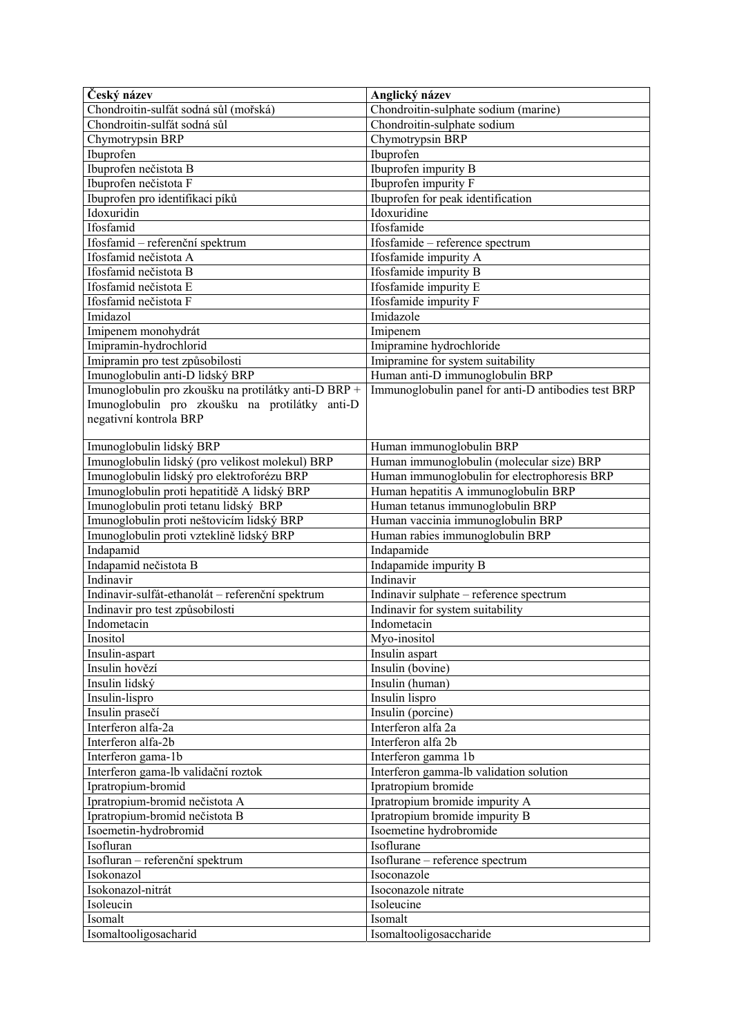| Chondroitin-sulfát sodná sůl (mořská)<br>Chondroitin-sulfát sodná sůl<br>Chondroitin-sulphate sodium<br>Chymotrypsin BRP<br>Chymotrypsin BRP<br>Ibuprofen<br>Ibuprofen<br>Ibuprofen nečistota B<br>Ibuprofen impurity B<br>Ibuprofen nečistota F<br>Ibuprofen impurity F<br>Ibuprofen pro identifikaci píků<br>Ibuprofen for peak identification<br>Idoxuridine<br>Idoxuridin<br>Ifosfamid<br>Ifosfamide<br>Ifosfamid - referenční spektrum<br>Ifosfamide - reference spectrum<br>Ifosfamid nečistota A<br>Ifosfamide impurity A<br>Ifosfamid nečistota B<br>Ifosfamide impurity B<br>Ifosfamide impurity E<br>Ifosfamid nečistota E<br>Ifosfamide impurity F<br>Ifosfamid nečistota F<br>Imidazol<br>Imidazole<br>Imipenem<br>Imipenem monohydrát<br>Imipramin-hydrochlorid<br>Imipramine hydrochloride<br>Imipramin pro test způsobilosti<br>Imipramine for system suitability<br>Human anti-D immunoglobulin BRP<br>Imunoglobulin anti-D lidský BRP<br>Imunoglobulin pro zkoušku na protilátky anti-D BRP +<br>Immunoglobulin panel for anti-D antibodies test BRP<br>Imunoglobulin pro zkoušku na protilátky anti-D<br>negativní kontrola BRP<br>Imunoglobulin lidský BRP<br>Human immunoglobulin BRP<br>Imunoglobulin lidský (pro velikost molekul) BRP<br>Human immunoglobulin (molecular size) BRP<br>Imunoglobulin lidský pro elektroforézu BRP<br>Human immunoglobulin for electrophoresis BRP<br>Human hepatitis A immunoglobulin BRP<br>Imunoglobulin proti hepatitidě A lidský BRP<br>Imunoglobulin proti tetanu lidský BRP<br>Human tetanus immunoglobulin BRP<br>Imunoglobulin proti neštovicím lidský BRP<br>Human vaccinia immunoglobulin BRP<br>Imunoglobulin proti vzteklině lidský BRP<br>Human rabies immunoglobulin BRP<br>Indapamid<br>Indapamide<br>Indapamid nečistota B<br>Indapamide impurity B<br>Indinavir<br>Indinavir<br>Indinavir-sulfát-ethanolát - referenční spektrum<br>Indinavir sulphate - reference spectrum<br>Indinavir pro test způsobilosti<br>Indinavir for system suitability<br>Indometacin<br>Indometacin<br>Inositol<br>Myo-inositol<br>Insulin-aspart<br>Insulin aspart<br>Insulin hovězí<br>Insulin (bovine)<br>Insulin lidský<br>Insulin (human)<br>Insulin-lispro<br>Insulin lispro<br>Insulin prasečí<br>Insulin (porcine)<br>Interferon alfa 2a<br>Interferon alfa-2a<br>Interferon alfa-2b<br>Interferon alfa 2b<br>Interferon gama-1b<br>Interferon gamma 1b<br>Interferon gama-lb validační roztok<br>Interferon gamma-lb validation solution<br>Ipratropium-bromid<br>Ipratropium bromide<br>Ipratropium-bromid nečistota A<br>Ipratropium bromide impurity A<br>Ipratropium-bromid nečistota B<br>Ipratropium bromide impurity B<br>Isoemetin-hydrobromid<br>Isoemetine hydrobromide<br>Isoflurane<br>Isofluran<br>Isofluran - referenční spektrum<br>Isoflurane - reference spectrum<br>Isokonazol<br>Isoconazole<br>Isokonazol-nitrát<br>Isoconazole nitrate<br>Isoleucine<br>Isoleucin<br>Isomalt<br>Isomalt | Český název           | Anglický název                       |
|---------------------------------------------------------------------------------------------------------------------------------------------------------------------------------------------------------------------------------------------------------------------------------------------------------------------------------------------------------------------------------------------------------------------------------------------------------------------------------------------------------------------------------------------------------------------------------------------------------------------------------------------------------------------------------------------------------------------------------------------------------------------------------------------------------------------------------------------------------------------------------------------------------------------------------------------------------------------------------------------------------------------------------------------------------------------------------------------------------------------------------------------------------------------------------------------------------------------------------------------------------------------------------------------------------------------------------------------------------------------------------------------------------------------------------------------------------------------------------------------------------------------------------------------------------------------------------------------------------------------------------------------------------------------------------------------------------------------------------------------------------------------------------------------------------------------------------------------------------------------------------------------------------------------------------------------------------------------------------------------------------------------------------------------------------------------------------------------------------------------------------------------------------------------------------------------------------------------------------------------------------------------------------------------------------------------------------------------------------------------------------------------------------------------------------------------------------------------------------------------------------------------------------------------------------------------------------------------------------------------------------------------------------------------------------------------------------------------------------------------------------------------------------------------------------------------------------------------------------------------------------------------------------------------------------------------------------------------------|-----------------------|--------------------------------------|
|                                                                                                                                                                                                                                                                                                                                                                                                                                                                                                                                                                                                                                                                                                                                                                                                                                                                                                                                                                                                                                                                                                                                                                                                                                                                                                                                                                                                                                                                                                                                                                                                                                                                                                                                                                                                                                                                                                                                                                                                                                                                                                                                                                                                                                                                                                                                                                                                                                                                                                                                                                                                                                                                                                                                                                                                                                                                                                                                                                           |                       | Chondroitin-sulphate sodium (marine) |
|                                                                                                                                                                                                                                                                                                                                                                                                                                                                                                                                                                                                                                                                                                                                                                                                                                                                                                                                                                                                                                                                                                                                                                                                                                                                                                                                                                                                                                                                                                                                                                                                                                                                                                                                                                                                                                                                                                                                                                                                                                                                                                                                                                                                                                                                                                                                                                                                                                                                                                                                                                                                                                                                                                                                                                                                                                                                                                                                                                           |                       |                                      |
|                                                                                                                                                                                                                                                                                                                                                                                                                                                                                                                                                                                                                                                                                                                                                                                                                                                                                                                                                                                                                                                                                                                                                                                                                                                                                                                                                                                                                                                                                                                                                                                                                                                                                                                                                                                                                                                                                                                                                                                                                                                                                                                                                                                                                                                                                                                                                                                                                                                                                                                                                                                                                                                                                                                                                                                                                                                                                                                                                                           |                       |                                      |
|                                                                                                                                                                                                                                                                                                                                                                                                                                                                                                                                                                                                                                                                                                                                                                                                                                                                                                                                                                                                                                                                                                                                                                                                                                                                                                                                                                                                                                                                                                                                                                                                                                                                                                                                                                                                                                                                                                                                                                                                                                                                                                                                                                                                                                                                                                                                                                                                                                                                                                                                                                                                                                                                                                                                                                                                                                                                                                                                                                           |                       |                                      |
|                                                                                                                                                                                                                                                                                                                                                                                                                                                                                                                                                                                                                                                                                                                                                                                                                                                                                                                                                                                                                                                                                                                                                                                                                                                                                                                                                                                                                                                                                                                                                                                                                                                                                                                                                                                                                                                                                                                                                                                                                                                                                                                                                                                                                                                                                                                                                                                                                                                                                                                                                                                                                                                                                                                                                                                                                                                                                                                                                                           |                       |                                      |
|                                                                                                                                                                                                                                                                                                                                                                                                                                                                                                                                                                                                                                                                                                                                                                                                                                                                                                                                                                                                                                                                                                                                                                                                                                                                                                                                                                                                                                                                                                                                                                                                                                                                                                                                                                                                                                                                                                                                                                                                                                                                                                                                                                                                                                                                                                                                                                                                                                                                                                                                                                                                                                                                                                                                                                                                                                                                                                                                                                           |                       |                                      |
|                                                                                                                                                                                                                                                                                                                                                                                                                                                                                                                                                                                                                                                                                                                                                                                                                                                                                                                                                                                                                                                                                                                                                                                                                                                                                                                                                                                                                                                                                                                                                                                                                                                                                                                                                                                                                                                                                                                                                                                                                                                                                                                                                                                                                                                                                                                                                                                                                                                                                                                                                                                                                                                                                                                                                                                                                                                                                                                                                                           |                       |                                      |
|                                                                                                                                                                                                                                                                                                                                                                                                                                                                                                                                                                                                                                                                                                                                                                                                                                                                                                                                                                                                                                                                                                                                                                                                                                                                                                                                                                                                                                                                                                                                                                                                                                                                                                                                                                                                                                                                                                                                                                                                                                                                                                                                                                                                                                                                                                                                                                                                                                                                                                                                                                                                                                                                                                                                                                                                                                                                                                                                                                           |                       |                                      |
|                                                                                                                                                                                                                                                                                                                                                                                                                                                                                                                                                                                                                                                                                                                                                                                                                                                                                                                                                                                                                                                                                                                                                                                                                                                                                                                                                                                                                                                                                                                                                                                                                                                                                                                                                                                                                                                                                                                                                                                                                                                                                                                                                                                                                                                                                                                                                                                                                                                                                                                                                                                                                                                                                                                                                                                                                                                                                                                                                                           |                       |                                      |
|                                                                                                                                                                                                                                                                                                                                                                                                                                                                                                                                                                                                                                                                                                                                                                                                                                                                                                                                                                                                                                                                                                                                                                                                                                                                                                                                                                                                                                                                                                                                                                                                                                                                                                                                                                                                                                                                                                                                                                                                                                                                                                                                                                                                                                                                                                                                                                                                                                                                                                                                                                                                                                                                                                                                                                                                                                                                                                                                                                           |                       |                                      |
|                                                                                                                                                                                                                                                                                                                                                                                                                                                                                                                                                                                                                                                                                                                                                                                                                                                                                                                                                                                                                                                                                                                                                                                                                                                                                                                                                                                                                                                                                                                                                                                                                                                                                                                                                                                                                                                                                                                                                                                                                                                                                                                                                                                                                                                                                                                                                                                                                                                                                                                                                                                                                                                                                                                                                                                                                                                                                                                                                                           |                       |                                      |
|                                                                                                                                                                                                                                                                                                                                                                                                                                                                                                                                                                                                                                                                                                                                                                                                                                                                                                                                                                                                                                                                                                                                                                                                                                                                                                                                                                                                                                                                                                                                                                                                                                                                                                                                                                                                                                                                                                                                                                                                                                                                                                                                                                                                                                                                                                                                                                                                                                                                                                                                                                                                                                                                                                                                                                                                                                                                                                                                                                           |                       |                                      |
|                                                                                                                                                                                                                                                                                                                                                                                                                                                                                                                                                                                                                                                                                                                                                                                                                                                                                                                                                                                                                                                                                                                                                                                                                                                                                                                                                                                                                                                                                                                                                                                                                                                                                                                                                                                                                                                                                                                                                                                                                                                                                                                                                                                                                                                                                                                                                                                                                                                                                                                                                                                                                                                                                                                                                                                                                                                                                                                                                                           |                       |                                      |
|                                                                                                                                                                                                                                                                                                                                                                                                                                                                                                                                                                                                                                                                                                                                                                                                                                                                                                                                                                                                                                                                                                                                                                                                                                                                                                                                                                                                                                                                                                                                                                                                                                                                                                                                                                                                                                                                                                                                                                                                                                                                                                                                                                                                                                                                                                                                                                                                                                                                                                                                                                                                                                                                                                                                                                                                                                                                                                                                                                           |                       |                                      |
|                                                                                                                                                                                                                                                                                                                                                                                                                                                                                                                                                                                                                                                                                                                                                                                                                                                                                                                                                                                                                                                                                                                                                                                                                                                                                                                                                                                                                                                                                                                                                                                                                                                                                                                                                                                                                                                                                                                                                                                                                                                                                                                                                                                                                                                                                                                                                                                                                                                                                                                                                                                                                                                                                                                                                                                                                                                                                                                                                                           |                       |                                      |
|                                                                                                                                                                                                                                                                                                                                                                                                                                                                                                                                                                                                                                                                                                                                                                                                                                                                                                                                                                                                                                                                                                                                                                                                                                                                                                                                                                                                                                                                                                                                                                                                                                                                                                                                                                                                                                                                                                                                                                                                                                                                                                                                                                                                                                                                                                                                                                                                                                                                                                                                                                                                                                                                                                                                                                                                                                                                                                                                                                           |                       |                                      |
|                                                                                                                                                                                                                                                                                                                                                                                                                                                                                                                                                                                                                                                                                                                                                                                                                                                                                                                                                                                                                                                                                                                                                                                                                                                                                                                                                                                                                                                                                                                                                                                                                                                                                                                                                                                                                                                                                                                                                                                                                                                                                                                                                                                                                                                                                                                                                                                                                                                                                                                                                                                                                                                                                                                                                                                                                                                                                                                                                                           |                       |                                      |
|                                                                                                                                                                                                                                                                                                                                                                                                                                                                                                                                                                                                                                                                                                                                                                                                                                                                                                                                                                                                                                                                                                                                                                                                                                                                                                                                                                                                                                                                                                                                                                                                                                                                                                                                                                                                                                                                                                                                                                                                                                                                                                                                                                                                                                                                                                                                                                                                                                                                                                                                                                                                                                                                                                                                                                                                                                                                                                                                                                           |                       |                                      |
|                                                                                                                                                                                                                                                                                                                                                                                                                                                                                                                                                                                                                                                                                                                                                                                                                                                                                                                                                                                                                                                                                                                                                                                                                                                                                                                                                                                                                                                                                                                                                                                                                                                                                                                                                                                                                                                                                                                                                                                                                                                                                                                                                                                                                                                                                                                                                                                                                                                                                                                                                                                                                                                                                                                                                                                                                                                                                                                                                                           |                       |                                      |
|                                                                                                                                                                                                                                                                                                                                                                                                                                                                                                                                                                                                                                                                                                                                                                                                                                                                                                                                                                                                                                                                                                                                                                                                                                                                                                                                                                                                                                                                                                                                                                                                                                                                                                                                                                                                                                                                                                                                                                                                                                                                                                                                                                                                                                                                                                                                                                                                                                                                                                                                                                                                                                                                                                                                                                                                                                                                                                                                                                           |                       |                                      |
|                                                                                                                                                                                                                                                                                                                                                                                                                                                                                                                                                                                                                                                                                                                                                                                                                                                                                                                                                                                                                                                                                                                                                                                                                                                                                                                                                                                                                                                                                                                                                                                                                                                                                                                                                                                                                                                                                                                                                                                                                                                                                                                                                                                                                                                                                                                                                                                                                                                                                                                                                                                                                                                                                                                                                                                                                                                                                                                                                                           |                       |                                      |
|                                                                                                                                                                                                                                                                                                                                                                                                                                                                                                                                                                                                                                                                                                                                                                                                                                                                                                                                                                                                                                                                                                                                                                                                                                                                                                                                                                                                                                                                                                                                                                                                                                                                                                                                                                                                                                                                                                                                                                                                                                                                                                                                                                                                                                                                                                                                                                                                                                                                                                                                                                                                                                                                                                                                                                                                                                                                                                                                                                           |                       |                                      |
|                                                                                                                                                                                                                                                                                                                                                                                                                                                                                                                                                                                                                                                                                                                                                                                                                                                                                                                                                                                                                                                                                                                                                                                                                                                                                                                                                                                                                                                                                                                                                                                                                                                                                                                                                                                                                                                                                                                                                                                                                                                                                                                                                                                                                                                                                                                                                                                                                                                                                                                                                                                                                                                                                                                                                                                                                                                                                                                                                                           |                       |                                      |
|                                                                                                                                                                                                                                                                                                                                                                                                                                                                                                                                                                                                                                                                                                                                                                                                                                                                                                                                                                                                                                                                                                                                                                                                                                                                                                                                                                                                                                                                                                                                                                                                                                                                                                                                                                                                                                                                                                                                                                                                                                                                                                                                                                                                                                                                                                                                                                                                                                                                                                                                                                                                                                                                                                                                                                                                                                                                                                                                                                           |                       |                                      |
|                                                                                                                                                                                                                                                                                                                                                                                                                                                                                                                                                                                                                                                                                                                                                                                                                                                                                                                                                                                                                                                                                                                                                                                                                                                                                                                                                                                                                                                                                                                                                                                                                                                                                                                                                                                                                                                                                                                                                                                                                                                                                                                                                                                                                                                                                                                                                                                                                                                                                                                                                                                                                                                                                                                                                                                                                                                                                                                                                                           |                       |                                      |
|                                                                                                                                                                                                                                                                                                                                                                                                                                                                                                                                                                                                                                                                                                                                                                                                                                                                                                                                                                                                                                                                                                                                                                                                                                                                                                                                                                                                                                                                                                                                                                                                                                                                                                                                                                                                                                                                                                                                                                                                                                                                                                                                                                                                                                                                                                                                                                                                                                                                                                                                                                                                                                                                                                                                                                                                                                                                                                                                                                           |                       |                                      |
|                                                                                                                                                                                                                                                                                                                                                                                                                                                                                                                                                                                                                                                                                                                                                                                                                                                                                                                                                                                                                                                                                                                                                                                                                                                                                                                                                                                                                                                                                                                                                                                                                                                                                                                                                                                                                                                                                                                                                                                                                                                                                                                                                                                                                                                                                                                                                                                                                                                                                                                                                                                                                                                                                                                                                                                                                                                                                                                                                                           |                       |                                      |
|                                                                                                                                                                                                                                                                                                                                                                                                                                                                                                                                                                                                                                                                                                                                                                                                                                                                                                                                                                                                                                                                                                                                                                                                                                                                                                                                                                                                                                                                                                                                                                                                                                                                                                                                                                                                                                                                                                                                                                                                                                                                                                                                                                                                                                                                                                                                                                                                                                                                                                                                                                                                                                                                                                                                                                                                                                                                                                                                                                           |                       |                                      |
|                                                                                                                                                                                                                                                                                                                                                                                                                                                                                                                                                                                                                                                                                                                                                                                                                                                                                                                                                                                                                                                                                                                                                                                                                                                                                                                                                                                                                                                                                                                                                                                                                                                                                                                                                                                                                                                                                                                                                                                                                                                                                                                                                                                                                                                                                                                                                                                                                                                                                                                                                                                                                                                                                                                                                                                                                                                                                                                                                                           |                       |                                      |
|                                                                                                                                                                                                                                                                                                                                                                                                                                                                                                                                                                                                                                                                                                                                                                                                                                                                                                                                                                                                                                                                                                                                                                                                                                                                                                                                                                                                                                                                                                                                                                                                                                                                                                                                                                                                                                                                                                                                                                                                                                                                                                                                                                                                                                                                                                                                                                                                                                                                                                                                                                                                                                                                                                                                                                                                                                                                                                                                                                           |                       |                                      |
|                                                                                                                                                                                                                                                                                                                                                                                                                                                                                                                                                                                                                                                                                                                                                                                                                                                                                                                                                                                                                                                                                                                                                                                                                                                                                                                                                                                                                                                                                                                                                                                                                                                                                                                                                                                                                                                                                                                                                                                                                                                                                                                                                                                                                                                                                                                                                                                                                                                                                                                                                                                                                                                                                                                                                                                                                                                                                                                                                                           |                       |                                      |
|                                                                                                                                                                                                                                                                                                                                                                                                                                                                                                                                                                                                                                                                                                                                                                                                                                                                                                                                                                                                                                                                                                                                                                                                                                                                                                                                                                                                                                                                                                                                                                                                                                                                                                                                                                                                                                                                                                                                                                                                                                                                                                                                                                                                                                                                                                                                                                                                                                                                                                                                                                                                                                                                                                                                                                                                                                                                                                                                                                           |                       |                                      |
|                                                                                                                                                                                                                                                                                                                                                                                                                                                                                                                                                                                                                                                                                                                                                                                                                                                                                                                                                                                                                                                                                                                                                                                                                                                                                                                                                                                                                                                                                                                                                                                                                                                                                                                                                                                                                                                                                                                                                                                                                                                                                                                                                                                                                                                                                                                                                                                                                                                                                                                                                                                                                                                                                                                                                                                                                                                                                                                                                                           |                       |                                      |
|                                                                                                                                                                                                                                                                                                                                                                                                                                                                                                                                                                                                                                                                                                                                                                                                                                                                                                                                                                                                                                                                                                                                                                                                                                                                                                                                                                                                                                                                                                                                                                                                                                                                                                                                                                                                                                                                                                                                                                                                                                                                                                                                                                                                                                                                                                                                                                                                                                                                                                                                                                                                                                                                                                                                                                                                                                                                                                                                                                           |                       |                                      |
|                                                                                                                                                                                                                                                                                                                                                                                                                                                                                                                                                                                                                                                                                                                                                                                                                                                                                                                                                                                                                                                                                                                                                                                                                                                                                                                                                                                                                                                                                                                                                                                                                                                                                                                                                                                                                                                                                                                                                                                                                                                                                                                                                                                                                                                                                                                                                                                                                                                                                                                                                                                                                                                                                                                                                                                                                                                                                                                                                                           |                       |                                      |
|                                                                                                                                                                                                                                                                                                                                                                                                                                                                                                                                                                                                                                                                                                                                                                                                                                                                                                                                                                                                                                                                                                                                                                                                                                                                                                                                                                                                                                                                                                                                                                                                                                                                                                                                                                                                                                                                                                                                                                                                                                                                                                                                                                                                                                                                                                                                                                                                                                                                                                                                                                                                                                                                                                                                                                                                                                                                                                                                                                           |                       |                                      |
|                                                                                                                                                                                                                                                                                                                                                                                                                                                                                                                                                                                                                                                                                                                                                                                                                                                                                                                                                                                                                                                                                                                                                                                                                                                                                                                                                                                                                                                                                                                                                                                                                                                                                                                                                                                                                                                                                                                                                                                                                                                                                                                                                                                                                                                                                                                                                                                                                                                                                                                                                                                                                                                                                                                                                                                                                                                                                                                                                                           |                       |                                      |
|                                                                                                                                                                                                                                                                                                                                                                                                                                                                                                                                                                                                                                                                                                                                                                                                                                                                                                                                                                                                                                                                                                                                                                                                                                                                                                                                                                                                                                                                                                                                                                                                                                                                                                                                                                                                                                                                                                                                                                                                                                                                                                                                                                                                                                                                                                                                                                                                                                                                                                                                                                                                                                                                                                                                                                                                                                                                                                                                                                           |                       |                                      |
|                                                                                                                                                                                                                                                                                                                                                                                                                                                                                                                                                                                                                                                                                                                                                                                                                                                                                                                                                                                                                                                                                                                                                                                                                                                                                                                                                                                                                                                                                                                                                                                                                                                                                                                                                                                                                                                                                                                                                                                                                                                                                                                                                                                                                                                                                                                                                                                                                                                                                                                                                                                                                                                                                                                                                                                                                                                                                                                                                                           |                       |                                      |
|                                                                                                                                                                                                                                                                                                                                                                                                                                                                                                                                                                                                                                                                                                                                                                                                                                                                                                                                                                                                                                                                                                                                                                                                                                                                                                                                                                                                                                                                                                                                                                                                                                                                                                                                                                                                                                                                                                                                                                                                                                                                                                                                                                                                                                                                                                                                                                                                                                                                                                                                                                                                                                                                                                                                                                                                                                                                                                                                                                           |                       |                                      |
|                                                                                                                                                                                                                                                                                                                                                                                                                                                                                                                                                                                                                                                                                                                                                                                                                                                                                                                                                                                                                                                                                                                                                                                                                                                                                                                                                                                                                                                                                                                                                                                                                                                                                                                                                                                                                                                                                                                                                                                                                                                                                                                                                                                                                                                                                                                                                                                                                                                                                                                                                                                                                                                                                                                                                                                                                                                                                                                                                                           |                       |                                      |
|                                                                                                                                                                                                                                                                                                                                                                                                                                                                                                                                                                                                                                                                                                                                                                                                                                                                                                                                                                                                                                                                                                                                                                                                                                                                                                                                                                                                                                                                                                                                                                                                                                                                                                                                                                                                                                                                                                                                                                                                                                                                                                                                                                                                                                                                                                                                                                                                                                                                                                                                                                                                                                                                                                                                                                                                                                                                                                                                                                           |                       |                                      |
|                                                                                                                                                                                                                                                                                                                                                                                                                                                                                                                                                                                                                                                                                                                                                                                                                                                                                                                                                                                                                                                                                                                                                                                                                                                                                                                                                                                                                                                                                                                                                                                                                                                                                                                                                                                                                                                                                                                                                                                                                                                                                                                                                                                                                                                                                                                                                                                                                                                                                                                                                                                                                                                                                                                                                                                                                                                                                                                                                                           |                       |                                      |
|                                                                                                                                                                                                                                                                                                                                                                                                                                                                                                                                                                                                                                                                                                                                                                                                                                                                                                                                                                                                                                                                                                                                                                                                                                                                                                                                                                                                                                                                                                                                                                                                                                                                                                                                                                                                                                                                                                                                                                                                                                                                                                                                                                                                                                                                                                                                                                                                                                                                                                                                                                                                                                                                                                                                                                                                                                                                                                                                                                           |                       |                                      |
|                                                                                                                                                                                                                                                                                                                                                                                                                                                                                                                                                                                                                                                                                                                                                                                                                                                                                                                                                                                                                                                                                                                                                                                                                                                                                                                                                                                                                                                                                                                                                                                                                                                                                                                                                                                                                                                                                                                                                                                                                                                                                                                                                                                                                                                                                                                                                                                                                                                                                                                                                                                                                                                                                                                                                                                                                                                                                                                                                                           |                       |                                      |
|                                                                                                                                                                                                                                                                                                                                                                                                                                                                                                                                                                                                                                                                                                                                                                                                                                                                                                                                                                                                                                                                                                                                                                                                                                                                                                                                                                                                                                                                                                                                                                                                                                                                                                                                                                                                                                                                                                                                                                                                                                                                                                                                                                                                                                                                                                                                                                                                                                                                                                                                                                                                                                                                                                                                                                                                                                                                                                                                                                           |                       |                                      |
|                                                                                                                                                                                                                                                                                                                                                                                                                                                                                                                                                                                                                                                                                                                                                                                                                                                                                                                                                                                                                                                                                                                                                                                                                                                                                                                                                                                                                                                                                                                                                                                                                                                                                                                                                                                                                                                                                                                                                                                                                                                                                                                                                                                                                                                                                                                                                                                                                                                                                                                                                                                                                                                                                                                                                                                                                                                                                                                                                                           |                       |                                      |
|                                                                                                                                                                                                                                                                                                                                                                                                                                                                                                                                                                                                                                                                                                                                                                                                                                                                                                                                                                                                                                                                                                                                                                                                                                                                                                                                                                                                                                                                                                                                                                                                                                                                                                                                                                                                                                                                                                                                                                                                                                                                                                                                                                                                                                                                                                                                                                                                                                                                                                                                                                                                                                                                                                                                                                                                                                                                                                                                                                           |                       |                                      |
|                                                                                                                                                                                                                                                                                                                                                                                                                                                                                                                                                                                                                                                                                                                                                                                                                                                                                                                                                                                                                                                                                                                                                                                                                                                                                                                                                                                                                                                                                                                                                                                                                                                                                                                                                                                                                                                                                                                                                                                                                                                                                                                                                                                                                                                                                                                                                                                                                                                                                                                                                                                                                                                                                                                                                                                                                                                                                                                                                                           |                       |                                      |
|                                                                                                                                                                                                                                                                                                                                                                                                                                                                                                                                                                                                                                                                                                                                                                                                                                                                                                                                                                                                                                                                                                                                                                                                                                                                                                                                                                                                                                                                                                                                                                                                                                                                                                                                                                                                                                                                                                                                                                                                                                                                                                                                                                                                                                                                                                                                                                                                                                                                                                                                                                                                                                                                                                                                                                                                                                                                                                                                                                           |                       |                                      |
|                                                                                                                                                                                                                                                                                                                                                                                                                                                                                                                                                                                                                                                                                                                                                                                                                                                                                                                                                                                                                                                                                                                                                                                                                                                                                                                                                                                                                                                                                                                                                                                                                                                                                                                                                                                                                                                                                                                                                                                                                                                                                                                                                                                                                                                                                                                                                                                                                                                                                                                                                                                                                                                                                                                                                                                                                                                                                                                                                                           |                       |                                      |
|                                                                                                                                                                                                                                                                                                                                                                                                                                                                                                                                                                                                                                                                                                                                                                                                                                                                                                                                                                                                                                                                                                                                                                                                                                                                                                                                                                                                                                                                                                                                                                                                                                                                                                                                                                                                                                                                                                                                                                                                                                                                                                                                                                                                                                                                                                                                                                                                                                                                                                                                                                                                                                                                                                                                                                                                                                                                                                                                                                           |                       |                                      |
|                                                                                                                                                                                                                                                                                                                                                                                                                                                                                                                                                                                                                                                                                                                                                                                                                                                                                                                                                                                                                                                                                                                                                                                                                                                                                                                                                                                                                                                                                                                                                                                                                                                                                                                                                                                                                                                                                                                                                                                                                                                                                                                                                                                                                                                                                                                                                                                                                                                                                                                                                                                                                                                                                                                                                                                                                                                                                                                                                                           |                       |                                      |
|                                                                                                                                                                                                                                                                                                                                                                                                                                                                                                                                                                                                                                                                                                                                                                                                                                                                                                                                                                                                                                                                                                                                                                                                                                                                                                                                                                                                                                                                                                                                                                                                                                                                                                                                                                                                                                                                                                                                                                                                                                                                                                                                                                                                                                                                                                                                                                                                                                                                                                                                                                                                                                                                                                                                                                                                                                                                                                                                                                           |                       |                                      |
|                                                                                                                                                                                                                                                                                                                                                                                                                                                                                                                                                                                                                                                                                                                                                                                                                                                                                                                                                                                                                                                                                                                                                                                                                                                                                                                                                                                                                                                                                                                                                                                                                                                                                                                                                                                                                                                                                                                                                                                                                                                                                                                                                                                                                                                                                                                                                                                                                                                                                                                                                                                                                                                                                                                                                                                                                                                                                                                                                                           |                       |                                      |
|                                                                                                                                                                                                                                                                                                                                                                                                                                                                                                                                                                                                                                                                                                                                                                                                                                                                                                                                                                                                                                                                                                                                                                                                                                                                                                                                                                                                                                                                                                                                                                                                                                                                                                                                                                                                                                                                                                                                                                                                                                                                                                                                                                                                                                                                                                                                                                                                                                                                                                                                                                                                                                                                                                                                                                                                                                                                                                                                                                           | Isomaltooligosacharid | Isomaltooligosaccharide              |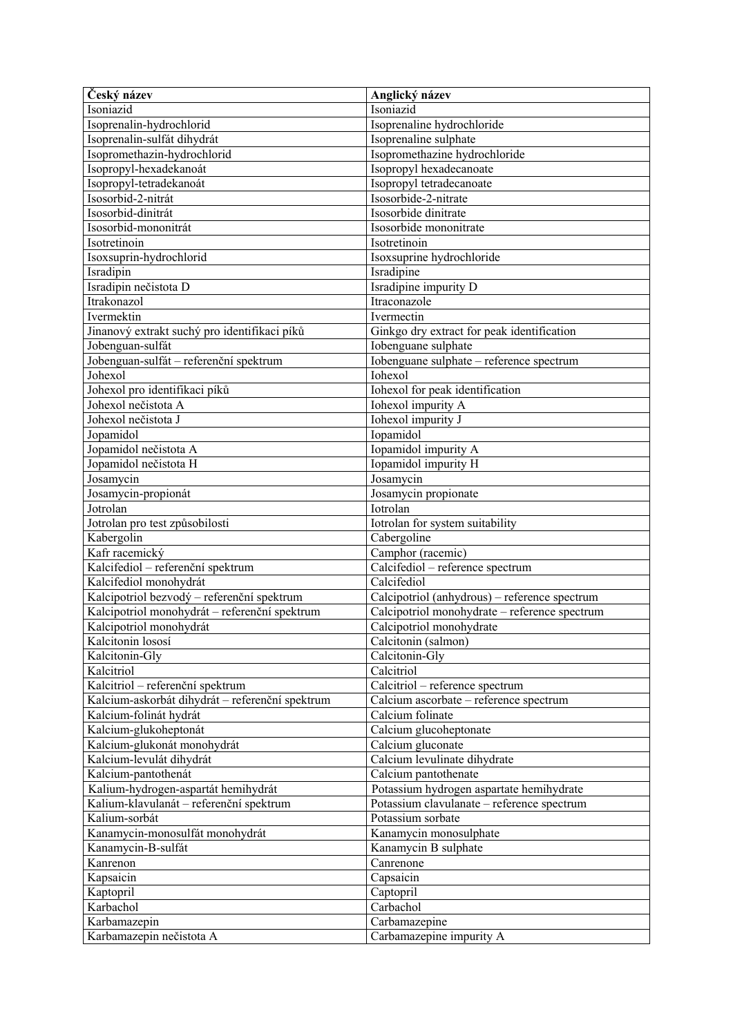| Český název                                     | Anglický název                                |
|-------------------------------------------------|-----------------------------------------------|
| Isoniazid                                       | Isoniazid                                     |
| Isoprenalin-hydrochlorid                        | Isoprenaline hydrochloride                    |
| Isoprenalin-sulfát dihydrát                     | Isoprenaline sulphate                         |
| Isopromethazin-hydrochlorid                     | Isopromethazine hydrochloride                 |
| Isopropyl-hexadekanoát                          | Isopropyl hexadecanoate                       |
| Isopropyl-tetradekanoát                         | Isopropyl tetradecanoate                      |
| Isosorbid-2-nitrát                              | Isosorbide-2-nitrate                          |
| Isosorbid-dinitrát                              | Isosorbide dinitrate                          |
| Isosorbid-mononitrát                            | Isosorbide mononitrate                        |
| Isotretinoin                                    | Isotretinoin                                  |
| Isoxsuprin-hydrochlorid                         | Isoxsuprine hydrochloride                     |
| Isradipin                                       | Isradipine                                    |
| Isradipin nečistota D                           | Isradipine impurity D                         |
| Itrakonazol                                     | Itraconazole                                  |
| Ivermektin                                      | Ivermectin                                    |
| Jinanový extrakt suchý pro identifikaci píků    | Ginkgo dry extract for peak identification    |
| Jobenguan-sulfát                                | Iobenguane sulphate                           |
| Jobenguan-sulfát - referenční spektrum          | Iobenguane sulphate - reference spectrum      |
| Johexol                                         | Iohexol                                       |
| Johexol pro identifikaci píků                   | Iohexol for peak identification               |
| Johexol nečistota A                             | Iohexol impurity A                            |
| Johexol nečistota J                             | Iohexol impurity J                            |
| Jopamidol                                       | Iopamidol                                     |
| Jopamidol nečistota A                           | Iopamidol impurity A                          |
| Jopamidol nečistota H                           | Iopamidol impurity H                          |
| Josamycin                                       | Josamycin                                     |
| Josamycin-propionát                             | Josamycin propionate                          |
| Jotrolan                                        | Iotrolan                                      |
|                                                 |                                               |
| Jotrolan pro test způsobilosti                  | Iotrolan for system suitability               |
| Kabergolin                                      | Cabergoline                                   |
| Kafr racemický                                  | Camphor (racemic)                             |
| Kalcifediol - referenční spektrum               | Calcifediol - reference spectrum              |
| Kalcifediol monohydrát                          | Calcifediol                                   |
| Kalcipotriol bezvodý – referenční spektrum      | Calcipotriol (anhydrous) - reference spectrum |
| Kalcipotriol monohydrát – referenční spektrum   | Calcipotriol monohydrate - reference spectrum |
| Kalcipotriol monohydrát                         | Calcipotriol monohydrate                      |
| Kalcitonin lososí                               | Calcitonin (salmon)                           |
| Kalcitonin-Gly                                  | Calcitonin-Gly                                |
| Kalcitriol                                      | Calcitriol                                    |
| Kalcitriol - referenční spektrum                | Calcitriol - reference spectrum               |
| Kalcium-askorbát dihydrát – referenční spektrum | Calcium ascorbate - reference spectrum        |
| Kalcium-folinát hydrát                          | Calcium folinate                              |
| Kalcium-glukoheptonát                           | Calcium glucoheptonate                        |
| Kalcium-glukonát monohydrát                     | Calcium gluconate                             |
| Kalcium-levulát dihydrát                        | Calcium levulinate dihydrate                  |
| Kalcium-pantothenát                             | Calcium pantothenate                          |
| Kalium-hydrogen-aspartát hemihydrát             | Potassium hydrogen aspartate hemihydrate      |
| Kalium-klavulanát – referenční spektrum         | Potassium clavulanate - reference spectrum    |
| Kalium-sorbát                                   | Potassium sorbate                             |
| Kanamycin-monosulfát monohydrát                 | Kanamycin monosulphate                        |
| Kanamycin-B-sulfát                              | Kanamycin B sulphate                          |
| Kanrenon                                        | Canrenone                                     |
| Kapsaicin                                       | Capsaicin                                     |
| Kaptopril                                       | Captopril                                     |
| Karbachol                                       | Carbachol                                     |
| Karbamazepin<br>Karbamazepin nečistota A        | Carbamazepine<br>Carbamazepine impurity A     |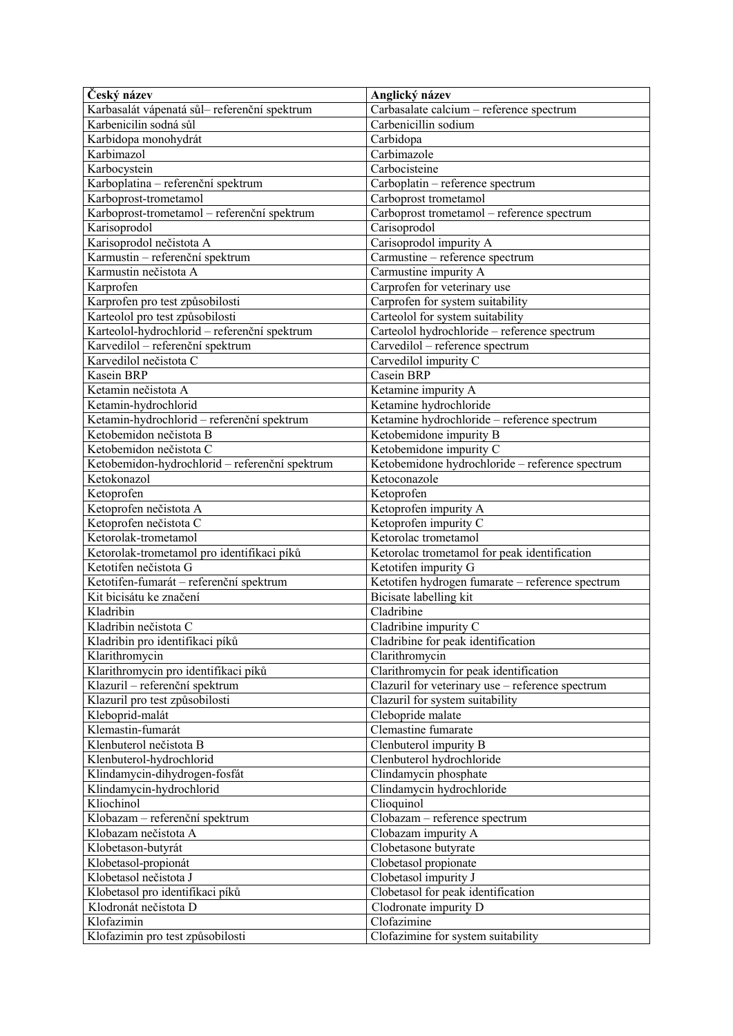| Český název                                    | Anglický název                                   |
|------------------------------------------------|--------------------------------------------------|
| Karbasalát vápenatá sůl- referenční spektrum   | Carbasalate calcium - reference spectrum         |
| Karbenicilin sodná sůl                         | Carbenicillin sodium                             |
| Karbidopa monohydrát                           | Carbidopa                                        |
| Karbimazol                                     | Carbimazole                                      |
| Karbocystein                                   | Carbocisteine                                    |
| Karboplatina - referenční spektrum             | Carboplatin - reference spectrum                 |
| Karboprost-trometamol                          | Carboprost trometamol                            |
| Karboprost-trometamol - referenční spektrum    | Carboprost trometamol - reference spectrum       |
| Karisoprodol                                   | Carisoprodol                                     |
| Karisoprodol nečistota A                       | Carisoprodol impurity A                          |
| Karmustin - referenční spektrum                | Carmustine - reference spectrum                  |
| Karmustin nečistota A                          | Carmustine impurity A                            |
| Karprofen                                      | Carprofen for veterinary use                     |
| Karprofen pro test způsobilosti                | Carprofen for system suitability                 |
| Karteolol pro test způsobilosti                | Carteolol for system suitability                 |
| Karteolol-hydrochlorid - referenční spektrum   | Carteolol hydrochloride - reference spectrum     |
| Karvedilol – referenční spektrum               | Carvedilol - reference spectrum                  |
| Karvedilol nečistota C                         | Carvedilol impurity C                            |
| Kasein BRP                                     | Casein BRP                                       |
| Ketamin nečistota A                            | Ketamine impurity A                              |
| Ketamin-hydrochlorid                           | Ketamine hydrochloride                           |
| Ketamin-hydrochlorid - referenční spektrum     | Ketamine hydrochloride - reference spectrum      |
| Ketobemidon nečistota B                        | Ketobemidone impurity B                          |
| Ketobemidon nečistota C                        | Ketobemidone impurity C                          |
| Ketobemidon-hydrochlorid - referenční spektrum | Ketobemidone hydrochloride - reference spectrum  |
| Ketokonazol                                    | Ketoconazole                                     |
| Ketoprofen                                     | Ketoprofen                                       |
| Ketoprofen nečistota A                         | Ketoprofen impurity A                            |
| Ketoprofen nečistota C                         | Ketoprofen impurity C                            |
| Ketorolak-trometamol                           | Ketorolac trometamol                             |
| Ketorolak-trometamol pro identifikaci píků     | Ketorolac trometamol for peak identification     |
| Ketotifen nečistota G                          | Ketotifen impurity G                             |
| Ketotifen-fumarát – referenční spektrum        | Ketotifen hydrogen fumarate - reference spectrum |
| Kit bicisátu ke značení                        | Bicisate labelling kit                           |
| Kladribin                                      | Cladribine                                       |
| Kladribin nečistota C                          | Cladribine impurity C                            |
| Kladribin pro identifikaci píků                | Cladribine for peak identification               |
| Klarithromycin                                 | Clarithromycin                                   |
| Klarithromycin pro identifikaci píků           | Clarithromycin for peak identification           |
| Klazuril – referenční spektrum                 | Clazuril for veterinary use - reference spectrum |
| Klazuril pro test způsobilosti                 | Clazuril for system suitability                  |
| Kleboprid-malát                                | Clebopride malate                                |
| Klemastin-fumarát                              | Clemastine fumarate                              |
| Klenbuterol nečistota B                        | Clenbuterol impurity B                           |
| Klenbuterol-hydrochlorid                       | Clenbuterol hydrochloride                        |
| Klindamycin-dihydrogen-fosfát                  | Clindamycin phosphate                            |
| Klindamycin-hydrochlorid                       | Clindamycin hydrochloride                        |
| Kliochinol                                     | Clioquinol                                       |
| Klobazam - referenční spektrum                 | Clobazam - reference spectrum                    |
| Klobazam nečistota A                           | Clobazam impurity A                              |
| Klobetason-butyrát                             | Clobetasone butyrate                             |
| Klobetasol-propionát                           | Clobetasol propionate                            |
| Klobetasol nečistota J                         | Clobetasol impurity J                            |
| Klobetasol pro identifikaci píků               | Clobetasol for peak identification               |
| Klodronát nečistota D                          | Clodronate impurity D                            |
| Klofazimin                                     | Clofazimine                                      |
| Klofazimin pro test způsobilosti               | Clofazimine for system suitability               |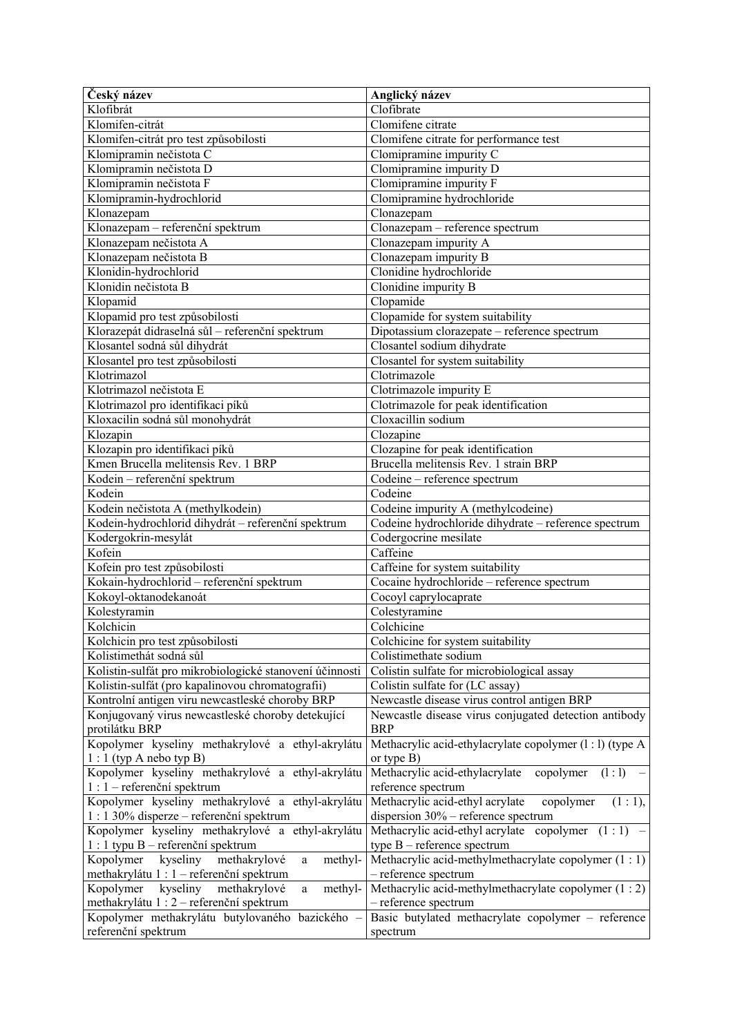| Český název                                             | Anglický název                                           |
|---------------------------------------------------------|----------------------------------------------------------|
| Klofibrát                                               | Clofibrate                                               |
| Klomifen-citrát                                         | Clomifene citrate                                        |
| Klomifen-citrát pro test způsobilosti                   | Clomifene citrate for performance test                   |
| Klomipramin nečistota C                                 | Clomipramine impurity C                                  |
| Klomipramin nečistota D                                 | Clomipramine impurity D                                  |
| Klomipramin nečistota F                                 | Clomipramine impurity F                                  |
| Klomipramin-hydrochlorid                                | Clomipramine hydrochloride                               |
| Klonazepam                                              | Clonazepam                                               |
| Klonazepam - referenční spektrum                        | Clonazepam - reference spectrum                          |
| Klonazepam nečistota A                                  | Clonazepam impurity A                                    |
| Klonazepam nečistota B                                  | Clonazepam impurity B                                    |
| Klonidin-hydrochlorid                                   | Clonidine hydrochloride                                  |
| Klonidin nečistota B                                    | Clonidine impurity B                                     |
| Klopamid                                                | Clopamide                                                |
| Klopamid pro test způsobilosti                          | Clopamide for system suitability                         |
| Klorazepát didraselná sůl – referenční spektrum         | Dipotassium clorazepate - reference spectrum             |
| Klosantel sodná sůl dihydrát                            | Closantel sodium dihydrate                               |
| Klosantel pro test způsobilosti                         | Closantel for system suitability                         |
| Klotrimazol                                             | Clotrimazole                                             |
| Klotrimazol nečistota E                                 | Clotrimazole impurity E                                  |
| Klotrimazol pro identifikaci píků                       | Clotrimazole for peak identification                     |
| Kloxacilin sodná sůl monohydrát                         | Cloxacillin sodium                                       |
| Klozapin                                                | Clozapine                                                |
| Klozapin pro identifikaci píků                          | Clozapine for peak identification                        |
| Kmen Brucella melitensis Rev. 1 BRP                     | Brucella melitensis Rev. 1 strain BRP                    |
| Kodein - referenční spektrum                            | Codeine - reference spectrum                             |
| Kodein                                                  | Codeine                                                  |
| Kodein nečistota A (methylkodein)                       | Codeine impurity A (methylcodeine)                       |
| Kodein-hydrochlorid dihydrát - referenční spektrum      | Codeine hydrochloride dihydrate - reference spectrum     |
| Kodergokrin-mesylát                                     | Codergocrine mesilate                                    |
| Kofein                                                  | Caffeine                                                 |
| Kofein pro test způsobilosti                            | Caffeine for system suitability                          |
| Kokain-hydrochlorid - referenční spektrum               | Cocaine hydrochloride - reference spectrum               |
| Kokoyl-oktanodekanoát                                   | Cocoyl caprylocaprate                                    |
| Kolestyramin                                            | Colestyramine                                            |
| Kolchicin                                               | $\overline{\text{Colchicine}}$                           |
| Kolchicin pro test způsobilosti                         | Colchicine for system suitability                        |
| Kolistimethát sodná sůl                                 | Colistimethate sodium                                    |
| Kolistin-sulfát pro mikrobiologické stanovení účinnosti | Colistin sulfate for microbiological assay               |
| Kolistin-sulfát (pro kapalinovou chromatografii)        | Colistin sulfate for (LC assay)                          |
| Kontrolní antigen viru newcastleské choroby BRP         | Newcastle disease virus control antigen BRP              |
| Konjugovaný virus newcastleské choroby detekující       | Newcastle disease virus conjugated detection antibody    |
| protilátku BRP                                          | <b>BRP</b>                                               |
| Kopolymer kyseliny methakrylové a ethyl-akrylátu        | Methacrylic acid-ethylacrylate copolymer (1 : 1) (type A |
| $1:1$ (typ A nebo typ B)                                | or type $B)$                                             |
| Kopolymer kyseliny methakrylové a ethyl-akrylátu        | Methacrylic acid-ethylacrylate<br>copolymer<br>(1:1)     |
| $1:1$ – referenční spektrum                             | reference spectrum                                       |
| Kopolymer kyseliny methakrylové a ethyl-akrylátu        | (1:1),<br>Methacrylic acid-ethyl acrylate<br>copolymer   |
| 1 : 1 30% disperze – referenční spektrum                | dispersion 30% - reference spectrum                      |
| Kopolymer kyseliny methakrylové a ethyl-akrylátu        | Methacrylic acid-ethyl acrylate copolymer $(1:1)$ –      |
| 1 : 1 typu B – referenční spektrum                      | type $B$ – reference spectrum                            |
| kyseliny<br>Kopolymer<br>methakrylové<br>methyl-<br>a   | Methacrylic acid-methylmethacrylate copolymer $(1:1)$    |
| methakrylátu 1 : 1 – referenční spektrum                | - reference spectrum                                     |
| kyseliny<br>methakrylové<br>methyl-<br>Kopolymer<br>a   | Methacrylic acid-methylmethacrylate copolymer (1 : 2)    |
| methakrylátu 1 : 2 – referenční spektrum                | - reference spectrum                                     |
| Kopolymer methakrylátu butylovaného bazického -         | Basic butylated methacrylate copolymer - reference       |
| referenční spektrum                                     | spectrum                                                 |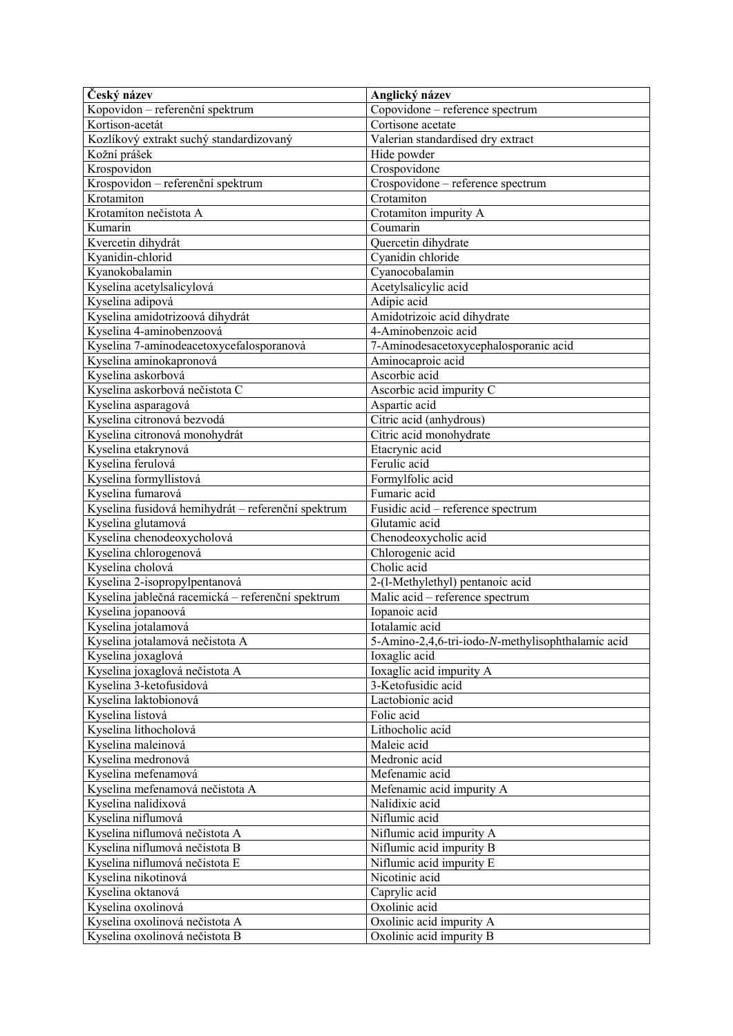| Český název                                                      | Anglický název                                       |
|------------------------------------------------------------------|------------------------------------------------------|
| Kopovidon – referenční spektrum                                  | Copovidone - reference spectrum                      |
| Kortison-acetát                                                  | Cortisone acetate                                    |
| Kozlíkový extrakt suchý standardizovaný                          | Valerian standardised dry extract                    |
| Kožní prášek                                                     | Hide powder                                          |
| Krospovidon                                                      | Crospovidone                                         |
| Krospovidon – referenční spektrum                                | Crospovidone - reference spectrum                    |
| Krotamiton                                                       | Crotamiton                                           |
| Krotamiton nečistota A                                           | Crotamiton impurity A                                |
| Kumarin                                                          | Coumarin                                             |
| Kvercetin dihydrát                                               | Quercetin dihydrate                                  |
| Kyanidin-chlorid                                                 | Cyanidin chloride                                    |
| Kyanokobalamin                                                   | Cyanocobalamin                                       |
| Kyselina acetylsalicylová                                        | Acetylsalicylic acid                                 |
| Kyselina adipová                                                 | Adipic acid                                          |
| Kyselina amidotrizoová dihydrát                                  | Amidotrizoic acid dihydrate                          |
| Kyselina 4-aminobenzoová                                         | 4-Aminobenzoic acid                                  |
| Kyselina 7-aminodeacetoxycefalosporanová                         | 7-Aminodesacetoxycephalosporanic acid                |
| Kyselina aminokapronová                                          | Aminocaproic acid                                    |
| Kyselina askorbová                                               | Ascorbic acid                                        |
| Kyselina askorbová nečistota C                                   | Ascorbic acid impurity C                             |
| Kyselina asparagová                                              | Aspartic acid                                        |
| Kyselina citronová bezvodá                                       | Citric acid (anhydrous)                              |
| Kyselina citronová monohydrát                                    | Citric acid monohydrate                              |
| Kyselina etakrynová                                              | Etacrynic acid                                       |
| Kyselina ferulová                                                | Ferulic acid                                         |
| Kyselina formyllistová                                           | Formylfolic acid                                     |
| Kyselina fumarová                                                | Fumaric acid                                         |
| Kyselina fusidová hemihydrát – referenční spektrum               | Fusidic acid – reference spectrum                    |
| Kyselina glutamová                                               | Glutamic acid                                        |
| Kyselina chenodeoxycholová                                       | Chenodeoxycholic acid                                |
| Kyselina chlorogenová                                            | Chlorogenic acid                                     |
| Kyselina cholová                                                 | Cholic acid                                          |
| Kyselina 2-isopropylpentanová                                    | 2-(l-Methylethyl) pentanoic acid                     |
| Kyselina jablečná racemická – referenční spektrum                | Malic acid - reference spectrum                      |
| Kyselina jopanoová                                               | Iopanoic acid                                        |
| Kyselina jotalamová                                              | Iotalamic acid                                       |
| Kyselina jotalamová nečistota A                                  | 5-Amino-2,4,6-tri-iodo-N-methylisophthalamic acid    |
| Kyselina joxaglová                                               | Ioxaglic acid                                        |
| Kyselina joxaglová nečistota A                                   | Ioxaglic acid impurity A                             |
| Kyselina 3-ketofusidová                                          | 3-Ketofusidic acid                                   |
| Kyselina laktobionová                                            | Lactobionic acid                                     |
| Kyselina listová                                                 | Folic acid                                           |
| Kyselina lithocholová                                            | Lithocholic acid                                     |
| Kyselina maleinová                                               | Maleic acid                                          |
| Kyselina medronová                                               | Medronic acid                                        |
| Kyselina mefenamová                                              | Mefenamic acid                                       |
| Kyselina mefenamová nečistota A                                  | Mefenamic acid impurity A                            |
| Kyselina nalidixová                                              |                                                      |
| Kyselina niflumová                                               | Nalidixic acid                                       |
|                                                                  | Niflumic acid                                        |
| Kyselina niflumová nečistota A                                   | Niflumic acid impurity A                             |
| Kyselina niflumová nečistota B                                   | Niflumic acid impurity B                             |
| Kyselina niflumová nečistota E                                   | Niflumic acid impurity E                             |
| Kyselina nikotinová                                              | Nicotinic acid                                       |
| Kyselina oktanová                                                | Caprylic acid                                        |
| Kyselina oxolinová                                               | Oxolinic acid                                        |
| Kyselina oxolinová nečistota A<br>Kyselina oxolinová nečistota B | Oxolinic acid impurity A<br>Oxolinic acid impurity B |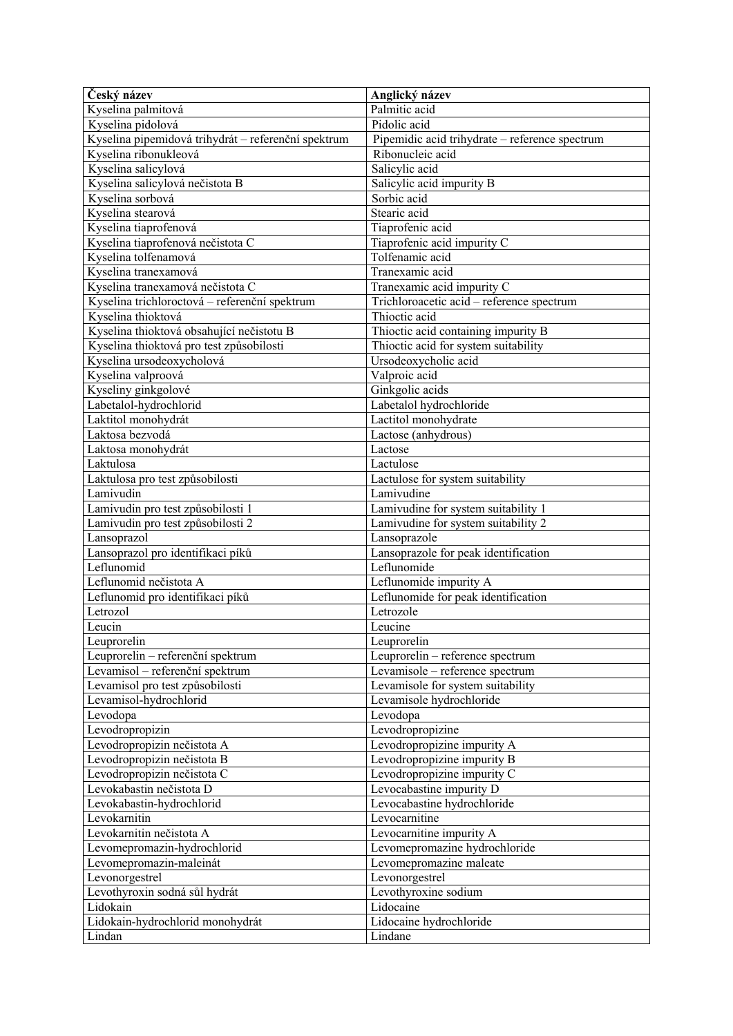| Český název                                         | Anglický název                                 |
|-----------------------------------------------------|------------------------------------------------|
| Kyselina palmitová                                  | Palmitic acid                                  |
| Kyselina pidolová                                   | Pidolic acid                                   |
| Kyselina pipemidová trihydrát – referenční spektrum | Pipemidic acid trihydrate - reference spectrum |
| Kyselina ribonukleová                               | Ribonucleic acid                               |
| Kyselina salicylová                                 | Salicylic acid                                 |
| Kyselina salicylová nečistota B                     | Salicylic acid impurity B                      |
| Kyselina sorbová                                    | Sorbic acid                                    |
| Kyselina stearová                                   | Stearic acid                                   |
| Kyselina tiaprofenová                               | Tiaprofenic acid                               |
| Kyselina tiaprofenová nečistota C                   | Tiaprofenic acid impurity C                    |
| Kyselina tolfenamová                                | Tolfenamic acid                                |
| Kyselina tranexamová                                | Tranexamic acid                                |
| Kyselina tranexamová nečistota C                    | Tranexamic acid impurity C                     |
| Kyselina trichloroctová – referenční spektrum       | Trichloroacetic acid - reference spectrum      |
| Kyselina thioktová                                  | Thioctic acid                                  |
| Kyselina thioktová obsahující nečistotu B           | Thioctic acid containing impurity B            |
| Kyselina thioktová pro test způsobilosti            | Thioctic acid for system suitability           |
| Kyselina ursodeoxycholová                           | Ursodeoxycholic acid                           |
| Kyselina valproová                                  | Valproic acid                                  |
| Kyseliny ginkgolové                                 | Ginkgolic acids                                |
| Labetalol-hydrochlorid                              | Labetalol hydrochloride                        |
| Laktitol monohydrát                                 | Lactitol monohydrate                           |
| Laktosa bezvodá                                     | Lactose (anhydrous)                            |
| Laktosa monohydrát                                  | Lactose                                        |
| Laktulosa                                           | Lactulose                                      |
| Laktulosa pro test způsobilosti                     | Lactulose for system suitability               |
| Lamivudin                                           | Lamivudine                                     |
| Lamivudin pro test způsobilosti 1                   | Lamivudine for system suitability 1            |
| Lamivudin pro test způsobilosti 2                   | Lamivudine for system suitability 2            |
| Lansoprazol                                         | Lansoprazole                                   |
| Lansoprazol pro identifikaci píků                   | Lansoprazole for peak identification           |
| Leflunomid                                          | Leflunomide                                    |
| Leflunomid nečistota A                              | Leflunomide impurity A                         |
| Leflunomid pro identifikaci píků                    | Leflunomide for peak identification            |
| Letrozol                                            | Letrozole                                      |
| Leucin                                              | Leucine                                        |
| Leuprorelin                                         | Leuprorelin                                    |
| Leuprorelin – referenční spektrum                   | Leuprorelin - reference spectrum               |
| Levamisol – referenční spektrum                     | Levamisole - reference spectrum                |
| Levamisol pro test způsobilosti                     | Levamisole for system suitability              |
| Levamisol-hydrochlorid                              | Levamisole hydrochloride                       |
| Levodopa                                            | Levodopa                                       |
| Levodropropizin                                     | Levodropropizine                               |
| Levodropropizin nečistota A                         | Levodropropizine impurity A                    |
| Levodropropizin nečistota B                         | Levodropropizine impurity B                    |
| Levodropropizin nečistota C                         | Levodropropizine impurity C                    |
| Levokabastin nečistota D                            | Levocabastine impurity D                       |
| Levokabastin-hydrochlorid                           | Levocabastine hydrochloride                    |
| Levokarnitin                                        | Levocarnitine                                  |
| Levokarnitin nečistota A                            | Levocarnitine impurity A                       |
| Levomepromazin-hydrochlorid                         | Levomepromazine hydrochloride                  |
| Levomepromazin-maleinát                             | Levomepromazine maleate                        |
| Levonorgestrel                                      | Levonorgestrel                                 |
| Levothyroxin sodná sůl hydrát                       | Levothyroxine sodium                           |
| Lidokain                                            | Lidocaine                                      |
| Lidokain-hydrochlorid monohydrát                    | Lidocaine hydrochloride                        |
| Lindan                                              | Lindane                                        |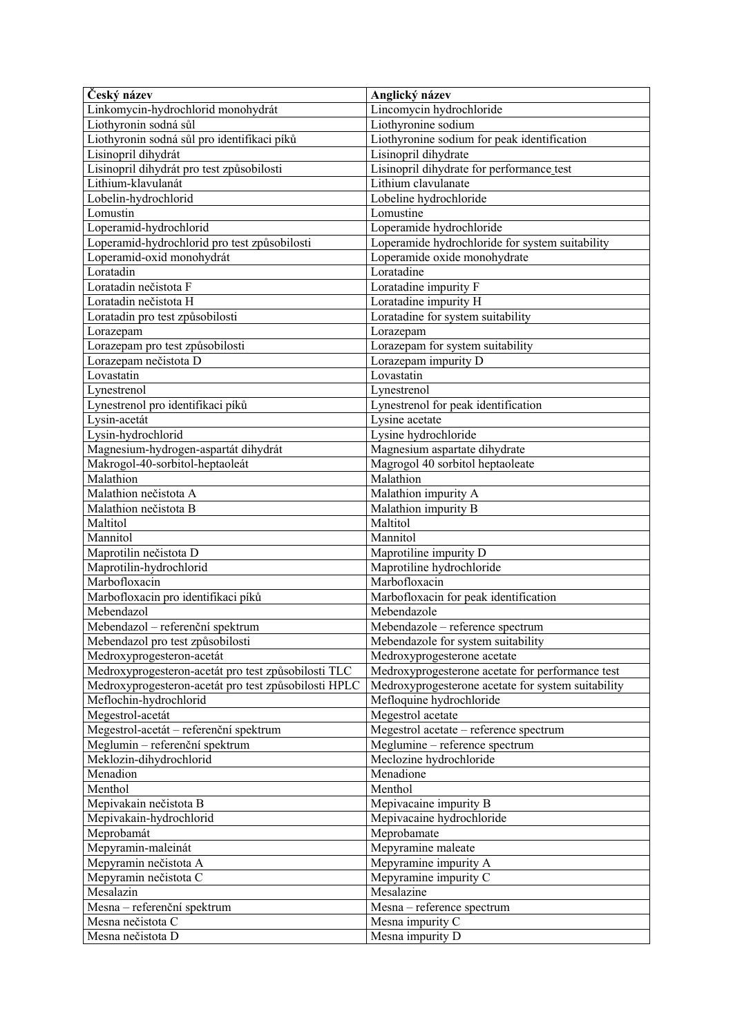| Český název                                          | Anglický název                                     |
|------------------------------------------------------|----------------------------------------------------|
| Linkomycin-hydrochlorid monohydrát                   | Lincomycin hydrochloride                           |
| Liothyronin sodná sůl                                | Liothyronine sodium                                |
| Liothyronin sodná sůl pro identifikaci píků          | Liothyronine sodium for peak identification        |
| Lisinopril dihydrát                                  | Lisinopril dihydrate                               |
| Lisinopril dihydrát pro test způsobilosti            | Lisinopril dihydrate for performance test          |
| Lithium-klavulanát                                   | Lithium clavulanate                                |
| Lobelin-hydrochlorid                                 | Lobeline hydrochloride                             |
| Lomustin                                             | Lomustine                                          |
| Loperamid-hydrochlorid                               | Loperamide hydrochloride                           |
| Loperamid-hydrochlorid pro test způsobilosti         | Loperamide hydrochloride for system suitability    |
| Loperamid-oxid monohydrát                            | Loperamide oxide monohydrate                       |
| Loratadin                                            | Loratadine                                         |
| Loratadin nečistota F                                | Loratadine impurity F                              |
| Loratadin nečistota H                                | Loratadine impurity H                              |
| Loratadin pro test způsobilosti                      | Loratadine for system suitability                  |
| Lorazepam                                            | Lorazepam                                          |
| Lorazepam pro test způsobilosti                      | Lorazepam for system suitability                   |
| Lorazepam nečistota D                                | Lorazepam impurity D                               |
| Lovastatin                                           | Lovastatin                                         |
| Lynestrenol                                          | Lynestrenol                                        |
| Lynestrenol pro identifikaci píků                    | Lynestrenol for peak identification                |
| Lysin-acetát                                         | Lysine acetate                                     |
| Lysin-hydrochlorid                                   | Lysine hydrochloride                               |
|                                                      |                                                    |
| Magnesium-hydrogen-aspartát dihydrát                 | Magnesium aspartate dihydrate                      |
| Makrogol-40-sorbitol-heptaoleát                      | Magrogol 40 sorbitol heptaoleate                   |
| Malathion                                            | Malathion                                          |
| Malathion nečistota A                                | Malathion impurity A                               |
| Malathion nečistota B                                | Malathion impurity B                               |
| Maltitol                                             | Maltitol                                           |
| Mannitol                                             | Mannitol                                           |
| Maprotilin nečistota D                               | Maprotiline impurity D                             |
| Maprotilin-hydrochlorid                              | Maprotiline hydrochloride                          |
| Marbofloxacin                                        | Marbofloxacin                                      |
| Marbofloxacin pro identifikaci píků                  | Marbofloxacin for peak identification              |
| Mebendazol                                           | Mebendazole                                        |
| Mebendazol - referenční spektrum                     | Mebendazole - reference spectrum                   |
| Mebendazol pro test způsobilosti                     | Mebendazole for system suitability                 |
| Medroxyprogesteron-acetát                            | Medroxyprogesterone acetate                        |
| Medroxyprogesteron-acetát pro test způsobilosti TLC  | Medroxyprogesterone acetate for performance test   |
| Medroxyprogesteron-acetát pro test způsobilosti HPLC | Medroxyprogesterone acetate for system suitability |
| Meflochin-hydrochlorid                               | Mefloquine hydrochloride                           |
| Megestrol-acetát                                     | Megestrol acetate                                  |
| Megestrol-acetát – referenční spektrum               | Megestrol acetate – reference spectrum             |
| Meglumin – referenční spektrum                       | Meglumine – reference spectrum                     |
| Meklozin-dihydrochlorid                              | Meclozine hydrochloride                            |
| Menadion                                             | Menadione                                          |
| Menthol                                              | Menthol                                            |
| Mepivakain nečistota B                               | Mepivacaine impurity B                             |
| Mepivakain-hydrochlorid                              | Mepivacaine hydrochloride                          |
| Meprobamát                                           | Meprobamate                                        |
| Mepyramin-maleinát                                   | Mepyramine maleate                                 |
| Mepyramin nečistota A                                | Mepyramine impurity A                              |
| Mepyramin nečistota C                                | Mepyramine impurity C                              |
| Mesalazin                                            | Mesalazine                                         |
| Mesna – referenční spektrum                          | Mesna - reference spectrum                         |
| Mesna nečistota C                                    | Mesna impurity C                                   |
| Mesna nečistota D                                    | Mesna impurity D                                   |
|                                                      |                                                    |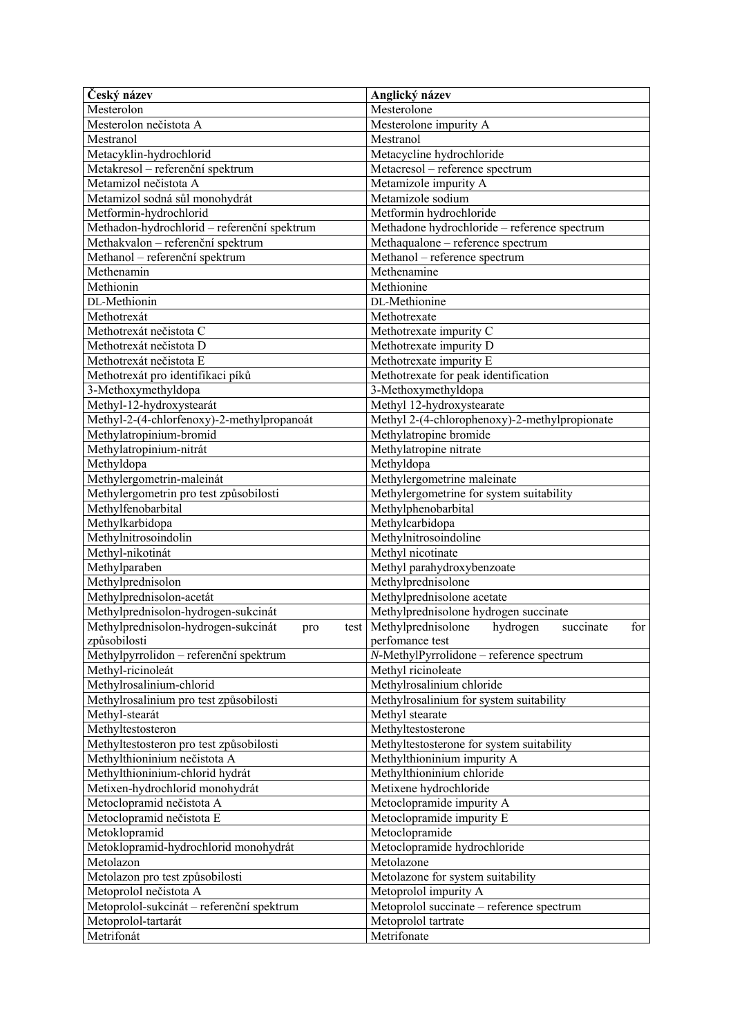| Český název                                 | Anglický název                                          |
|---------------------------------------------|---------------------------------------------------------|
| Mesterolon                                  | Mesterolone                                             |
| Mesterolon nečistota A                      | Mesterolone impurity A                                  |
| Mestranol                                   | Mestranol                                               |
| Metacyklin-hydrochlorid                     | Metacycline hydrochloride                               |
| Metakresol – referenční spektrum            | Metacresol - reference spectrum                         |
| Metamizol nečistota A                       | Metamizole impurity A                                   |
| Metamizol sodná sůl monohydrát              | Metamizole sodium                                       |
| Metformin-hydrochlorid                      | Metformin hydrochloride                                 |
| Methadon-hydrochlorid - referenční spektrum | Methadone hydrochloride - reference spectrum            |
| Methakvalon – referenční spektrum           | Methaqualone - reference spectrum                       |
| Methanol - referenční spektrum              | Methanol - reference spectrum                           |
| Methenamin                                  | Methenamine                                             |
| Methionin                                   | Methionine                                              |
| DL-Methionin                                | DL-Methionine                                           |
| Methotrexát                                 | Methotrexate                                            |
|                                             |                                                         |
| Methotrexát nečistota C                     | Methotrexate impurity C                                 |
| Methotrexát nečistota D                     | Methotrexate impurity D                                 |
| Methotrexát nečistota E                     | Methotrexate impurity E                                 |
| Methotrexát pro identifikaci píků           | Methotrexate for peak identification                    |
| 3-Methoxymethyldopa                         | 3-Methoxymethyldopa                                     |
| Methyl-12-hydroxystearát                    | Methyl 12-hydroxystearate                               |
| Methyl-2-(4-chlorfenoxy)-2-methylpropanoát  | Methyl 2-(4-chlorophenoxy)-2-methylpropionate           |
| Methylatropinium-bromid                     | Methylatropine bromide                                  |
| Methylatropinium-nitrát                     | Methylatropine nitrate                                  |
| Methyldopa                                  | Methyldopa                                              |
| Methylergometrin-maleinát                   | Methylergometrine maleinate                             |
| Methylergometrin pro test způsobilosti      | Methylergometrine for system suitability                |
| Methylfenobarbital                          | Methylphenobarbital                                     |
| Methylkarbidopa                             | Methylcarbidopa                                         |
| Methylnitrosoindolin                        | Methylnitrosoindoline                                   |
| Methyl-nikotinát                            | Methyl nicotinate                                       |
| Methylparaben                               | Methyl parahydroxybenzoate                              |
| Methylprednisolon                           | Methylprednisolone                                      |
| Methylprednisolon-acetát                    | Methylprednisolone acetate                              |
| Methylprednisolon-hydrogen-sukcinát         | Methylprednisolone hydrogen succinate                   |
| Methylprednisolon-hydrogen-sukcinát<br>pro  | test Methylprednisolone<br>for<br>hydrogen<br>succinate |
| způsobilosti                                | perfomance test                                         |
| Methylpyrrolidon – referenční spektrum      | N-MethylPyrrolidone - reference spectrum                |
| Methyl-ricinoleát                           | Methyl ricinoleate                                      |
| Methylrosalinium-chlorid                    | Methylrosalinium chloride                               |
| Methylrosalinium pro test způsobilosti      | Methylrosalinium for system suitability                 |
| Methyl-stearát                              | Methyl stearate                                         |
| Methyltestosteron                           | Methyltestosterone                                      |
|                                             |                                                         |
| Methyltestosteron pro test způsobilosti     | Methyltestosterone for system suitability               |
| Methylthioninium nečistota A                | Methylthioninium impurity A                             |
| Methylthioninium-chlorid hydrát             | Methylthioninium chloride                               |
| Metixen-hydrochlorid monohydrát             | Metixene hydrochloride                                  |
| Metoclopramid nečistota A                   | Metoclopramide impurity A                               |
| Metoclopramid nečistota E                   | Metoclopramide impurity E                               |
| Metoklopramid                               | Metoclopramide                                          |
| Metoklopramid-hydrochlorid monohydrát       | Metoclopramide hydrochloride                            |
| Metolazon                                   | Metolazone                                              |
| Metolazon pro test způsobilosti             | Metolazone for system suitability                       |
| Metoprolol nečistota A                      | Metoprolol impurity A                                   |
| Metoprolol-sukcinát – referenční spektrum   | Metoprolol succinate – reference spectrum               |
| Metoprolol-tartarát                         | Metoprolol tartrate                                     |
| Metrifonát                                  | Metrifonate                                             |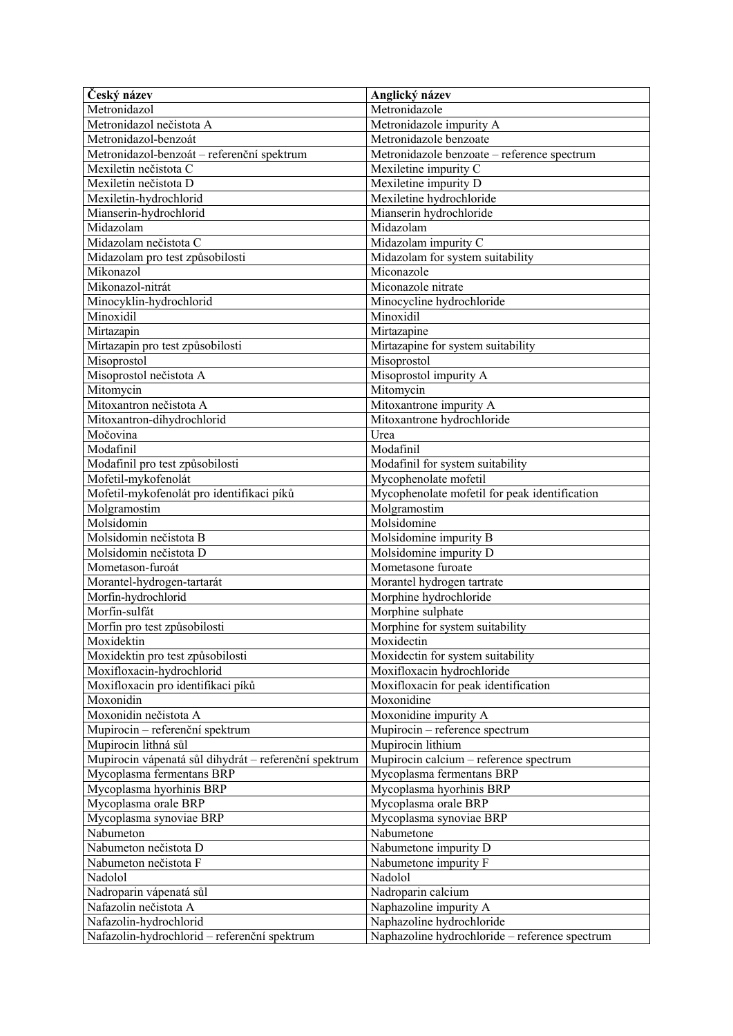| Český název                                           | Anglický název                                 |
|-------------------------------------------------------|------------------------------------------------|
| Metronidazol                                          | Metronidazole                                  |
| Metronidazol nečistota A                              | Metronidazole impurity A                       |
| Metronidazol-benzoát                                  | Metronidazole benzoate                         |
| Metronidazol-benzoát – referenční spektrum            | Metronidazole benzoate - reference spectrum    |
| Mexiletin nečistota C                                 | Mexiletine impurity C                          |
| Mexiletin nečistota D                                 | Mexiletine impurity D                          |
| Mexiletin-hydrochlorid                                | Mexiletine hydrochloride                       |
| Mianserin-hydrochlorid                                | Mianserin hydrochloride                        |
| Midazolam                                             | Midazolam                                      |
| Midazolam nečistota C                                 | Midazolam impurity C                           |
| Midazolam pro test způsobilosti                       | Midazolam for system suitability               |
| Mikonazol                                             | Miconazole                                     |
| Mikonazol-nitrát                                      | Miconazole nitrate                             |
| Minocyklin-hydrochlorid                               | Minocycline hydrochloride                      |
| Minoxidil                                             | Minoxidil                                      |
| Mirtazapin                                            | Mirtazapine                                    |
| Mirtazapin pro test způsobilosti                      | Mirtazapine for system suitability             |
| Misoprostol                                           | Misoprostol                                    |
| Misoprostol nečistota A                               | Misoprostol impurity A                         |
| Mitomycin                                             | Mitomycin                                      |
| Mitoxantron nečistota A                               | Mitoxantrone impurity A                        |
| Mitoxantron-dihydrochlorid                            | Mitoxantrone hydrochloride                     |
| Močovina                                              | Urea                                           |
| Modafinil                                             | Modafinil                                      |
| Modafinil pro test způsobilosti                       | Modafinil for system suitability               |
| Mofetil-mykofenolát                                   | Mycophenolate mofetil                          |
| Mofetil-mykofenolát pro identifikaci píků             | Mycophenolate mofetil for peak identification  |
| Molgramostim                                          | Molgramostim                                   |
| Molsidomin                                            | Molsidomine                                    |
| Molsidomin nečistota B                                | Molsidomine impurity B                         |
| Molsidomin nečistota D                                | Molsidomine impurity D                         |
| Mometason-furoát                                      | Mometasone furoate                             |
| Morantel-hydrogen-tartarát                            | Morantel hydrogen tartrate                     |
| Morfin-hydrochlorid                                   | Morphine hydrochloride                         |
| Morfin-sulfát                                         | Morphine sulphate                              |
| Morfin pro test způsobilosti                          | Morphine for system suitability                |
| Moxidektin                                            | Moxidectin                                     |
| Moxidektin pro test způsobilosti                      | Moxidectin for system suitability              |
| Moxifloxacin-hydrochlorid                             | Moxifloxacin hydrochloride                     |
| Moxifloxacin pro identifikaci píků                    | Moxifloxacin for peak identification           |
| Moxonidin                                             | Moxonidine                                     |
| Moxonidin nečistota A                                 | Moxonidine impurity A                          |
| Mupirocin - referenční spektrum                       | Mupirocin - reference spectrum                 |
| Mupirocin lithná sůl                                  | Mupirocin lithium                              |
| Mupirocin vápenatá sůl dihydrát – referenční spektrum | Mupirocin calcium - reference spectrum         |
| Mycoplasma fermentans BRP                             | Mycoplasma fermentans BRP                      |
| Mycoplasma hyorhinis BRP                              | Mycoplasma hyorhinis BRP                       |
| Mycoplasma orale BRP                                  | Mycoplasma orale BRP                           |
| Mycoplasma synoviae BRP                               | Mycoplasma synoviae BRP                        |
| Nabumeton                                             | Nabumetone                                     |
| Nabumeton nečistota D                                 | Nabumetone impurity D                          |
| Nabumeton nečistota F                                 | Nabumetone impurity F                          |
| Nadolol                                               | Nadolol                                        |
| Nadroparin vápenatá sůl                               | Nadroparin calcium                             |
| Nafazolin nečistota A                                 | Naphazoline impurity A                         |
| Nafazolin-hydrochlorid                                | Naphazoline hydrochloride                      |
| Nafazolin-hydrochlorid - referenční spektrum          | Naphazoline hydrochloride - reference spectrum |
|                                                       |                                                |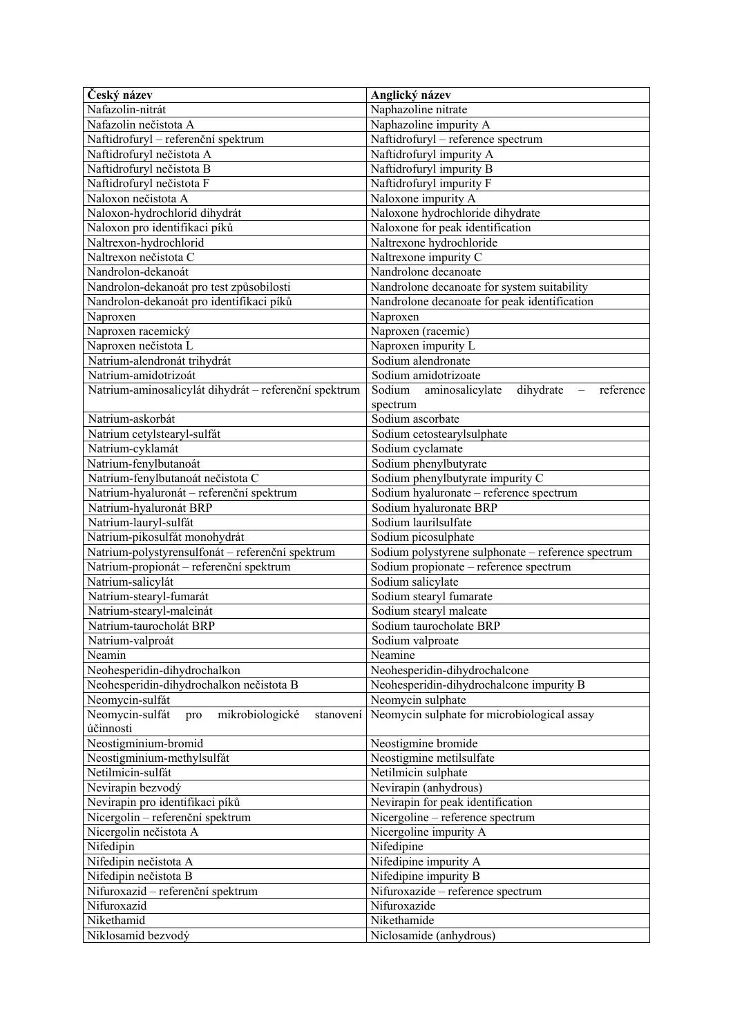| Český název                                                                                 | Anglický název                                                                               |
|---------------------------------------------------------------------------------------------|----------------------------------------------------------------------------------------------|
| Nafazolin-nitrát                                                                            | Naphazoline nitrate                                                                          |
| Nafazolin nečistota A                                                                       | Naphazoline impurity A                                                                       |
| Naftidrofuryl - referenční spektrum                                                         | Naftidrofuryl - reference spectrum                                                           |
| Naftidrofuryl nečistota A                                                                   | Naftidrofuryl impurity A                                                                     |
| Naftidrofuryl nečistota B                                                                   | Naftidrofuryl impurity B                                                                     |
| Naftidrofuryl nečistota F                                                                   | Naftidrofuryl impurity F                                                                     |
| Naloxon nečistota A                                                                         | Naloxone impurity A                                                                          |
| Naloxon-hydrochlorid dihydrát                                                               | Naloxone hydrochloride dihydrate                                                             |
| Naloxon pro identifikaci píků                                                               | Naloxone for peak identification                                                             |
| Naltrexon-hydrochlorid                                                                      | Naltrexone hydrochloride                                                                     |
| Naltrexon nečistota C                                                                       | Naltrexone impurity C                                                                        |
| Nandrolon-dekanoát                                                                          | Nandrolone decanoate                                                                         |
| Nandrolon-dekanoát pro test způsobilosti                                                    | Nandrolone decanoate for system suitability                                                  |
| Nandrolon-dekanoát pro identifikaci píků                                                    | Nandrolone decanoate for peak identification                                                 |
| Naproxen                                                                                    | Naproxen                                                                                     |
| Naproxen racemický                                                                          | Naproxen (racemic)                                                                           |
| Naproxen nečistota L                                                                        | Naproxen impurity L                                                                          |
| Natrium-alendronát trihydrát                                                                | Sodium alendronate                                                                           |
| Natrium-amidotrizoát                                                                        | Sodium amidotrizoate                                                                         |
| Natrium-aminosalicylát dihydrát – referenční spektrum                                       | Sodium aminosalicylate<br>dihydrate<br>reference<br>$\overline{\phantom{m}}$                 |
|                                                                                             | spectrum                                                                                     |
| Natrium-askorbát                                                                            | Sodium ascorbate                                                                             |
| Natrium cetylstearyl-sulfát                                                                 | Sodium cetostearylsulphate                                                                   |
| Natrium-cyklamát                                                                            | Sodium cyclamate                                                                             |
| Natrium-fenylbutanoát                                                                       | Sodium phenylbutyrate                                                                        |
| Natrium-fenylbutanoát nečistota C                                                           | Sodium phenylbutyrate impurity C                                                             |
| Natrium-hyaluronát – referenční spektrum                                                    | Sodium hyaluronate - reference spectrum                                                      |
| Natrium-hyaluronát BRP                                                                      | Sodium hyaluronate BRP                                                                       |
| Natrium-lauryl-sulfát                                                                       | Sodium laurilsulfate                                                                         |
| Natrium-pikosulfát monohydrát                                                               | Sodium picosulphate                                                                          |
| Natrium-polystyrensulfonát – referenční spektrum<br>Natrium-propionát – referenční spektrum | Sodium polystyrene sulphonate - reference spectrum<br>Sodium propionate - reference spectrum |
| Natrium-salicylát                                                                           | Sodium salicylate                                                                            |
| Natrium-stearyl-fumarát                                                                     | Sodium stearyl fumarate                                                                      |
| Natrium-stearyl-maleinát                                                                    | Sodium stearyl maleate                                                                       |
| Natrium-taurocholát BRP                                                                     | Sodium taurocholate BRP                                                                      |
| Natrium-valproát                                                                            |                                                                                              |
|                                                                                             |                                                                                              |
|                                                                                             | Sodium valproate                                                                             |
| Neamin                                                                                      | Neamine                                                                                      |
| Neohesperidin-dihydrochalkon                                                                | Neohesperidin-dihydrochalcone                                                                |
| Neohesperidin-dihydrochalkon nečistota B                                                    | Neohesperidin-dihydrochalcone impurity B                                                     |
| Neomycin-sulfát<br>Neomycin-sulfát<br>mikrobiologické<br>pro<br>stanovení                   | Neomycin sulphate<br>Neomycin sulphate for microbiological assay                             |
| účinnosti                                                                                   |                                                                                              |
| Neostigminium-bromid                                                                        | Neostigmine bromide                                                                          |
| Neostigminium-methylsulfát                                                                  | Neostigmine metilsulfate                                                                     |
| Netilmicin-sulfát                                                                           | Netilmicin sulphate                                                                          |
| Nevirapin bezvodý                                                                           | Nevirapin (anhydrous)                                                                        |
| Nevirapin pro identifikaci píků                                                             | Nevirapin for peak identification                                                            |
| Nicergolin - referenční spektrum                                                            | Nicergoline - reference spectrum                                                             |
| Nicergolin nečistota A                                                                      | Nicergoline impurity A                                                                       |
| Nifedipin                                                                                   | Nifedipine                                                                                   |
| Nifedipin nečistota A                                                                       | Nifedipine impurity A                                                                        |
| Nifedipin nečistota B                                                                       | Nifedipine impurity B                                                                        |
| Nifuroxazid - referenční spektrum                                                           | Nifuroxazide - reference spectrum                                                            |
| Nifuroxazid                                                                                 | Nifuroxazide                                                                                 |
| Nikethamid<br>Niklosamid bezvodý                                                            | Nikethamide<br>Niclosamide (anhydrous)                                                       |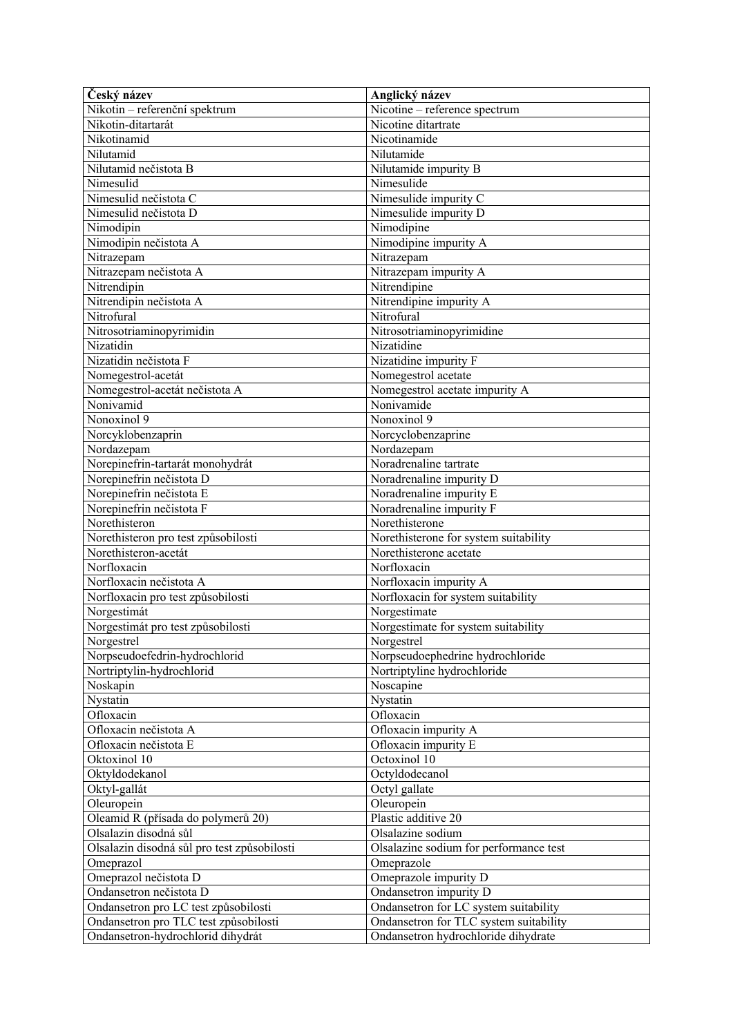| Český název                                                                   | Anglický název                                  |
|-------------------------------------------------------------------------------|-------------------------------------------------|
| Nikotin - referenční spektrum                                                 | Nicotine – reference spectrum                   |
| Nikotin-ditartarát                                                            | Nicotine ditartrate                             |
| Nikotinamid                                                                   | Nicotinamide                                    |
| Nilutamid                                                                     | Nilutamide                                      |
| Nilutamid nečistota B                                                         | Nilutamide impurity B                           |
| Nimesulid                                                                     | Nimesulide                                      |
| Nimesulid nečistota C                                                         | Nimesulide impurity C                           |
| Nimesulid nečistota D                                                         | Nimesulide impurity D                           |
| Nimodipin                                                                     | Nimodipine                                      |
| Nimodipin nečistota A                                                         | Nimodipine impurity A                           |
| Nitrazepam                                                                    | Nitrazepam                                      |
| Nitrazepam nečistota A                                                        | Nitrazepam impurity A                           |
| Nitrendipin                                                                   | Nitrendipine                                    |
| Nitrendipin nečistota A                                                       | Nitrendipine impurity A                         |
| Nitrofural                                                                    | Nitrofural                                      |
| Nitrosotriaminopyrimidin                                                      | Nitrosotriaminopyrimidine                       |
| Nizatidin                                                                     | Nizatidine                                      |
| Nizatidin nečistota F                                                         | Nizatidine impurity F                           |
| Nomegestrol-acetát                                                            | Nomegestrol acetate                             |
| Nomegestrol-acetát nečistota A                                                | Nomegestrol acetate impurity A                  |
| Nonivamid                                                                     | Nonivamide                                      |
| Nonoxinol 9                                                                   | Nonoxinol 9                                     |
| Norcyklobenzaprin                                                             | Norcyclobenzaprine                              |
| Nordazepam                                                                    | Nordazepam                                      |
| Norepinefrin-tartarát monohydrát                                              | Noradrenaline tartrate                          |
| Norepinefrin nečistota D                                                      | Noradrenaline impurity D                        |
| Norepinefrin nečistota E                                                      | Noradrenaline impurity E                        |
| Norepinefrin nečistota F                                                      | Noradrenaline impurity F                        |
| Norethisteron                                                                 | Norethisterone                                  |
| Norethisteron pro test způsobilosti                                           | Norethisterone for system suitability           |
| Norethisteron-acetát                                                          | Norethisterone acetate                          |
| Norfloxacin                                                                   | Norfloxacin                                     |
| Norfloxacin nečistota A                                                       | Norfloxacin impurity A                          |
| Norfloxacin pro test způsobilosti                                             | Norfloxacin for system suitability              |
| Norgestimát                                                                   | Norgestimate                                    |
| Norgestimát pro test způsobilosti                                             | Norgestimate for system suitability             |
| Norgestrel                                                                    | Norgestrel                                      |
| Norpseudoefedrin-hydrochlorid                                                 | Norpseudoephedrine hydrochloride                |
| Nortriptylin-hydrochlorid                                                     | Nortriptyline hydrochloride                     |
| Noskapin                                                                      | Noscapine                                       |
| Nystatin                                                                      | Nystatin                                        |
| Ofloxacin                                                                     | Ofloxacin                                       |
| Ofloxacin nečistota A                                                         | Ofloxacin impurity A                            |
| Ofloxacin nečistota E                                                         | Ofloxacin impurity E                            |
| Oktoxinol 10                                                                  | Octoxinol 10                                    |
| Oktyldodekanol                                                                | Octyldodecanol                                  |
| Oktyl-gallát                                                                  | Octyl gallate                                   |
| Oleuropein                                                                    | Oleuropein<br>Plastic additive 20               |
| Oleamid R (přísada do polymerů 20)<br>Olsalazin disodná sůl                   | Olsalazine sodium                               |
|                                                                               | Olsalazine sodium for performance test          |
| Olsalazin disodná sůl pro test způsobilosti                                   | Omeprazole                                      |
| Omeprazol                                                                     |                                                 |
| Omeprazol nečistota D<br>Ondansetron nečistota D                              | Omeprazole impurity D<br>Ondansetron impurity D |
|                                                                               | Ondansetron for LC system suitability           |
| Ondansetron pro LC test způsobilosti<br>Ondansetron pro TLC test způsobilosti | Ondansetron for TLC system suitability          |
| Ondansetron-hydrochlorid dihydrát                                             | Ondansetron hydrochloride dihydrate             |
|                                                                               |                                                 |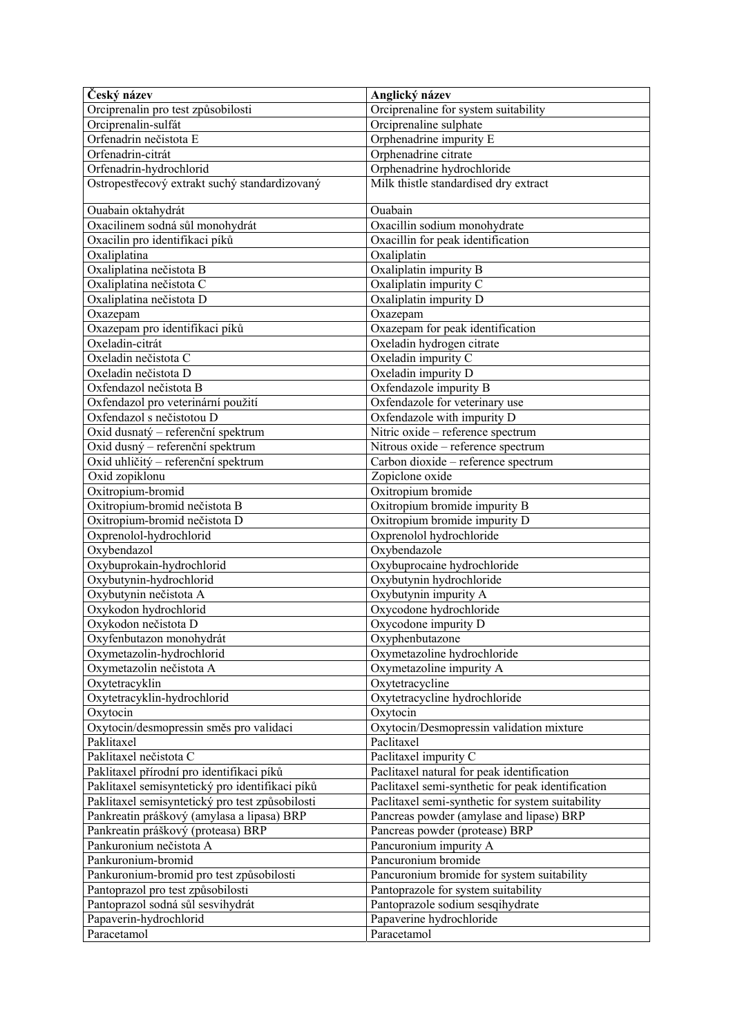| Český název                                     | Anglický název                                    |
|-------------------------------------------------|---------------------------------------------------|
| Orciprenalin pro test způsobilosti              | Orciprenaline for system suitability              |
| Orciprenalin-sulfát                             | Orciprenaline sulphate                            |
| Orfenadrin nečistota E                          | Orphenadrine impurity E                           |
| Orfenadrin-citrát                               | Orphenadrine citrate                              |
| Orfenadrin-hydrochlorid                         | Orphenadrine hydrochloride                        |
| Ostropestřecový extrakt suchý standardizovaný   | Milk thistle standardised dry extract             |
| Ouabain oktahydrát                              | Ouabain                                           |
| Oxacilinem sodná sůl monohydrát                 | Oxacillin sodium monohydrate                      |
| Oxacilin pro identifikaci píků                  | Oxacillin for peak identification                 |
| Oxaliplatina                                    | Oxaliplatin                                       |
| Oxaliplatina nečistota B                        | Oxaliplatin impurity B                            |
| Oxaliplatina nečistota C                        | Oxaliplatin impurity C                            |
| Oxaliplatina nečistota D                        | Oxaliplatin impurity D                            |
| Oxazepam                                        | Oxazepam                                          |
| Oxazepam pro identifikaci píků                  | Oxazepam for peak identification                  |
| Oxeladin-citrát                                 | Oxeladin hydrogen citrate                         |
| Oxeladin nečistota C                            | Oxeladin impurity C                               |
| Oxeladin nečistota D                            | Oxeladin impurity D                               |
| Oxfendazol nečistota B                          | Oxfendazole impurity B                            |
| Oxfendazol pro veterinární použití              | Oxfendazole for veterinary use                    |
| Oxfendazol s nečistotou D                       | Oxfendazole with impurity D                       |
| Oxid dusnatý – referenční spektrum              | Nitric oxide - reference spectrum                 |
| Oxid dusný – referenční spektrum                | Nitrous oxide - reference spectrum                |
| Oxid uhličitý – referenční spektrum             | Carbon dioxide - reference spectrum               |
| Oxid zopiklonu                                  | Zopiclone oxide                                   |
| Oxitropium-bromid                               | Oxitropium bromide                                |
| Oxitropium-bromid nečistota B                   | Oxitropium bromide impurity B                     |
| Oxitropium-bromid nečistota D                   | Oxitropium bromide impurity D                     |
| Oxprenolol-hydrochlorid                         | Oxprenolol hydrochloride                          |
| Oxybendazol                                     | Oxybendazole                                      |
| Oxybuprokain-hydrochlorid                       | Oxybuprocaine hydrochloride                       |
| Oxybutynin-hydrochlorid                         | Oxybutynin hydrochloride                          |
| Oxybutynin nečistota A                          | Oxybutynin impurity A                             |
| Oxykodon hydrochlorid                           | Oxycodone hydrochloride                           |
| Oxykodon nečistota D                            | Oxycodone impurity D                              |
| Oxyfenbutazon monohydrát                        | Oxyphenbutazone                                   |
| Oxymetazolin-hydrochlorid                       | Oxymetazoline hydrochloride                       |
| Oxymetazolin nečistota A                        | Oxymetazoline impurity A                          |
| Oxytetracyklin                                  | Oxytetracycline                                   |
| Oxytetracyklin-hydrochlorid                     | Oxytetracycline hydrochloride                     |
| Oxytocin                                        | Oxytocin                                          |
| Oxytocin/desmopressin směs pro validaci         | Oxytocin/Desmopressin validation mixture          |
| Paklitaxel                                      | Paclitaxel                                        |
| Paklitaxel nečistota C                          | Paclitaxel impurity C                             |
| Paklitaxel přírodní pro identifikaci píků       | Paclitaxel natural for peak identification        |
| Paklitaxel semisyntetický pro identifikaci píků | Paclitaxel semi-synthetic for peak identification |
| Paklitaxel semisyntetický pro test způsobilosti | Paclitaxel semi-synthetic for system suitability  |
| Pankreatin práškový (amylasa a lipasa) BRP      | Pancreas powder (amylase and lipase) BRP          |
| Pankreatin práškový (proteasa) BRP              | Pancreas powder (protease) BRP                    |
| Pankuronium nečistota A                         | Pancuronium impurity A                            |
| Pankuronium-bromid                              | Pancuronium bromide                               |
| Pankuronium-bromid pro test způsobilosti        | Pancuronium bromide for system suitability        |
| Pantoprazol pro test způsobilosti               | Pantoprazole for system suitability               |
| Pantoprazol sodná sůl sesvihydrát               | Pantoprazole sodium sesqihydrate                  |
| Papaverin-hydrochlorid                          | Papaverine hydrochloride                          |
| Paracetamol                                     | Paracetamol                                       |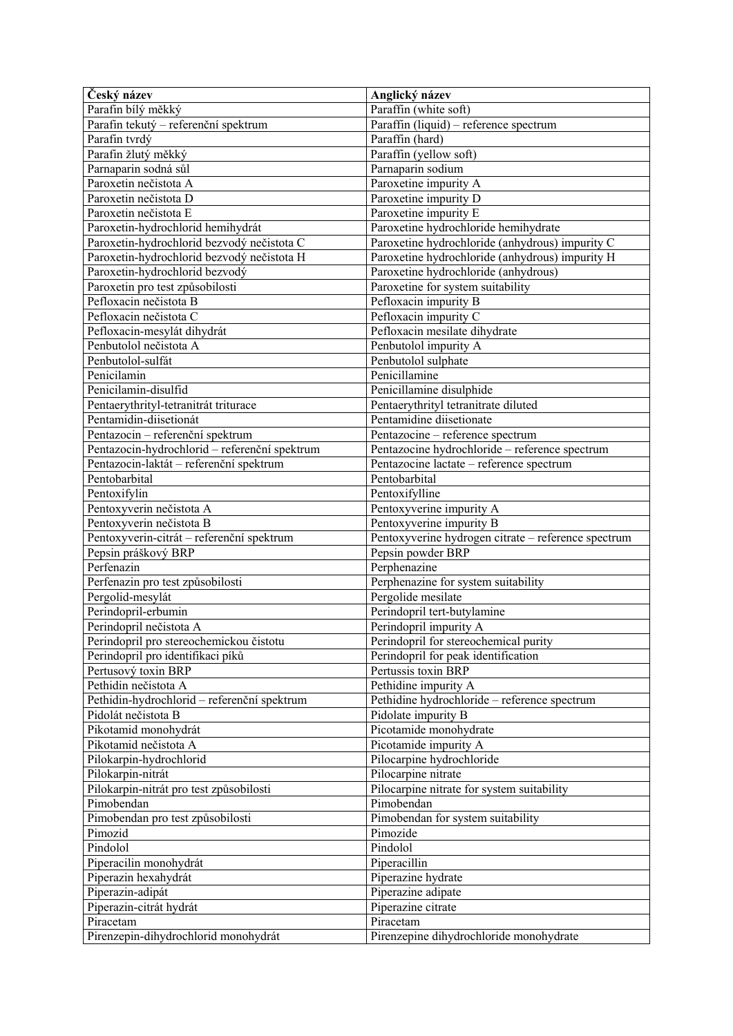| Český název                                   | Anglický název                                      |
|-----------------------------------------------|-----------------------------------------------------|
| Parafin bílý měkký                            | Paraffin (white soft)                               |
| Parafin tekutý – referenční spektrum          | Paraffin (liquid) - reference spectrum              |
| Parafin tvrdý                                 | Paraffin (hard)                                     |
| Parafin žlutý měkký                           | Paraffin (yellow soft)                              |
| Parnaparin sodná sůl                          | Parnaparin sodium                                   |
| Paroxetin nečistota A                         | Paroxetine impurity A                               |
| Paroxetin nečistota D                         | Paroxetine impurity D                               |
| Paroxetin nečistota E                         | Paroxetine impurity E                               |
| Paroxetin-hydrochlorid hemihydrát             | Paroxetine hydrochloride hemihydrate                |
| Paroxetin-hydrochlorid bezvodý nečistota C    | Paroxetine hydrochloride (anhydrous) impurity C     |
| Paroxetin-hydrochlorid bezvodý nečistota H    | Paroxetine hydrochloride (anhydrous) impurity H     |
| Paroxetin-hydrochlorid bezvodý                | Paroxetine hydrochloride (anhydrous)                |
| Paroxetin pro test způsobilosti               | Paroxetine for system suitability                   |
| Pefloxacin nečistota B                        | Pefloxacin impurity B                               |
| Pefloxacin nečistota C                        | Pefloxacin impurity C                               |
| Pefloxacin-mesylát dihydrát                   | Pefloxacin mesilate dihydrate                       |
| Penbutolol nečistota A                        | Penbutolol impurity A                               |
| Penbutolol-sulfát                             | Penbutolol sulphate                                 |
| Penicilamin                                   | Penicillamine                                       |
| Penicilamin-disulfid                          | Penicillamine disulphide                            |
| Pentaerythrityl-tetranitrát triturace         | Pentaerythrityl tetranitrate diluted                |
| Pentamidin-diisetionát                        | Pentamidine diisetionate                            |
| Pentazocin - referenční spektrum              | Pentazocine – reference spectrum                    |
| Pentazocin-hydrochlorid - referenční spektrum | Pentazocine hydrochloride - reference spectrum      |
| Pentazocin-laktát – referenční spektrum       | Pentazocine lactate - reference spectrum            |
| Pentobarbital                                 | Pentobarbital                                       |
| Pentoxifylin                                  | Pentoxifylline                                      |
| Pentoxyverin nečistota A                      | Pentoxyverine impurity A                            |
| Pentoxyverin nečistota B                      | Pentoxyverine impurity B                            |
| Pentoxyverin-citrát - referenční spektrum     | Pentoxyverine hydrogen citrate - reference spectrum |
| Pepsin práškový BRP                           | Pepsin powder BRP                                   |
| Perfenazin                                    | Perphenazine                                        |
| Perfenazin pro test způsobilosti              | Perphenazine for system suitability                 |
| Pergolid-mesylát                              | Pergolide mesilate                                  |
| Perindopril-erbumin                           | Perindopril tert-butylamine                         |
| Perindopril nečistota A                       | Perindopril impurity A                              |
| Perindopril pro stereochemickou čistotu       | Perindopril for stereochemical purity               |
| Perindopril pro identifikaci píků             | Perindopril for peak identification                 |
| Pertusový toxin BRP                           | Pertussis toxin BRP                                 |
| Pethidin nečistota A                          | Pethidine impurity A                                |
| Pethidin-hydrochlorid - referenční spektrum   | Pethidine hydrochloride - reference spectrum        |
| Pidolát nečistota B                           | Pidolate impurity B                                 |
| Pikotamid monohydrát                          | Picotamide monohydrate                              |
| Pikotamid nečistota A                         | Picotamide impurity A                               |
| Pilokarpin-hydrochlorid                       | Pilocarpine hydrochloride                           |
| Pilokarpin-nitrát                             | Pilocarpine nitrate                                 |
| Pilokarpin-nitrát pro test způsobilosti       | Pilocarpine nitrate for system suitability          |
| Pimobendan                                    | Pimobendan                                          |
| Pimobendan pro test způsobilosti              | Pimobendan for system suitability                   |
| Pimozid                                       | Pimozide                                            |
| Pindolol                                      | Pindolol                                            |
| Piperacilin monohydrát                        | Piperacillin                                        |
| Piperazin hexahydrát                          | Piperazine hydrate                                  |
| Piperazin-adipát                              | Piperazine adipate                                  |
| Piperazin-citrát hydrát                       | Piperazine citrate                                  |
| Piracetam                                     | Piracetam                                           |
|                                               |                                                     |
| Pirenzepin-dihydrochlorid monohydrát          | Pirenzepine dihydrochloride monohydrate             |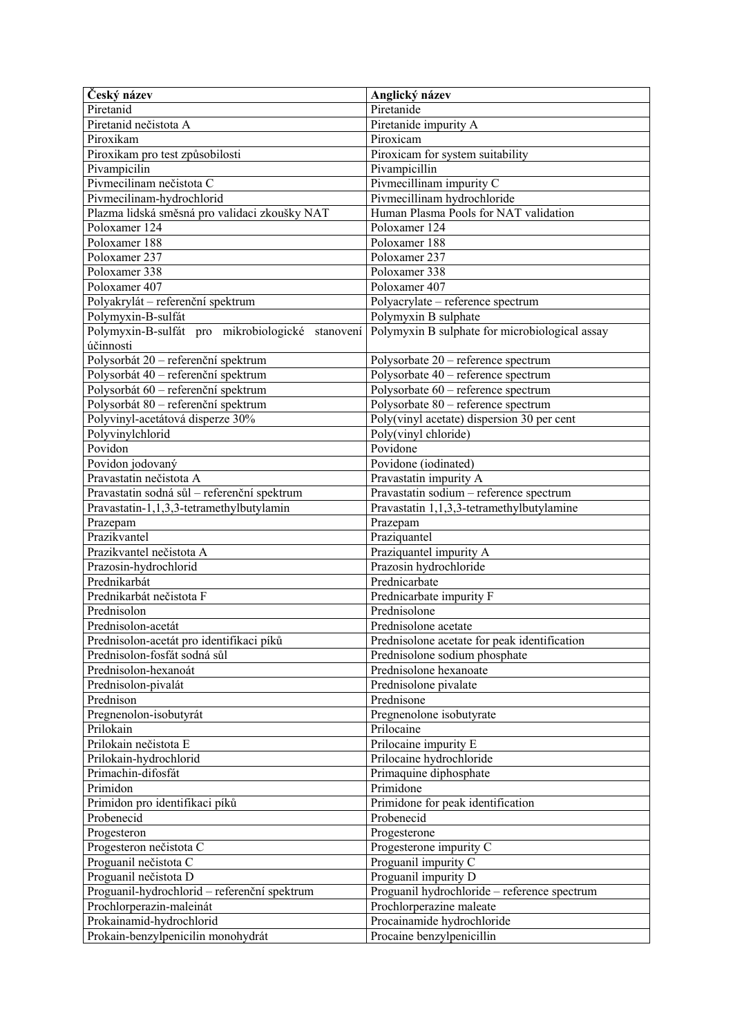| Český název                                      | Anglický název                                 |
|--------------------------------------------------|------------------------------------------------|
| Piretanid                                        | Piretanide                                     |
| Piretanid nečistota A                            | Piretanide impurity A                          |
| Piroxikam                                        | Piroxicam                                      |
| Piroxikam pro test způsobilosti                  | Piroxicam for system suitability               |
| Pivampicilin                                     | Pivampicillin                                  |
| Pivmecilinam nečistota C                         | Pivmecillinam impurity C                       |
| Pivmecilinam-hydrochlorid                        | Pivmecillinam hydrochloride                    |
| Plazma lidská směsná pro validaci zkoušky NAT    | Human Plasma Pools for NAT validation          |
| Poloxamer 124                                    | Poloxamer 124                                  |
| Poloxamer 188                                    | Poloxamer 188                                  |
| Poloxamer 237                                    | Poloxamer 237                                  |
| Poloxamer 338                                    | Poloxamer 338                                  |
| Poloxamer 407                                    | Poloxamer 407                                  |
| Polyakrylát – referenční spektrum                | Polyacrylate - reference spectrum              |
| Polymyxin-B-sulfát                               | Polymyxin B sulphate                           |
| Polymyxin-B-sulfát pro mikrobiologické stanovení | Polymyxin B sulphate for microbiological assay |
| účinnosti                                        |                                                |
| Polysorbát 20 – referenční spektrum              | Polysorbate 20 - reference spectrum            |
| Polysorbát 40 – referenční spektrum              | Polysorbate 40 - reference spectrum            |
| Polysorbát 60 – referenční spektrum              | Polysorbate 60 - reference spectrum            |
| Polysorbát 80 – referenční spektrum              | Polysorbate 80 - reference spectrum            |
| Polyvinyl-acetátová disperze 30%                 | Poly(vinyl acetate) dispersion 30 per cent     |
| Polyvinylchlorid                                 | Poly(vinyl chloride)                           |
| Povidon                                          | Povidone                                       |
| Povidon jodovaný                                 | Povidone (iodinated)                           |
| Pravastatin nečistota A                          | Pravastatin impurity A                         |
| Pravastatin sodná sůl – referenční spektrum      | Pravastatin sodium - reference spectrum        |
| Pravastatin-1,1,3,3-tetramethylbutylamin         | Pravastatin 1,1,3,3-tetramethylbutylamine      |
| Prazepam                                         | Prazepam                                       |
| Prazikvantel                                     | Praziquantel                                   |
| Prazikvantel nečistota A                         | Praziquantel impurity A                        |
| Prazosin-hydrochlorid                            | Prazosin hydrochloride                         |
| Prednikarbát                                     | Prednicarbate                                  |
| Prednikarbát nečistota F                         | Prednicarbate impurity F                       |
| Prednisolon                                      | Prednisolone                                   |
| Prednisolon-acetát                               | Prednisolone acetate                           |
| Prednisolon-acetát pro identifikaci píků         | Prednisolone acetate for peak identification   |
| Prednisolon-fosfát sodná sůl                     | Prednisolone sodium phosphate                  |
| Prednisolon-hexanoát                             | Prednisolone hexanoate                         |
| Prednisolon-pivalát                              | Prednisolone pivalate                          |
| Prednison                                        | Prednisone                                     |
| Pregnenolon-isobutyrát                           | Pregnenolone isobutyrate                       |
| Prilokain                                        | Prilocaine                                     |
| Prilokain nečistota E                            | Prilocaine impurity E                          |
| Prilokain-hydrochlorid                           | Prilocaine hydrochloride                       |
| Primachin-difosfát                               | Primaquine diphosphate                         |
| Primidon                                         | Primidone                                      |
| Primidon pro identifikaci píků                   | Primidone for peak identification              |
| Probenecid                                       | Probenecid                                     |
| Progesteron                                      | Progesterone                                   |
| Progesteron nečistota C                          | Progesterone impurity C                        |
| Proguanil nečistota C                            | Proguanil impurity C                           |
| Proguanil nečistota D                            | Proguanil impurity D                           |
| Proguanil-hydrochlorid - referenční spektrum     | Proguanil hydrochloride - reference spectrum   |
| Prochlorperazin-maleinát                         | Prochlorperazine maleate                       |
| Prokainamid-hydrochlorid                         | Procainamide hydrochloride                     |
| Prokain-benzylpenicilin monohydrát               | Procaine benzylpenicillin                      |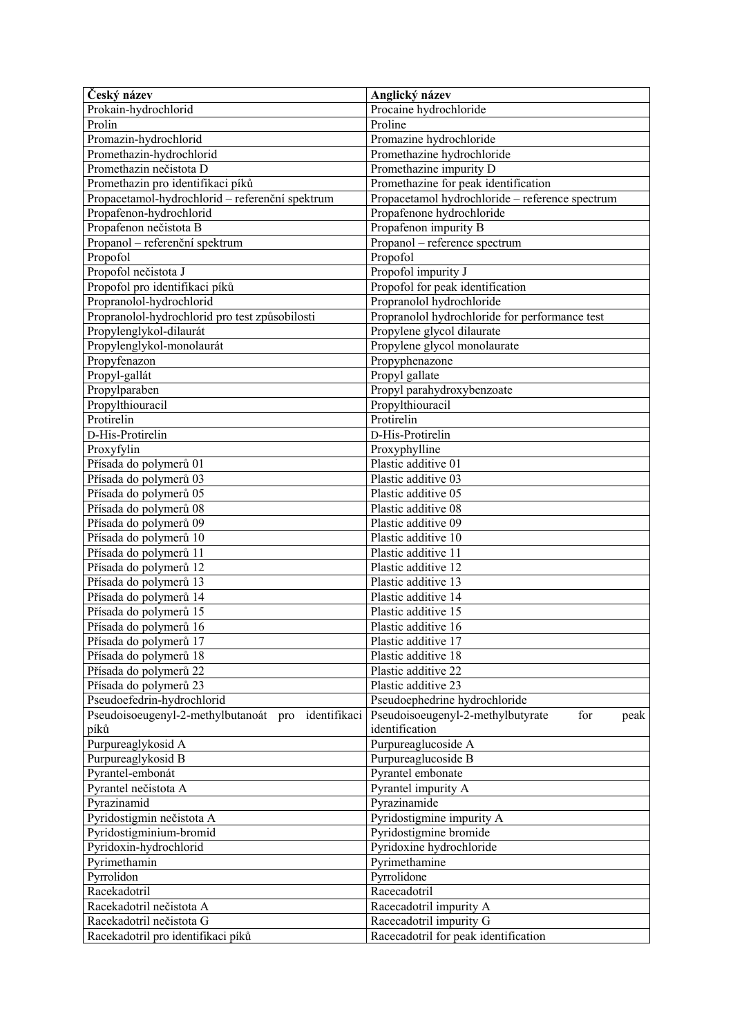| Český název                                          | Anglický název                                      |
|------------------------------------------------------|-----------------------------------------------------|
| Prokain-hydrochlorid                                 | Procaine hydrochloride                              |
| Prolin                                               | Proline                                             |
| Promazin-hydrochlorid                                | Promazine hydrochloride                             |
| Promethazin-hydrochlorid                             | Promethazine hydrochloride                          |
| Promethazin nečistota D                              | Promethazine impurity D                             |
| Promethazin pro identifikaci píků                    | Promethazine for peak identification                |
| Propacetamol-hydrochlorid - referenční spektrum      | Propacetamol hydrochloride - reference spectrum     |
| Propafenon-hydrochlorid                              | Propafenone hydrochloride                           |
| Propafenon nečistota B                               | Propafenon impurity B                               |
| Propanol – referenční spektrum                       | Propanol – reference spectrum                       |
| Propofol                                             | Propofol                                            |
| Propofol nečistota J                                 | Propofol impurity J                                 |
| Propofol pro identifikaci píků                       | Propofol for peak identification                    |
| Propranolol-hydrochlorid                             | Propranolol hydrochloride                           |
| Propranolol-hydrochlorid pro test způsobilosti       | Propranolol hydrochloride for performance test      |
| Propylenglykol-dilaurát                              | Propylene glycol dilaurate                          |
| Propylenglykol-monolaurát                            | Propylene glycol monolaurate                        |
| Propyfenazon                                         | Propyphenazone                                      |
| Propyl-gallát                                        | Propyl gallate                                      |
| Propylparaben                                        | Propyl parahydroxybenzoate                          |
| Propylthiouracil                                     | Propylthiouracil                                    |
| Protirelin                                           | Protirelin                                          |
| D-His-Protirelin                                     | D-His-Protirelin                                    |
| Proxyfylin                                           | Proxyphylline                                       |
| Přísada do polymerů 01                               | Plastic additive 01                                 |
| Přísada do polymerů 03                               | Plastic additive 03                                 |
| Přísada do polymerů 05                               | Plastic additive 05                                 |
| Přísada do polymerů 08                               | Plastic additive 08                                 |
| Přísada do polymerů 09                               | Plastic additive 09                                 |
| Přísada do polymerů 10                               | Plastic additive 10                                 |
| Přísada do polymerů 11                               | Plastic additive 11                                 |
| Přísada do polymerů 12                               | Plastic additive 12                                 |
| Přísada do polymerů 13                               | Plastic additive 13                                 |
| Přísada do polymerů 14                               | Plastic additive 14                                 |
| Přísada do polymerů 15                               | Plastic additive 15                                 |
| Přísada do polymerů 16                               | Plastic additive 16                                 |
| Přísada do polymerů 17                               | Plastic additive 17                                 |
| Přísada do polymerů 18                               | Plastic additive 18                                 |
| Přísada do polymerů 22                               | Plastic additive 22                                 |
| Přísada do polymerů 23                               | Plastic additive 23                                 |
| Pseudoefedrin-hydrochlorid                           | Pseudoephedrine hydrochloride                       |
| Pseudoisoeugenyl-2-methylbutanoát pro identifikaci   | Pseudoisoeugenyl-2-methylbutyrate<br>for<br>peak    |
| píků                                                 | identification                                      |
| Purpureaglykosid A                                   | Purpureaglucoside A                                 |
| Purpureaglykosid B                                   | Purpureaglucoside B<br>Pyrantel embonate            |
| Pyrantel-embonát                                     | Pyrantel impurity A                                 |
| Pyrantel nečistota A<br>Pyrazinamid                  | Pyrazinamide                                        |
|                                                      |                                                     |
| Pyridostigmin nečistota A<br>Pyridostigminium-bromid | Pyridostigmine impurity A<br>Pyridostigmine bromide |
|                                                      |                                                     |
| Pyridoxin-hydrochlorid<br>Pyrimethamin               | Pyridoxine hydrochloride<br>Pyrimethamine           |
| Pyrrolidon                                           | Pyrrolidone                                         |
| Racekadotril                                         | Racecadotril                                        |
| Racekadotril nečistota A                             | Racecadotril impurity A                             |
| Racekadotril nečistota G                             | Racecadotril impurity G                             |
| Racekadotril pro identifikaci píků                   | Racecadotril for peak identification                |
|                                                      |                                                     |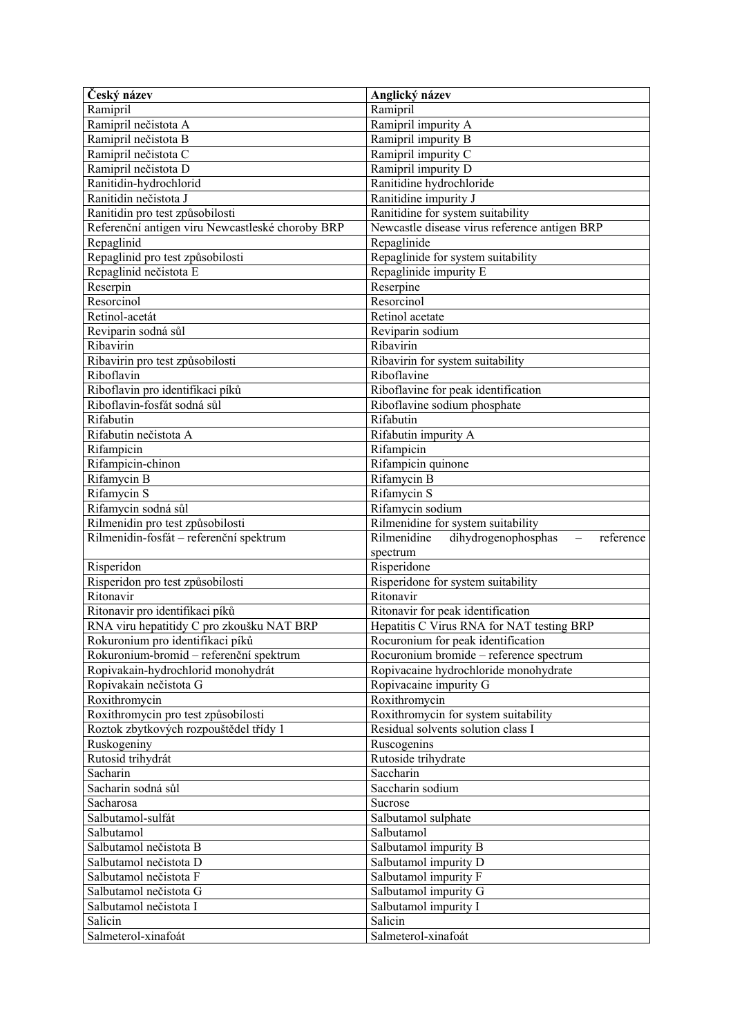| Český název                                      | Anglický název                                                       |
|--------------------------------------------------|----------------------------------------------------------------------|
| Ramipril                                         | Ramipril                                                             |
| Ramipril nečistota A                             | Ramipril impurity A                                                  |
| Ramipril nečistota B                             | Ramipril impurity B                                                  |
| Ramipril nečistota C                             | Ramipril impurity C                                                  |
| Ramipril nečistota D                             | Ramipril impurity D                                                  |
| Ranitidin-hydrochlorid                           | Ranitidine hydrochloride                                             |
| Ranitidin nečistota J                            | Ranitidine impurity J                                                |
| Ranitidin pro test způsobilosti                  | Ranitidine for system suitability                                    |
| Referenční antigen viru Newcastleské choroby BRP | Newcastle disease virus reference antigen BRP                        |
| Repaglinid                                       | Repaglinide                                                          |
| Repaglinid pro test způsobilosti                 | Repaglinide for system suitability                                   |
| Repaglinid nečistota E                           | Repaglinide impurity E                                               |
| Reserpin                                         | Reserpine                                                            |
| Resorcinol                                       | Resorcinol                                                           |
| Retinol-acetát                                   | Retinol acetate                                                      |
| Reviparin sodná sůl                              | Reviparin sodium                                                     |
| Ribavirin                                        | Ribavirin                                                            |
| Ribavirin pro test způsobilosti                  | Ribavirin for system suitability                                     |
| Riboflavin                                       | Riboflavine                                                          |
| Riboflavin pro identifikaci píků                 | Riboflavine for peak identification                                  |
| Riboflavin-fosfát sodná sůl                      | Riboflavine sodium phosphate                                         |
| Rifabutin                                        | Rifabutin                                                            |
| Rifabutin nečistota A                            | Rifabutin impurity A                                                 |
| Rifampicin                                       | Rifampicin                                                           |
| Rifampicin-chinon                                | Rifampicin quinone                                                   |
| Rifamycin B                                      | Rifamycin B                                                          |
| Rifamycin S                                      | Rifamycin S                                                          |
| Rifamycin sodná sůl                              | Rifamycin sodium                                                     |
| Rilmenidin pro test způsobilosti                 | Rilmenidine for system suitability                                   |
| Rilmenidin-fosfát - referenční spektrum          | Rilmenidine<br>dihydrogenophosphas<br>reference<br>$\qquad \qquad -$ |
|                                                  | spectrum                                                             |
| Risperidon                                       | Risperidone                                                          |
|                                                  |                                                                      |
|                                                  |                                                                      |
| Risperidon pro test způsobilosti                 | Risperidone for system suitability<br>Ritonavir                      |
| Ritonavir                                        |                                                                      |
| Ritonavir pro identifikaci píků                  | Ritonavir for peak identification                                    |
| RNA viru hepatitidy C pro zkoušku NAT BRP        | Hepatitis C Virus RNA for NAT testing BRP                            |
| Rokuronium pro identifikaci píků                 | Rocuronium for peak identification                                   |
| Rokuronium-bromid - referenční spektrum          | Rocuronium bromide - reference spectrum                              |
| Ropivakain-hydrochlorid monohydrát               | Ropivacaine hydrochloride monohydrate                                |
| Ropivakain nečistota G                           | Ropivacaine impurity G                                               |
| Roxithromycin                                    | Roxithromycin                                                        |
| Roxithromycin pro test způsobilosti              | Roxithromycin for system suitability                                 |
| Roztok zbytkových rozpouštědel třídy 1           | Residual solvents solution class I                                   |
| Ruskogeniny                                      | Ruscogenins                                                          |
| Rutosid trihydrát                                | Rutoside trihydrate                                                  |
| Sacharin                                         | Saccharin                                                            |
| Sacharin sodná sůl                               | Saccharin sodium                                                     |
| Sacharosa                                        | Sucrose                                                              |
| Salbutamol-sulfát                                | Salbutamol sulphate                                                  |
| Salbutamol                                       | Salbutamol                                                           |
| Salbutamol nečistota B                           | Salbutamol impurity B                                                |
| Salbutamol nečistota D                           | Salbutamol impurity D                                                |
| Salbutamol nečistota F                           | Salbutamol impurity F                                                |
| Salbutamol nečistota G                           | Salbutamol impurity G                                                |
| Salbutamol nečistota I<br>Salicin                | Salbutamol impurity I<br>Salicin                                     |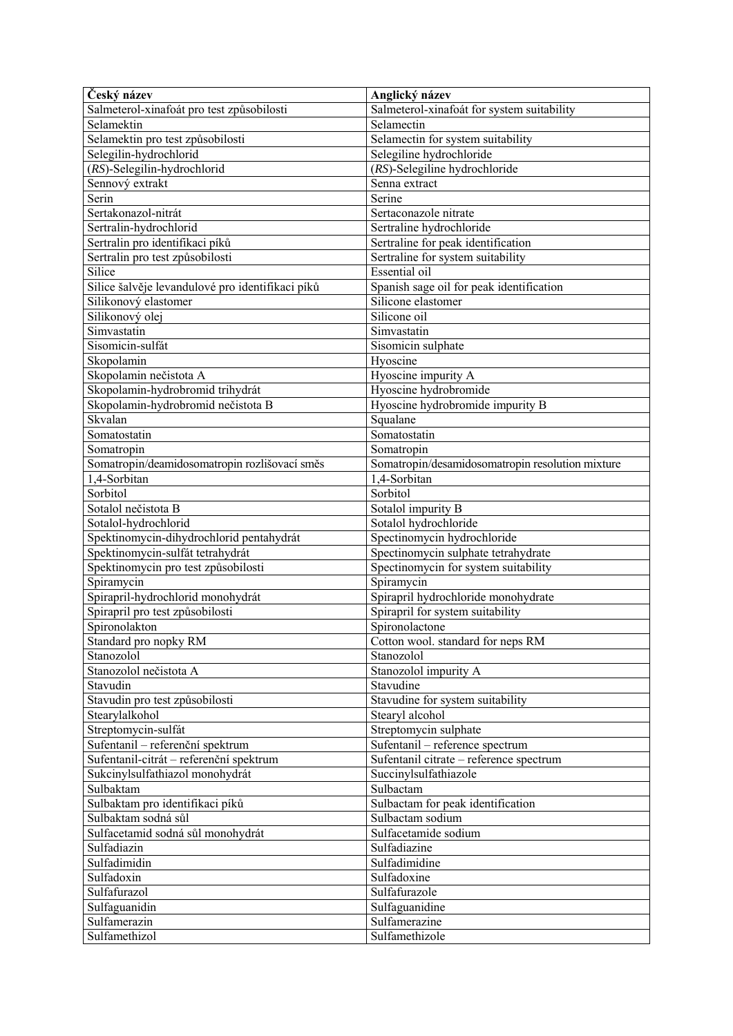| Český název                                      | Anglický název                                   |
|--------------------------------------------------|--------------------------------------------------|
| Salmeterol-xinafoát pro test způsobilosti        | Salmeterol-xinafoát for system suitability       |
| Selamektin                                       | Selamectin                                       |
| Selamektin pro test způsobilosti                 | Selamectin for system suitability                |
| Selegilin-hydrochlorid                           | Selegiline hydrochloride                         |
| (RS)-Selegilin-hydrochlorid                      | (RS)-Selegiline hydrochloride                    |
| Sennový extrakt                                  | Senna extract                                    |
| Serin                                            | Serine                                           |
| Sertakonazol-nitrát                              | Sertaconazole nitrate                            |
| Sertralin-hydrochlorid                           | Sertraline hydrochloride                         |
| Sertralin pro identifikaci píků                  | Sertraline for peak identification               |
| Sertralin pro test způsobilosti                  | Sertraline for system suitability                |
| Silice                                           | <b>Essential</b> oil                             |
| Silice šalvěje levandulové pro identifikaci píků | Spanish sage oil for peak identification         |
| Silikonový elastomer                             | Silicone elastomer                               |
| Silikonový olej                                  | Silicone oil                                     |
| Simvastatin                                      | Simvastatin                                      |
| Sisomicin-sulfát                                 | Sisomicin sulphate                               |
| Skopolamin                                       | Hyoscine                                         |
| Skopolamin nečistota A                           | Hyoscine impurity A                              |
| Skopolamin-hydrobromid trihydrát                 | Hyoscine hydrobromide                            |
| Skopolamin-hydrobromid nečistota B               | Hyoscine hydrobromide impurity B                 |
| Skvalan                                          | Squalane                                         |
| Somatostatin                                     | Somatostatin                                     |
| Somatropin                                       | Somatropin                                       |
| Somatropin/deamidosomatropin rozlišovací směs    | Somatropin/desamidosomatropin resolution mixture |
| 1,4-Sorbitan                                     | 1,4-Sorbitan                                     |
| Sorbitol                                         | Sorbitol                                         |
|                                                  |                                                  |
| Sotalol nečistota B                              | Sotalol impurity B                               |
| Sotalol-hydrochlorid                             | Sotalol hydrochloride                            |
| Spektinomycin-dihydrochlorid pentahydrát         | Spectinomycin hydrochloride                      |
| Spektinomycin-sulfát tetrahydrát                 | Spectinomycin sulphate tetrahydrate              |
| Spektinomycin pro test způsobilosti              | Spectinomycin for system suitability             |
| Spiramycin                                       | Spiramycin                                       |
| Spirapril-hydrochlorid monohydrát                | Spirapril hydrochloride monohydrate              |
| Spirapril pro test způsobilosti                  | Spirapril for system suitability                 |
| Spironolakton                                    | Spironolactone                                   |
| Standard pro nopky RM                            | Cotton wool. standard for neps RM                |
| Stanozolol                                       | Stanozolol                                       |
| Stanozolol nečistota A                           | Stanozolol impurity A                            |
| Stavudin                                         | Stavudine                                        |
| Stavudin pro test způsobilosti                   | Stavudine for system suitability                 |
| Stearylalkohol                                   | Stearyl alcohol                                  |
| Streptomycin-sulfát                              | Streptomycin sulphate                            |
| Sufentanil - referenční spektrum                 | Sufentanil - reference spectrum                  |
| Sufentanil-citrát - referenční spektrum          | Sufentanil citrate - reference spectrum          |
| Sukcinylsulfathiazol monohydrát                  | Succinylsulfathiazole                            |
| Sulbaktam                                        | Sulbactam                                        |
| Sulbaktam pro identifikaci píků                  | Sulbactam for peak identification                |
| Sulbaktam sodná sůl                              | Sulbactam sodium                                 |
| Sulfacetamid sodná sůl monohydrát                | Sulfacetamide sodium                             |
| Sulfadiazin                                      | Sulfadiazine                                     |
| Sulfadimidin                                     | Sulfadimidine                                    |
| Sulfadoxin                                       | Sulfadoxine                                      |
| Sulfafurazol                                     | Sulfafurazole                                    |
| Sulfaguanidin                                    | Sulfaguanidine                                   |
| Sulfamerazin                                     | Sulfamerazine                                    |
| Sulfamethizol                                    | Sulfamethizole                                   |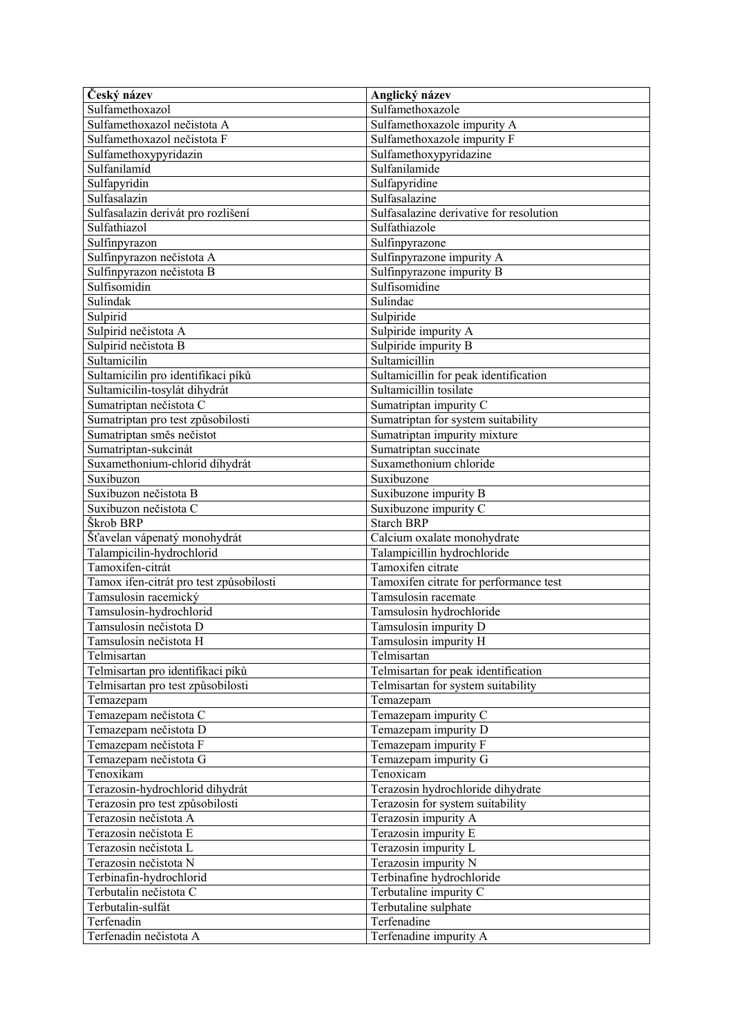| Český název                             | Anglický název                          |
|-----------------------------------------|-----------------------------------------|
| Sulfamethoxazol                         | Sulfamethoxazole                        |
| Sulfamethoxazol nečistota A             | Sulfamethoxazole impurity A             |
| Sulfamethoxazol nečistota F             | Sulfamethoxazole impurity F             |
| Sulfamethoxypyridazin                   | Sulfamethoxypyridazine                  |
| Sulfanilamid                            | Sulfanilamide                           |
| Sulfapyridin                            | Sulfapyridine                           |
| Sulfasalazin                            | Sulfasalazine                           |
| Sulfasalazin derivát pro rozlišení      | Sulfasalazine derivative for resolution |
| Sulfathiazol                            | Sulfathiazole                           |
| Sulfinpyrazon                           | Sulfinpyrazone                          |
| Sulfinpyrazon nečistota A               | Sulfinpyrazone impurity A               |
| Sulfinpyrazon nečistota B               | Sulfinpyrazone impurity B               |
| Sulfisomidin                            | Sulfisomidine                           |
| Sulindak                                | Sulindac                                |
| Sulpirid                                | Sulpiride                               |
| Sulpirid nečistota A                    | Sulpiride impurity A                    |
| Sulpirid nečistota B                    | Sulpiride impurity B                    |
| Sultamicilin                            | Sultamicillin                           |
| Sultamicilin pro identifikaci píků      | Sultamicillin for peak identification   |
| Sultamicilin-tosylát dihydrát           | Sultamicillin tosilate                  |
| Sumatriptan nečistota C                 | Sumatriptan impurity C                  |
| Sumatriptan pro test způsobilosti       | Sumatriptan for system suitability      |
| Sumatriptan směs nečistot               | Sumatriptan impurity mixture            |
| Sumatriptan-sukcinát                    | Sumatriptan succinate                   |
| Suxamethonium-chlorid dihydrát          | Suxamethonium chloride                  |
| Suxibuzon                               | Suxibuzone                              |
| Suxibuzon nečistota B                   | Suxibuzone impurity B                   |
| Suxibuzon nečistota C                   | Suxibuzone impurity C                   |
| Škrob BRP                               | <b>Starch BRP</b>                       |
| Šťavelan vápenatý monohydrát            | Calcium oxalate monohydrate             |
| Talampicilin-hydrochlorid               | Talampicillin hydrochloride             |
| Tamoxifen-citrát                        | Tamoxifen citrate                       |
| Tamox ifen-citrát pro test způsobilosti | Tamoxifen citrate for performance test  |
| Tamsulosin racemický                    | Tamsulosin racemate                     |
| Tamsulosin-hydrochlorid                 | Tamsulosin hydrochloride                |
| Tamsulosin nečistota D                  | Tamsulosin impurity D                   |
| Tamsulosin nečistota H                  | Tamsulosin impurity H                   |
| Telmisartan                             | Telmisartan                             |
| Telmisartan pro identifikaci píků       | Telmisartan for peak identification     |
| Telmisartan pro test způsobilosti       | Telmisartan for system suitability      |
| Temazepam                               | Temazepam                               |
| Temazepam nečistota C                   | Temazepam impurity C                    |
| Temazepam nečistota D                   | Temazepam impurity D                    |
| Temazepam nečistota F                   | Temazepam impurity F                    |
| Temazepam nečistota G                   | Temazepam impurity G                    |
| Tenoxikam                               | Tenoxicam                               |
| Terazosin-hydrochlorid dihydrát         | Terazosin hydrochloride dihydrate       |
| Terazosin pro test způsobilosti         | Terazosin for system suitability        |
| Terazosin nečistota A                   | Terazosin impurity A                    |
| Terazosin nečistota E                   | Terazosin impurity E                    |
| Terazosin nečistota L                   | Terazosin impurity L                    |
| Terazosin nečistota N                   | Terazosin impurity N                    |
| Terbinafin-hydrochlorid                 | Terbinafine hydrochloride               |
| Terbutalin nečistota C                  | Terbutaline impurity C                  |
| Terbutalin-sulfát                       | Terbutaline sulphate                    |
| Terfenadin                              | Terfenadine                             |
| Terfenadin nečistota A                  | Terfenadine impurity A                  |
|                                         |                                         |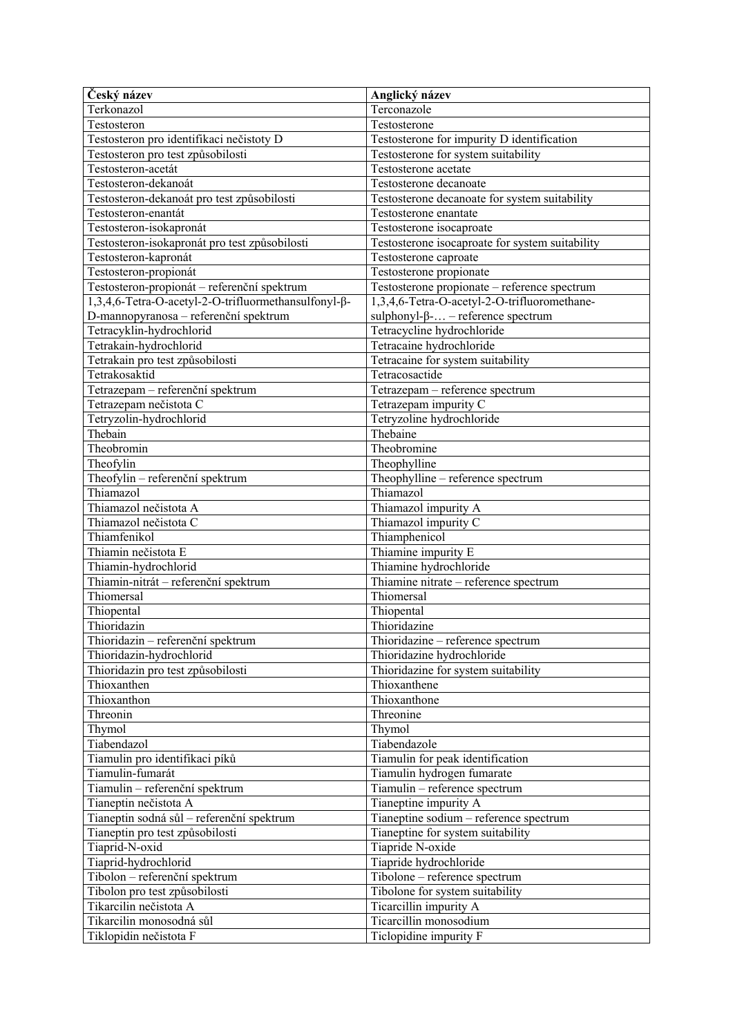| Český název                                          | Anglický název                                  |
|------------------------------------------------------|-------------------------------------------------|
| Terkonazol                                           | Terconazole                                     |
| Testosteron                                          | Testosterone                                    |
| Testosteron pro identifikaci nečistoty D             | Testosterone for impurity D identification      |
| Testosteron pro test způsobilosti                    | Testosterone for system suitability             |
| Testosteron-acetát                                   | Testosterone acetate                            |
| Testosteron-dekanoát                                 | Testosterone decanoate                          |
| Testosteron-dekanoát pro test způsobilosti           | Testosterone decanoate for system suitability   |
| Testosteron-enantát                                  | Testosterone enantate                           |
| Testosteron-isokapronát                              | Testosterone isocaproate                        |
| Testosteron-isokapronát pro test způsobilosti        | Testosterone isocaproate for system suitability |
| Testosteron-kapronát                                 | Testosterone caproate                           |
| Testosteron-propionát                                | Testosterone propionate                         |
| Testosteron-propionát – referenční spektrum          | Testosterone propionate - reference spectrum    |
| 1,3,4,6-Tetra-O-acetyl-2-O-trifluormethansulfonyl-β- | 1,3,4,6-Tetra-O-acetyl-2-O-trifluoromethane-    |
| D-mannopyranosa - referenční spektrum                | sulphonyl- $\beta$ - – reference spectrum       |
| Tetracyklin-hydrochlorid                             | Tetracycline hydrochloride                      |
| Tetrakain-hydrochlorid                               | Tetracaine hydrochloride                        |
| Tetrakain pro test způsobilosti                      | Tetracaine for system suitability               |
| Tetrakosaktid                                        | Tetracosactide                                  |
| Tetrazepam - referenční spektrum                     | Tetrazepam - reference spectrum                 |
| Tetrazepam nečistota C                               | Tetrazepam impurity C                           |
| Tetryzolin-hydrochlorid                              | Tetryzoline hydrochloride                       |
| Thebain                                              | Thebaine                                        |
| Theobromin                                           | Theobromine                                     |
| Theofylin                                            | Theophylline                                    |
| Theofylin – referenční spektrum                      | Theophylline - reference spectrum               |
| Thiamazol                                            | Thiamazol                                       |
| Thiamazol nečistota A                                | Thiamazol impurity A                            |
| Thiamazol nečistota C                                | Thiamazol impurity C                            |
| Thiamfenikol                                         | Thiamphenicol                                   |
| Thiamin nečistota E                                  | Thiamine impurity E                             |
| Thiamin-hydrochlorid                                 | Thiamine hydrochloride                          |
| Thiamin-nitrát - referenční spektrum                 | Thiamine nitrate - reference spectrum           |
| Thiomersal                                           | Thiomersal                                      |
| Thiopental                                           | Thiopental                                      |
| Thioridazin                                          | Thioridazine                                    |
| Thioridazin - referenční spektrum                    | Thioridazine - reference spectrum               |
| Thioridazin-hydrochlorid                             | Thioridazine hydrochloride                      |
| Thioridazin pro test způsobilosti                    | Thioridazine for system suitability             |
| Thioxanthen                                          | Thioxanthene                                    |
| Thioxanthon                                          | Thioxanthone                                    |
| Threonin                                             | Threonine                                       |
| Thymol                                               | Thymol                                          |
| Tiabendazol                                          | Tiabendazole                                    |
| Tiamulin pro identifikaci píků                       | Tiamulin for peak identification                |
| Tiamulin-fumarát                                     | Tiamulin hydrogen fumarate                      |
| Tiamulin - referenční spektrum                       | Tiamulin - reference spectrum                   |
| Tianeptin nečistota A                                | Tianeptine impurity A                           |
| Tianeptin sodná sůl – referenční spektrum            | Tianeptine sodium - reference spectrum          |
| Tianeptin pro test způsobilosti                      | Tianeptine for system suitability               |
| Tiaprid-N-oxid                                       | Tiapride N-oxide                                |
| Tiaprid-hydrochlorid                                 | Tiapride hydrochloride                          |
| Tibolon - referenční spektrum                        | Tibolone - reference spectrum                   |
| Tibolon pro test způsobilosti                        | Tibolone for system suitability                 |
| Tikarcilin nečistota A                               | Ticarcillin impurity A                          |
| Tikarcilin monosodná sůl                             | Ticarcillin monosodium                          |
| Tiklopidin nečistota F                               | Ticlopidine impurity F                          |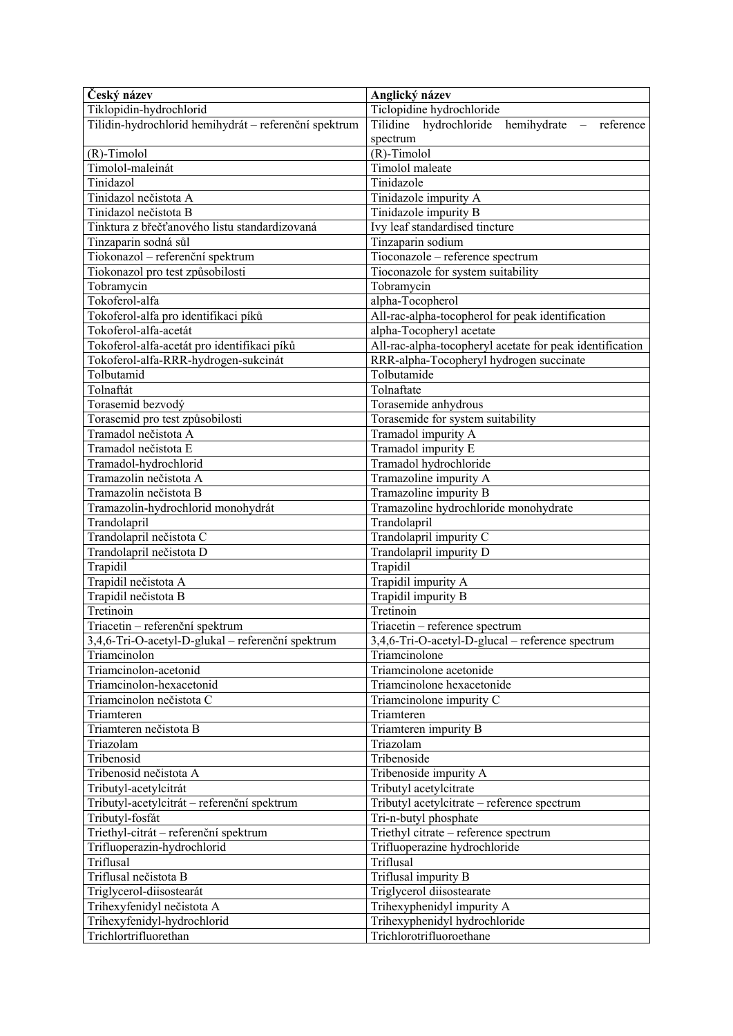| Český název                                           | Anglický název                                                                     |
|-------------------------------------------------------|------------------------------------------------------------------------------------|
| Tiklopidin-hydrochlorid                               | Ticlopidine hydrochloride                                                          |
| Tilidin-hydrochlorid hemihydrát - referenční spektrum | Tilidine hydrochloride hemihydrate<br>reference<br>$\hspace{0.1mm}-\hspace{0.1mm}$ |
|                                                       | spectrum                                                                           |
| (R)-Timolol                                           | (R)-Timolol                                                                        |
| Timolol-maleinát                                      | Timolol maleate                                                                    |
| Tinidazol                                             | Tinidazole                                                                         |
| Tinidazol nečistota A                                 | Tinidazole impurity A                                                              |
| Tinidazol nečistota B                                 | Tinidazole impurity B                                                              |
| Tinktura z břečťanového listu standardizovaná         | Ivy leaf standardised tincture                                                     |
| Tinzaparin sodná sůl                                  | Tinzaparin sodium                                                                  |
| Tiokonazol - referenční spektrum                      | Tioconazole - reference spectrum                                                   |
| Tiokonazol pro test způsobilosti                      | Tioconazole for system suitability                                                 |
| Tobramycin                                            | Tobramycin                                                                         |
| Tokoferol-alfa                                        | alpha-Tocopherol                                                                   |
| Tokoferol-alfa pro identifikaci píků                  | All-rac-alpha-tocopherol for peak identification                                   |
| Tokoferol-alfa-acetát                                 |                                                                                    |
|                                                       | alpha-Tocopheryl acetate                                                           |
| Tokoferol-alfa-acetát pro identifikaci píků           | All-rac-alpha-tocopheryl acetate for peak identification                           |
| Tokoferol-alfa-RRR-hydrogen-sukcinát                  | RRR-alpha-Tocopheryl hydrogen succinate                                            |
| Tolbutamid                                            | Tolbutamide                                                                        |
| Tolnaftát                                             | Tolnaftate                                                                         |
| Torasemid bezvodý                                     | Torasemide anhydrous                                                               |
| Torasemid pro test způsobilosti                       | Torasemide for system suitability                                                  |
| Tramadol nečistota A                                  | Tramadol impurity A                                                                |
| Tramadol nečistota E                                  | Tramadol impurity E                                                                |
| Tramadol-hydrochlorid                                 | Tramadol hydrochloride                                                             |
| Tramazolin nečistota A                                | Tramazoline impurity A                                                             |
| Tramazolin nečistota B                                | Tramazoline impurity B                                                             |
| Tramazolin-hydrochlorid monohydrát                    | Tramazoline hydrochloride monohydrate                                              |
| Trandolapril                                          | Trandolapril                                                                       |
| Trandolapril nečistota C                              | Trandolapril impurity C                                                            |
| Trandolapril nečistota D                              | Trandolapril impurity D                                                            |
| Trapidil                                              | Trapidil                                                                           |
| Trapidil nečistota A                                  | Trapidil impurity A                                                                |
| Trapidil nečistota B                                  | Trapidil impurity B                                                                |
| Tretinoin                                             | Tretinoin                                                                          |
| Triacetin - referenční spektrum                       | Triacetin - reference spectrum                                                     |
| 3,4,6-Tri-O-acetyl-D-glukal - referenční spektrum     | 3,4,6-Tri-O-acetyl-D-glucal - reference spectrum                                   |
| Triamcinolon                                          | Triamcinolone                                                                      |
| Triamcinolon-acetonid                                 | Triamcinolone acetonide                                                            |
| Triamcinolon-hexacetonid                              | Triamcinolone hexacetonide                                                         |
| Triamcinolon nečistota C                              | Triamcinolone impurity C                                                           |
| Triamteren                                            | Triamteren                                                                         |
| Triamteren nečistota B                                | Triamteren impurity B                                                              |
| Triazolam                                             | Triazolam                                                                          |
| Tribenosid                                            | Tribenoside                                                                        |
| Tribenosid nečistota A                                |                                                                                    |
|                                                       | Tribenoside impurity A                                                             |
| Tributyl-acetylcitrát                                 | Tributyl acetylcitrate                                                             |
| Tributyl-acetylcitrát - referenční spektrum           | Tributyl acetylcitrate - reference spectrum                                        |
| Tributyl-fosfát                                       | Tri-n-butyl phosphate                                                              |
| Triethyl-citrát - referenční spektrum                 | Triethyl citrate - reference spectrum                                              |
| Trifluoperazin-hydrochlorid                           | Trifluoperazine hydrochloride                                                      |
| Triflusal                                             | Triflusal                                                                          |
| Triflusal nečistota B                                 | Triflusal impurity B                                                               |
| Triglycerol-diisostearát                              | Triglycerol diisostearate                                                          |
| Trihexyfenidyl nečistota A                            | Trihexyphenidyl impurity A                                                         |
| Trihexyfenidyl-hydrochlorid                           | Trihexyphenidyl hydrochloride                                                      |
| Trichlortrifluorethan                                 | Trichlorotrifluoroethane                                                           |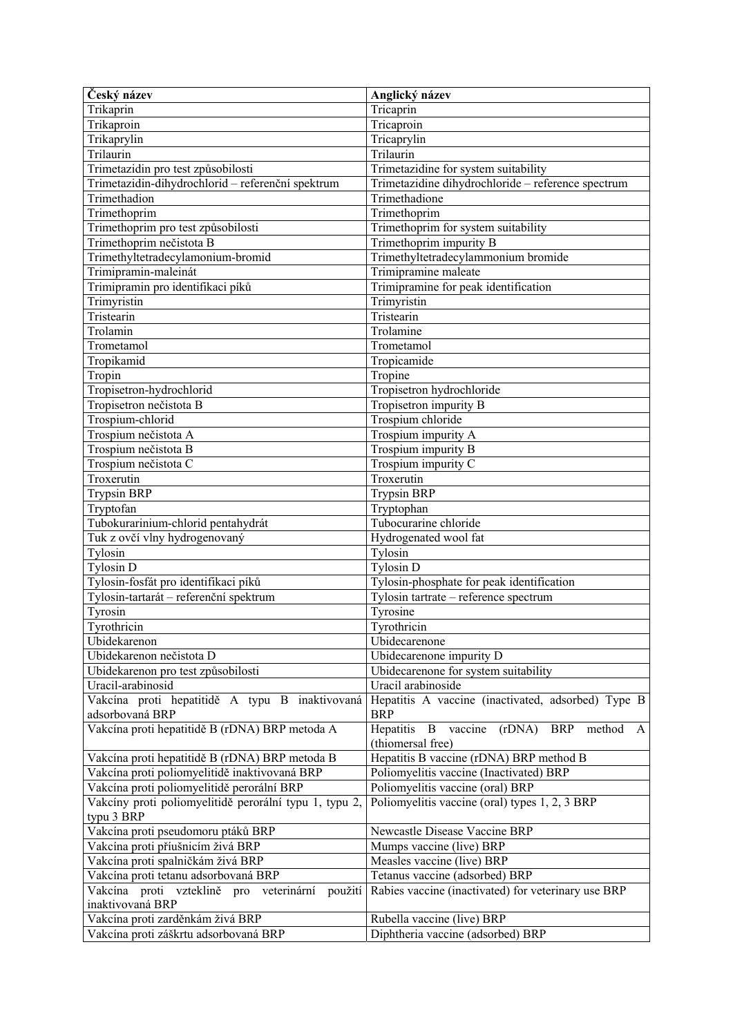| Český název                                            | Anglický název                                          |
|--------------------------------------------------------|---------------------------------------------------------|
| Trikaprin                                              | Tricaprin                                               |
| Trikaproin                                             | Tricaproin                                              |
| Trikaprylin                                            | Tricaprylin                                             |
| Trilaurin                                              | Trilaurin                                               |
| Trimetazidin pro test způsobilosti                     | Trimetazidine for system suitability                    |
| Trimetazidin-dihydrochlorid - referenční spektrum      | Trimetazidine dihydrochloride - reference spectrum      |
| Trimethadion                                           | Trimethadione                                           |
| Trimethoprim                                           | Trimethoprim                                            |
| Trimethoprim pro test způsobilosti                     | Trimethoprim for system suitability                     |
| Trimethoprim nečistota B                               | Trimethoprim impurity B                                 |
| Trimethyltetradecylamonium-bromid                      | Trimethyltetradecylammonium bromide                     |
| Trimipramin-maleinát                                   | Trimipramine maleate                                    |
| Trimipramin pro identifikaci píků                      | Trimipramine for peak identification                    |
| Trimyristin                                            | Trimyristin                                             |
| Tristearin                                             | Tristearin                                              |
| Trolamin                                               | Trolamine                                               |
| Trometamol                                             | Trometamol                                              |
| Tropikamid                                             | Tropicamide                                             |
| Tropin                                                 | Tropine                                                 |
| Tropisetron-hydrochlorid                               | Tropisetron hydrochloride                               |
| Tropisetron nečistota B                                | Tropisetron impurity B                                  |
| Trospium-chlorid                                       | Trospium chloride                                       |
| Trospium nečistota A                                   | Trospium impurity A                                     |
| Trospium nečistota B                                   | Trospium impurity B                                     |
| Trospium nečistota C                                   | Trospium impurity C                                     |
| Troxerutin                                             | Troxerutin                                              |
| <b>Trypsin BRP</b>                                     | <b>Trypsin BRP</b>                                      |
| Tryptofan                                              | Tryptophan                                              |
| Tubokurarinium-chlorid pentahydrát                     | Tubocurarine chloride                                   |
| Tuk z ovčí vlny hydrogenovaný                          | Hydrogenated wool fat                                   |
| Tylosin                                                | Tylosin                                                 |
| <b>Tylosin D</b>                                       | <b>Tylosin D</b>                                        |
| Tylosin-fosfát pro identifikaci píků                   | Tylosin-phosphate for peak identification               |
| Tylosin-tartarát – referenční spektrum                 | Tylosin tartrate - reference spectrum                   |
| Tyrosin                                                | Tyrosine                                                |
| Tyrothricin                                            | Tyrothricin                                             |
| Ubidekarenon                                           | Ubidecarenone                                           |
| Ubidekarenon nečistota D                               | Ubidecarenone impurity D                                |
| Ubidekarenon pro test způsobilosti                     | Ubidecarenone for system suitability                    |
| Uracil-arabinosid                                      | Uracil arabinoside                                      |
| Vakcína proti hepatitidě A typu B inaktivovaná         | Hepatitis A vaccine (inactivated, adsorbed) Type B      |
| adsorbovaná BRP                                        | <b>BRP</b>                                              |
| Vakcína proti hepatitidě B (rDNA) BRP metoda A         | Hepatitis B vaccine<br>(rDNA)<br><b>BRP</b><br>method A |
|                                                        | (thiomersal free)                                       |
| Vakcína proti hepatitidě B (rDNA) BRP metoda B         | Hepatitis B vaccine (rDNA) BRP method B                 |
| Vakcína proti poliomyelitidě inaktivovaná BRP          | Poliomyelitis vaccine (Inactivated) BRP                 |
| Vakcína proti poliomyelitidě perorální BRP             | Poliomyelitis vaccine (oral) BRP                        |
| Vakcíny proti poliomyelitidě perorální typu 1, typu 2, | Poliomyelitis vaccine (oral) types 1, 2, 3 BRP          |
| typu 3 BRP                                             |                                                         |
| Vakcína proti pseudomoru ptáků BRP                     | Newcastle Disease Vaccine BRP                           |
| Vakcína proti příušnicím živá BRP                      | Mumps vaccine (live) BRP                                |
| Vakcína proti spalničkám živá BRP                      | Measles vaccine (live) BRP                              |
| Vakcína proti tetanu adsorbovaná BRP                   | Tetanus vaccine (adsorbed) BRP                          |
| Vakcína proti vzteklině pro veterinární<br>použití     | Rabies vaccine (inactivated) for veterinary use BRP     |
| inaktivovaná BRP                                       |                                                         |
| Vakcína proti zarděnkám živá BRP                       | Rubella vaccine (live) BRP                              |
| Vakcína proti záškrtu adsorbovaná BRP                  | Diphtheria vaccine (adsorbed) BRP                       |
|                                                        |                                                         |